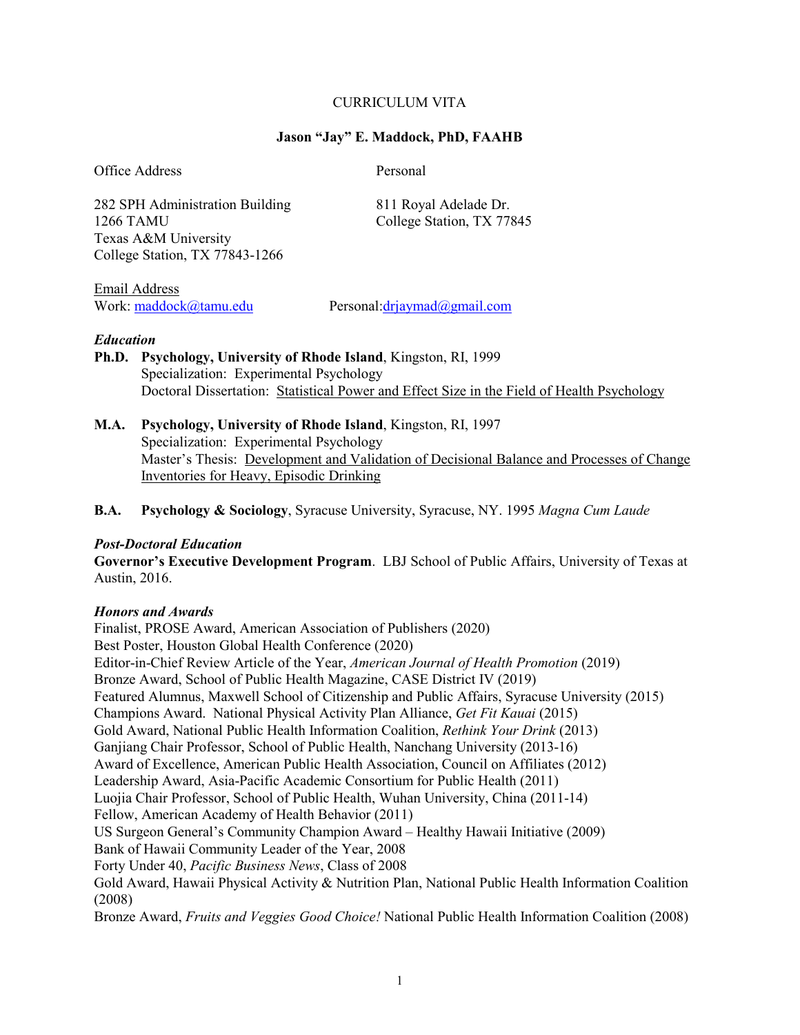### CURRICULUM VITA

#### **Jason "Jay" E. Maddock, PhD, FAAHB**

Office Address Personal

282 SPH Administration Building 811 Royal Adelade Dr. 1266 TAMU College Station, TX 77845 Texas A&M University College Station, TX 77843-1266

Email Address

Work: [maddock@tamu.edu](mailto:maddock@tamu.edu) Personal[:drjaymad@gmail.com](mailto:drjaymad@gmail.com)

#### *Education*

**Ph.D. Psychology, University of Rhode Island**, Kingston, RI, 1999 Specialization: Experimental Psychology Doctoral Dissertation: Statistical Power and Effect Size in the Field of Health Psychology

**M.A. Psychology, University of Rhode Island**, Kingston, RI, 1997 Specialization: Experimental Psychology Master's Thesis: Development and Validation of Decisional Balance and Processes of Change Inventories for Heavy, Episodic Drinking

**B.A. Psychology & Sociology**, Syracuse University, Syracuse, NY. 1995 *Magna Cum Laude*

#### *Post-Doctoral Education*

**Governor's Executive Development Program**. LBJ School of Public Affairs, University of Texas at Austin, 2016.

#### *Honors and Awards*

Finalist, PROSE Award, American Association of Publishers (2020) Best Poster, Houston Global Health Conference (2020) Editor-in-Chief Review Article of the Year, *American Journal of Health Promotion* (2019) Bronze Award, School of Public Health Magazine, CASE District IV (2019) Featured Alumnus, Maxwell School of Citizenship and Public Affairs, Syracuse University (2015) Champions Award. National Physical Activity Plan Alliance, *Get Fit Kauai* (2015) Gold Award, National Public Health Information Coalition, *Rethink Your Drink* (2013) Ganjiang Chair Professor, School of Public Health, Nanchang University (2013-16) Award of Excellence, American Public Health Association, Council on Affiliates (2012) Leadership Award, Asia-Pacific Academic Consortium for Public Health (2011) Luojia Chair Professor, School of Public Health, Wuhan University, China (2011-14) Fellow, American Academy of Health Behavior (2011) US Surgeon General's Community Champion Award – Healthy Hawaii Initiative (2009) Bank of Hawaii Community Leader of the Year, 2008 Forty Under 40, *Pacific Business News*, Class of 2008 Gold Award, Hawaii Physical Activity & Nutrition Plan, National Public Health Information Coalition (2008) Bronze Award, *Fruits and Veggies Good Choice!* National Public Health Information Coalition (2008)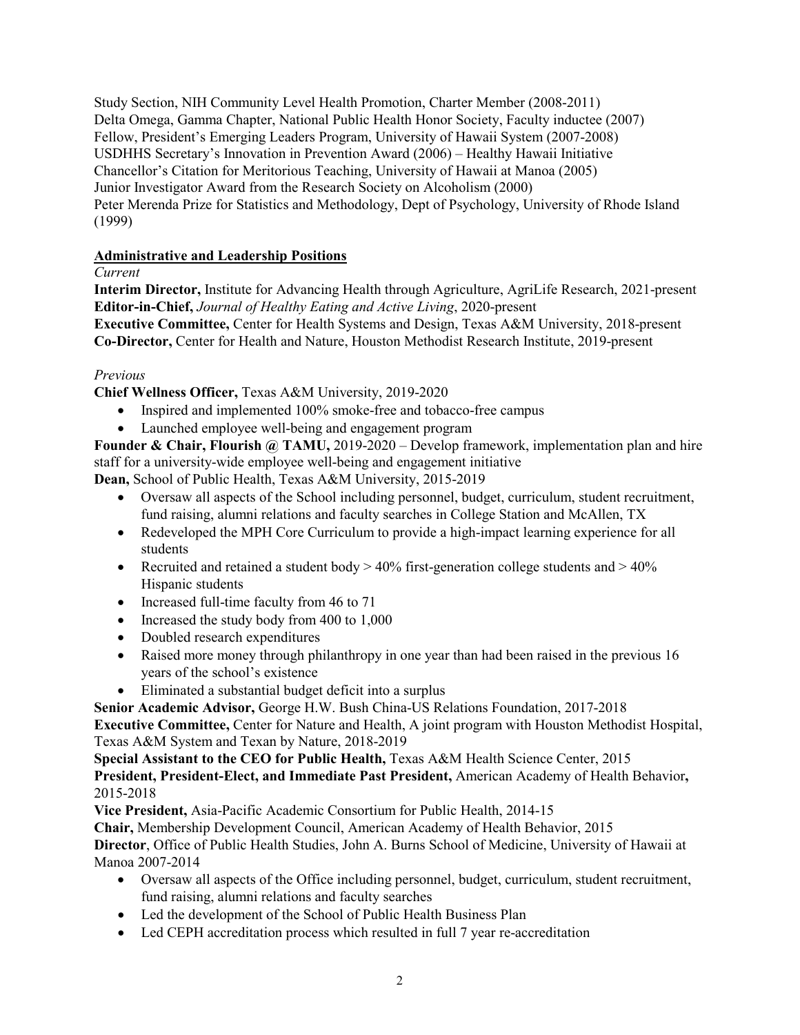Study Section, NIH Community Level Health Promotion, Charter Member (2008-2011) Delta Omega, Gamma Chapter, National Public Health Honor Society, Faculty inductee (2007) Fellow, President's Emerging Leaders Program, University of Hawaii System (2007-2008) USDHHS Secretary's Innovation in Prevention Award (2006) – Healthy Hawaii Initiative Chancellor's Citation for Meritorious Teaching, University of Hawaii at Manoa (2005) Junior Investigator Award from the Research Society on Alcoholism (2000) Peter Merenda Prize for Statistics and Methodology, Dept of Psychology, University of Rhode Island (1999)

## **Administrative and Leadership Positions**

*Current*

**Interim Director,** Institute for Advancing Health through Agriculture, AgriLife Research, 2021-present **Editor-in-Chief,** *Journal of Healthy Eating and Active Living*, 2020-present **Executive Committee,** Center for Health Systems and Design, Texas A&M University, 2018-present **Co-Director,** Center for Health and Nature, Houston Methodist Research Institute, 2019-present

## *Previous*

**Chief Wellness Officer,** Texas A&M University, 2019-2020

- Inspired and implemented 100% smoke-free and tobacco-free campus
- Launched employee well-being and engagement program

**Founder & Chair, Flourish @ TAMU,** 2019-2020 – Develop framework, implementation plan and hire staff for a university-wide employee well-being and engagement initiative

**Dean,** School of Public Health, Texas A&M University, 2015-2019

- Oversaw all aspects of the School including personnel, budget, curriculum, student recruitment, fund raising, alumni relations and faculty searches in College Station and McAllen, TX
- Redeveloped the MPH Core Curriculum to provide a high-impact learning experience for all students
- Recruited and retained a student body  $> 40\%$  first-generation college students and  $> 40\%$ Hispanic students
- Increased full-time faculty from 46 to 71
- Increased the study body from 400 to 1,000
- Doubled research expenditures
- Raised more money through philanthropy in one year than had been raised in the previous 16 years of the school's existence
- Eliminated a substantial budget deficit into a surplus

**Senior Academic Advisor,** George H.W. Bush China-US Relations Foundation, 2017-2018 **Executive Committee,** Center for Nature and Health, A joint program with Houston Methodist Hospital,

Texas A&M System and Texan by Nature, 2018-2019

**Special Assistant to the CEO for Public Health,** Texas A&M Health Science Center, 2015 **President, President-Elect, and Immediate Past President,** American Academy of Health Behavior**,**  2015-2018

**Vice President,** Asia-Pacific Academic Consortium for Public Health, 2014-15

**Chair,** Membership Development Council, American Academy of Health Behavior, 2015

**Director**, Office of Public Health Studies, John A. Burns School of Medicine, University of Hawaii at Manoa 2007-2014

- Oversaw all aspects of the Office including personnel, budget, curriculum, student recruitment, fund raising, alumni relations and faculty searches
- Led the development of the School of Public Health Business Plan
- Led CEPH accreditation process which resulted in full 7 year re-accreditation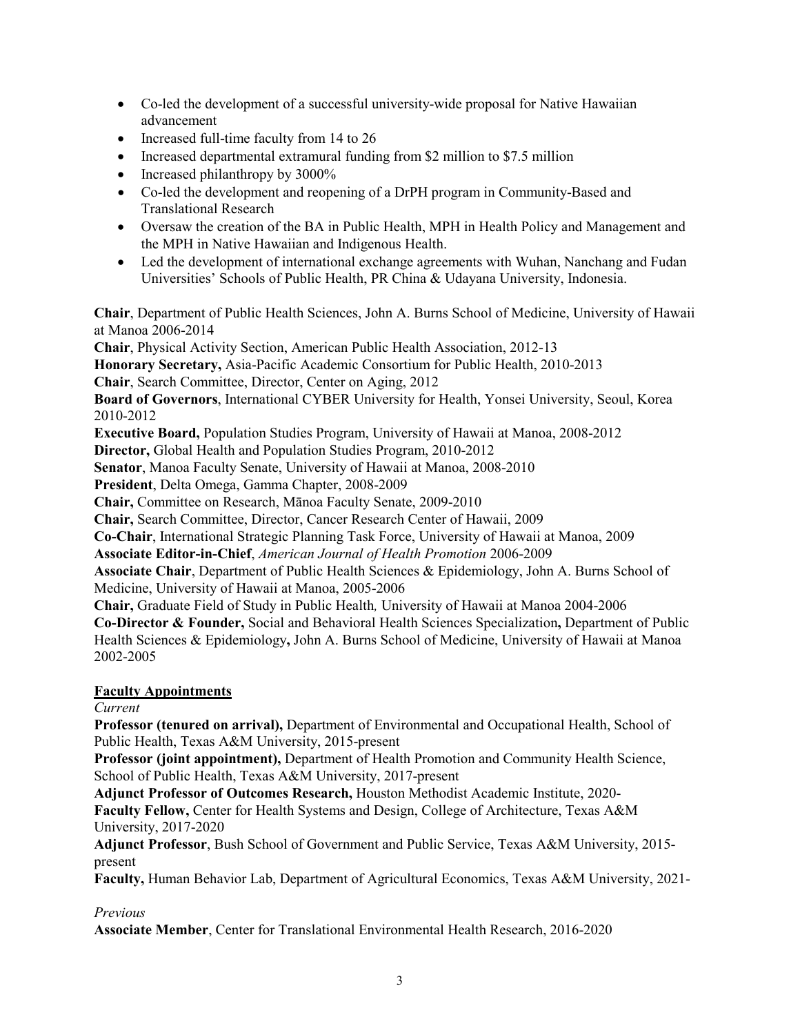- Co-led the development of a successful university-wide proposal for Native Hawaiian advancement
- Increased full-time faculty from 14 to 26
- Increased departmental extramural funding from \$2 million to \$7.5 million
- Increased philanthropy by 3000%
- Co-led the development and reopening of a DrPH program in Community-Based and Translational Research
- Oversaw the creation of the BA in Public Health, MPH in Health Policy and Management and the MPH in Native Hawaiian and Indigenous Health.
- Led the development of international exchange agreements with Wuhan, Nanchang and Fudan Universities' Schools of Public Health, PR China & Udayana University, Indonesia.

**Chair**, Department of Public Health Sciences, John A. Burns School of Medicine, University of Hawaii at Manoa 2006-2014

**Chair**, Physical Activity Section, American Public Health Association, 2012-13

**Honorary Secretary,** Asia-Pacific Academic Consortium for Public Health, 2010-2013

**Chair**, Search Committee, Director, Center on Aging, 2012

**Board of Governors**, International CYBER University for Health, Yonsei University, Seoul, Korea 2010-2012

**Executive Board,** Population Studies Program, University of Hawaii at Manoa, 2008-2012

**Director,** Global Health and Population Studies Program, 2010-2012

**Senator**, Manoa Faculty Senate, University of Hawaii at Manoa, 2008-2010

**President**, Delta Omega, Gamma Chapter, 2008-2009

**Chair,** Committee on Research, Mānoa Faculty Senate, 2009-2010

**Chair,** Search Committee, Director, Cancer Research Center of Hawaii, 2009

**Co-Chair**, International Strategic Planning Task Force, University of Hawaii at Manoa, 2009

**Associate Editor-in-Chief**, *American Journal of Health Promotion* 2006-2009

**Associate Chair**, Department of Public Health Sciences & Epidemiology, John A. Burns School of Medicine, University of Hawaii at Manoa, 2005-2006

**Chair,** Graduate Field of Study in Public Health*,* University of Hawaii at Manoa 2004-2006

**Co-Director & Founder,** Social and Behavioral Health Sciences Specialization**,** Department of Public Health Sciences & Epidemiology**,** John A. Burns School of Medicine, University of Hawaii at Manoa 2002-2005

## **Faculty Appointments**

## *Current*

**Professor (tenured on arrival),** Department of Environmental and Occupational Health, School of Public Health, Texas A&M University, 2015-present

**Professor (joint appointment),** Department of Health Promotion and Community Health Science, School of Public Health, Texas A&M University, 2017-present

**Adjunct Professor of Outcomes Research,** Houston Methodist Academic Institute, 2020- **Faculty Fellow,** Center for Health Systems and Design, College of Architecture, Texas A&M

University, 2017-2020

**Adjunct Professor**, Bush School of Government and Public Service, Texas A&M University, 2015 present

**Faculty,** Human Behavior Lab, Department of Agricultural Economics, Texas A&M University, 2021-

## *Previous*

**Associate Member**, Center for Translational Environmental Health Research, 2016-2020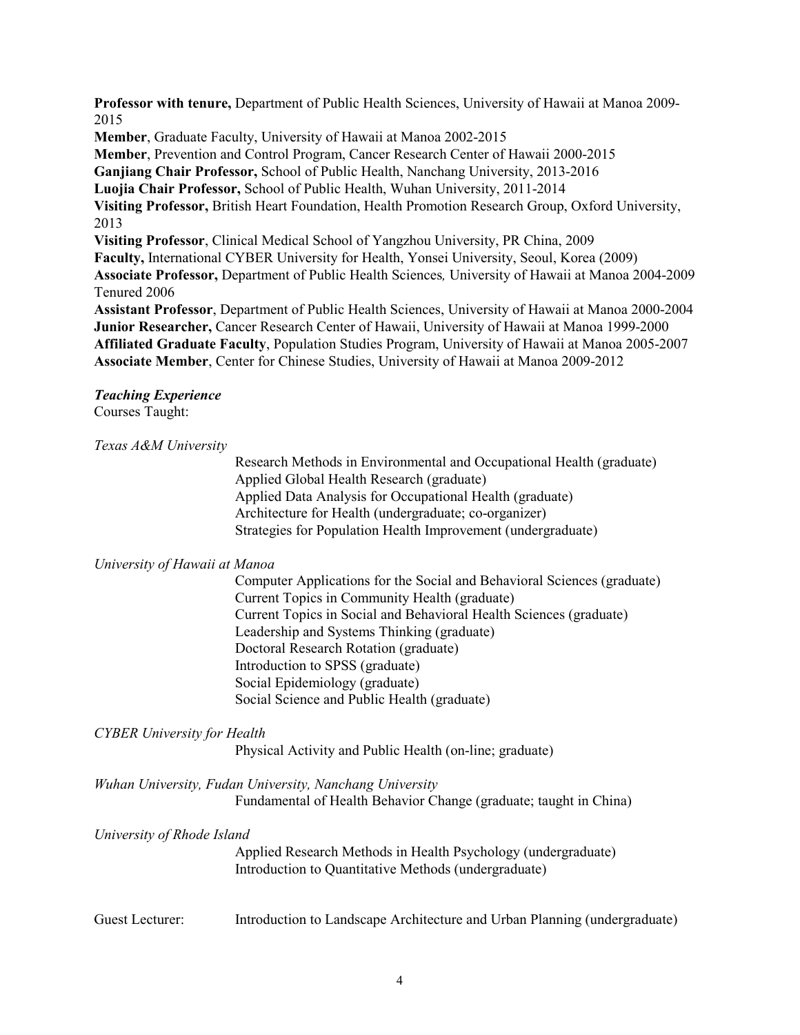**Professor with tenure,** Department of Public Health Sciences, University of Hawaii at Manoa 2009- 2015

**Member**, Graduate Faculty, University of Hawaii at Manoa 2002-2015 **Member**, Prevention and Control Program, Cancer Research Center of Hawaii 2000-2015 **Ganjiang Chair Professor,** School of Public Health, Nanchang University, 2013-2016 **Luojia Chair Professor,** School of Public Health, Wuhan University, 2011-2014 **Visiting Professor,** British Heart Foundation, Health Promotion Research Group, Oxford University, 2013 **Visiting Professor**, Clinical Medical School of Yangzhou University, PR China, 2009 **Faculty,** International CYBER University for Health, Yonsei University, Seoul, Korea (2009) **Associate Professor,** Department of Public Health Sciences*,* University of Hawaii at Manoa 2004-2009 Tenured 2006 **Assistant Professor**, Department of Public Health Sciences, University of Hawaii at Manoa 2000-2004

**Junior Researcher,** Cancer Research Center of Hawaii, University of Hawaii at Manoa 1999-2000 **Affiliated Graduate Faculty**, Population Studies Program, University of Hawaii at Manoa 2005-2007 **Associate Member**, Center for Chinese Studies, University of Hawaii at Manoa 2009-2012

# *Teaching Experience*

Courses Taught:

### *Texas A&M University*

Research Methods in Environmental and Occupational Health (graduate) Applied Global Health Research (graduate) Applied Data Analysis for Occupational Health (graduate) Architecture for Health (undergraduate; co-organizer) Strategies for Population Health Improvement (undergraduate)

## *University of Hawaii at Manoa*

Computer Applications for the Social and Behavioral Sciences (graduate) Current Topics in Community Health (graduate) Current Topics in Social and Behavioral Health Sciences (graduate) Leadership and Systems Thinking (graduate) Doctoral Research Rotation (graduate) Introduction to SPSS (graduate) Social Epidemiology (graduate) Social Science and Public Health (graduate)

## *CYBER University for Health*

Physical Activity and Public Health (on-line; graduate)

*Wuhan University, Fudan University, Nanchang University* Fundamental of Health Behavior Change (graduate; taught in China)

### *University of Rhode Island*

Applied Research Methods in Health Psychology (undergraduate) Introduction to Quantitative Methods (undergraduate)

Guest Lecturer: Introduction to Landscape Architecture and Urban Planning (undergraduate)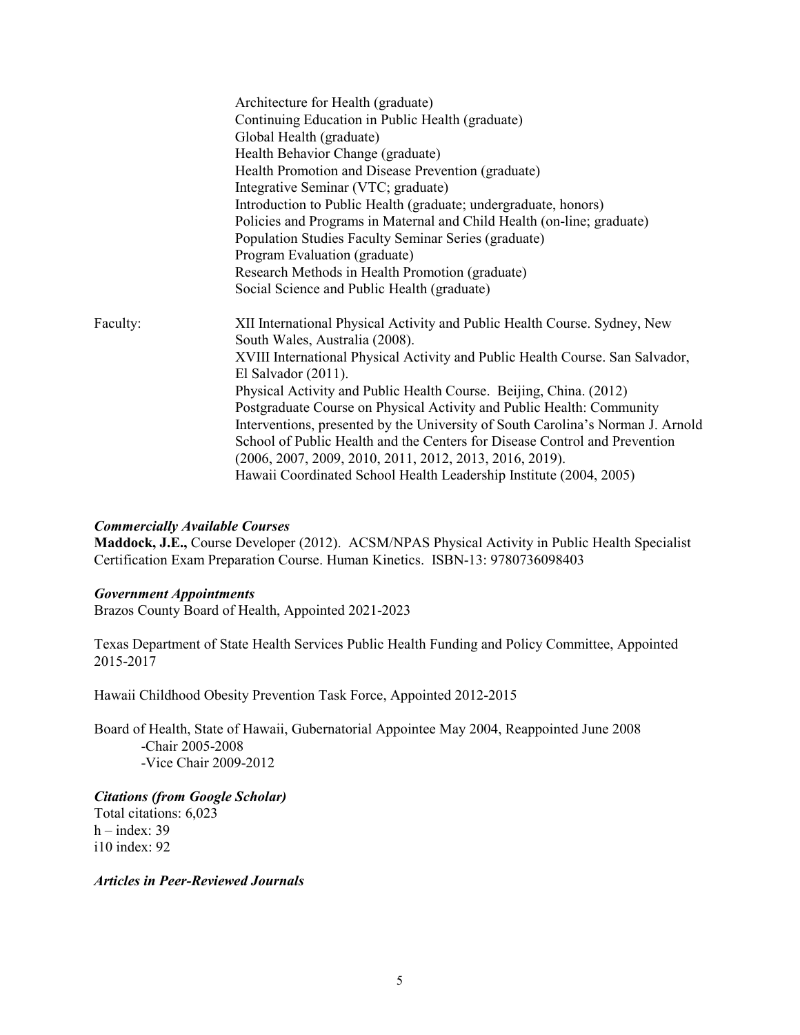|          | Architecture for Health (graduate)<br>Continuing Education in Public Health (graduate)<br>Global Health (graduate)<br>Health Behavior Change (graduate)<br>Health Promotion and Disease Prevention (graduate)<br>Integrative Seminar (VTC; graduate)<br>Introduction to Public Health (graduate; undergraduate, honors)<br>Policies and Programs in Maternal and Child Health (on-line; graduate)<br>Population Studies Faculty Seminar Series (graduate)<br>Program Evaluation (graduate)<br>Research Methods in Health Promotion (graduate) |
|----------|-----------------------------------------------------------------------------------------------------------------------------------------------------------------------------------------------------------------------------------------------------------------------------------------------------------------------------------------------------------------------------------------------------------------------------------------------------------------------------------------------------------------------------------------------|
| Faculty: | Social Science and Public Health (graduate)<br>XII International Physical Activity and Public Health Course. Sydney, New<br>South Wales, Australia (2008).<br>XVIII International Physical Activity and Public Health Course. San Salvador,<br>El Salvador $(2011)$ .<br>Physical Activity and Public Health Course. Beijing, China. (2012)                                                                                                                                                                                                   |
|          | Postgraduate Course on Physical Activity and Public Health: Community<br>Interventions, presented by the University of South Carolina's Norman J. Arnold<br>School of Public Health and the Centers for Disease Control and Prevention<br>$(2006, 2007, 2009, 2010, 2011, 2012, 2013, 2016, 2019).$<br>Hawaii Coordinated School Health Leadership Institute (2004, 2005)                                                                                                                                                                     |

#### *Commercially Available Courses*

**Maddock, J.E.,** Course Developer (2012). ACSM/NPAS Physical Activity in Public Health Specialist Certification Exam Preparation Course. Human Kinetics. ISBN-13: 9780736098403

#### *Government Appointments*

Brazos County Board of Health, Appointed 2021-2023

Texas Department of State Health Services Public Health Funding and Policy Committee, Appointed 2015-2017

Hawaii Childhood Obesity Prevention Task Force, Appointed 2012-2015

Board of Health, State of Hawaii, Gubernatorial Appointee May 2004, Reappointed June 2008 -Chair 2005-2008 -Vice Chair 2009-2012

*Citations (from Google Scholar)* Total citations: 6,023  $h$  – index: 39 i10 index: 92

*Articles in Peer-Reviewed Journals*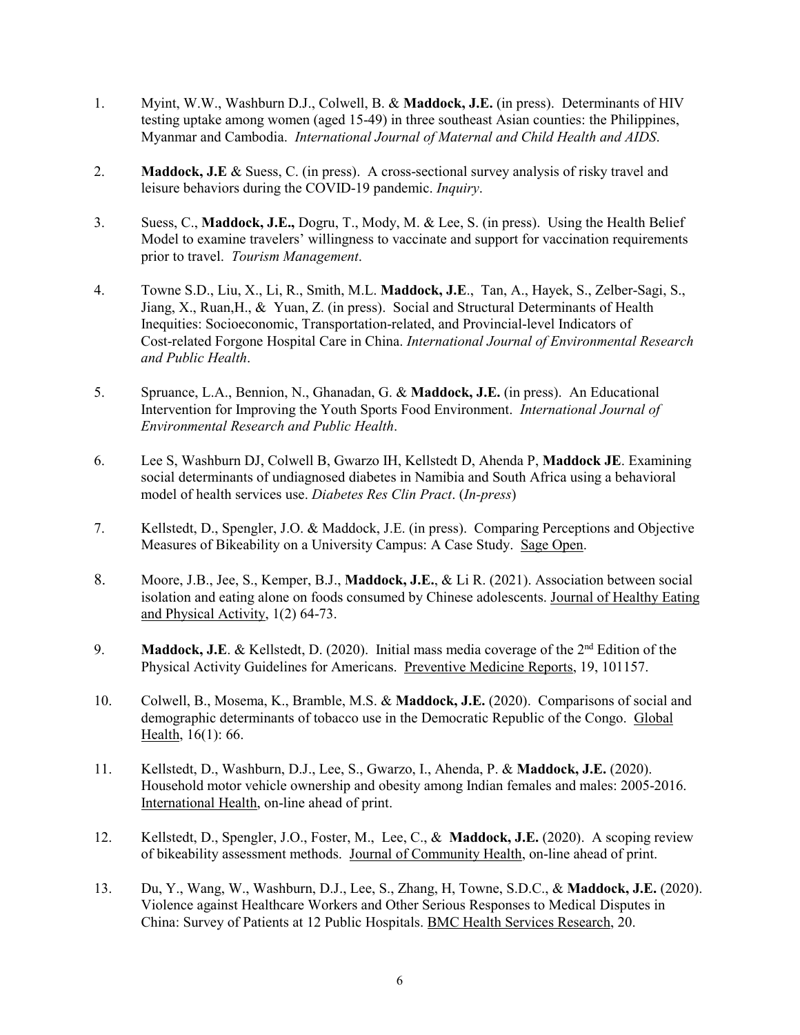- 1. Myint, W.W., Washburn D.J., Colwell, B. & **Maddock, J.E.** (in press). Determinants of HIV testing uptake among women (aged 15-49) in three southeast Asian counties: the Philippines, Myanmar and Cambodia. *International Journal of Maternal and Child Health and AIDS*.
- 2. **Maddock, J.E** & Suess, C. (in press). A cross-sectional survey analysis of risky travel and leisure behaviors during the COVID-19 pandemic. *Inquiry*.
- 3. Suess, C., **Maddock, J.E.,** Dogru, T., Mody, M. & Lee, S. (in press). Using the Health Belief Model to examine travelers' willingness to vaccinate and support for vaccination requirements prior to travel. *Tourism Management*.
- 4. Towne S.D., Liu, X., Li, R., Smith, M.L. **Maddock, J.E**., Tan, A., Hayek, S., Zelber-Sagi, S., Jiang, X., Ruan,H., & Yuan, Z. (in press). Social and Structural Determinants of Health Inequities: Socioeconomic, Transportation-related, and Provincial-level Indicators of Cost-related Forgone Hospital Care in China. *International Journal of Environmental Research and Public Health*.
- 5. Spruance, L.A., Bennion, N., Ghanadan, G. & **Maddock, J.E.** (in press). An Educational Intervention for Improving the Youth Sports Food Environment. *International Journal of Environmental Research and Public Health*.
- 6. Lee S, Washburn DJ, Colwell B, Gwarzo IH, Kellstedt D, Ahenda P, **Maddock JE**. Examining social determinants of undiagnosed diabetes in Namibia and South Africa using a behavioral model of health services use. *Diabetes Res Clin Pract*. (*In-press*)
- 7. Kellstedt, D., Spengler, J.O. & Maddock, J.E. (in press). Comparing Perceptions and Objective Measures of Bikeability on a University Campus: A Case Study. Sage Open.
- 8. Moore, J.B., Jee, S., Kemper, B.J., **Maddock, J.E.**, & Li R. (2021). Association between social isolation and eating alone on foods consumed by Chinese adolescents. Journal of Healthy Eating and Physical Activity, 1(2) 64-73.
- 9. **Maddock, J.E.** & Kellstedt, D. (2020). Initial mass media coverage of the 2<sup>nd</sup> Edition of the Physical Activity Guidelines for Americans. Preventive Medicine Reports, 19, 101157.
- 10. Colwell, B., Mosema, K., Bramble, M.S. & **Maddock, J.E.** (2020). Comparisons of social and demographic determinants of tobacco use in the Democratic Republic of the Congo. Global Health, 16(1): 66.
- 11. Kellstedt, D., Washburn, D.J., Lee, S., Gwarzo, I., Ahenda, P. & **Maddock, J.E.** (2020). Household motor vehicle ownership and obesity among Indian females and males: 2005-2016. International Health, on-line ahead of print.
- 12. Kellstedt, D., Spengler, J.O., Foster, M., Lee, C., & **Maddock, J.E.** (2020). A scoping review of bikeability assessment methods. Journal of Community Health, on-line ahead of print.
- 13. Du, Y., Wang, W., Washburn, D.J., Lee, S., Zhang, H, Towne, S.D.C., & **Maddock, J.E.** (2020). Violence against Healthcare Workers and Other Serious Responses to Medical Disputes in China: Survey of Patients at 12 Public Hospitals. BMC Health Services Research, 20.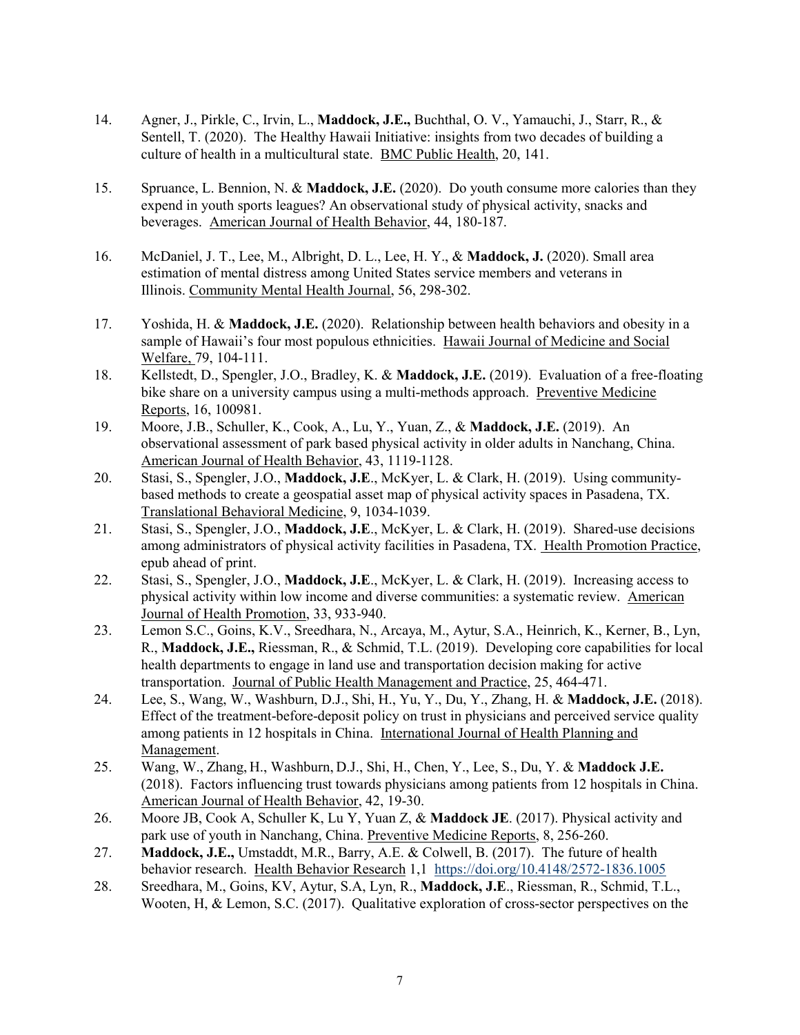- 14. Agner, J., Pirkle, C., Irvin, L., **Maddock, J.E.,** Buchthal, O. V., Yamauchi, J., Starr, R., & Sentell, T. (2020). The Healthy Hawaii Initiative: insights from two decades of building a culture of health in a multicultural state. BMC Public Health, 20, 141.
- 15. Spruance, L. Bennion, N. & **Maddock, J.E.** (2020). Do youth consume more calories than they expend in youth sports leagues? An observational study of physical activity, snacks and beverages. American Journal of Health Behavior, 44, 180-187.
- 16. McDaniel, J. T., Lee, M., Albright, D. L., Lee, H. Y., & **Maddock, J.** (2020). Small area estimation of mental distress among United States service members and veterans in Illinois. Community Mental Health Journal, 56, 298-302.
- 17. Yoshida, H. & **Maddock, J.E.** (2020). Relationship between health behaviors and obesity in a sample of Hawaii's four most populous ethnicities. Hawaii Journal of Medicine and Social Welfare, 79, 104-111.
- 18. Kellstedt, D., Spengler, J.O., Bradley, K. & **Maddock, J.E.** (2019). Evaluation of a free-floating bike share on a university campus using a multi-methods approach. Preventive Medicine Reports, 16, 100981.
- 19. Moore, J.B., Schuller, K., Cook, A., Lu, Y., Yuan, Z., & **Maddock, J.E.** (2019). An observational assessment of park based physical activity in older adults in Nanchang, China. American Journal of Health Behavior, 43, 1119-1128.
- 20. Stasi, S., Spengler, J.O., **Maddock, J.E**., McKyer, L. & Clark, H. (2019). Using communitybased methods to create a geospatial asset map of physical activity spaces in Pasadena, TX. Translational Behavioral Medicine, 9, 1034-1039.
- 21. Stasi, S., Spengler, J.O., **Maddock, J.E**., McKyer, L. & Clark, H. (2019). Shared-use decisions among administrators of physical activity facilities in Pasadena, TX. Health Promotion Practice, epub ahead of print.
- 22. Stasi, S., Spengler, J.O., **Maddock, J.E**., McKyer, L. & Clark, H. (2019). Increasing access to physical activity within low income and diverse communities: a systematic review. American Journal of Health Promotion, 33, 933-940.
- 23. Lemon S.C., Goins, K.V., Sreedhara, N., Arcaya, M., Aytur, S.A., Heinrich, K., Kerner, B., Lyn, R., **Maddock, J.E.,** Riessman, R., & Schmid, T.L. (2019). Developing core capabilities for local health departments to engage in land use and transportation decision making for active transportation. Journal of Public Health Management and Practice, 25, 464-471.
- 24. Lee, S., Wang, W., Washburn, D.J., Shi, H., Yu, Y., Du, Y., Zhang, H. & **Maddock, J.E.** (2018). Effect of the treatment-before-deposit policy on trust in physicians and perceived service quality among patients in 12 hospitals in China. International Journal of Health Planning and Management.
- 25. Wang, W., Zhang, H., Washburn, D.J., Shi, H., Chen, Y., Lee, S., Du, Y. & **Maddock J.E.** (2018). Factors influencing trust towards physicians among patients from 12 hospitals in China. American Journal of Health Behavior, 42, 19-30.
- 26. Moore JB, Cook A, Schuller K, Lu Y, Yuan Z, & **Maddock JE**. (2017). Physical activity and park use of youth in Nanchang, China. Preventive Medicine Reports, 8, 256-260.
- 27. **Maddock, J.E.,** Umstaddt, M.R., Barry, A.E. & Colwell, B. (2017). The future of health behavior research. Health Behavior Research 1,1<https://doi.org/10.4148/2572-1836.1005>
- 28. Sreedhara, M., Goins, KV, Aytur, S.A, Lyn, R., **Maddock, J.E**., Riessman, R., Schmid, T.L., Wooten, H, & Lemon, S.C. (2017). Qualitative exploration of cross-sector perspectives on the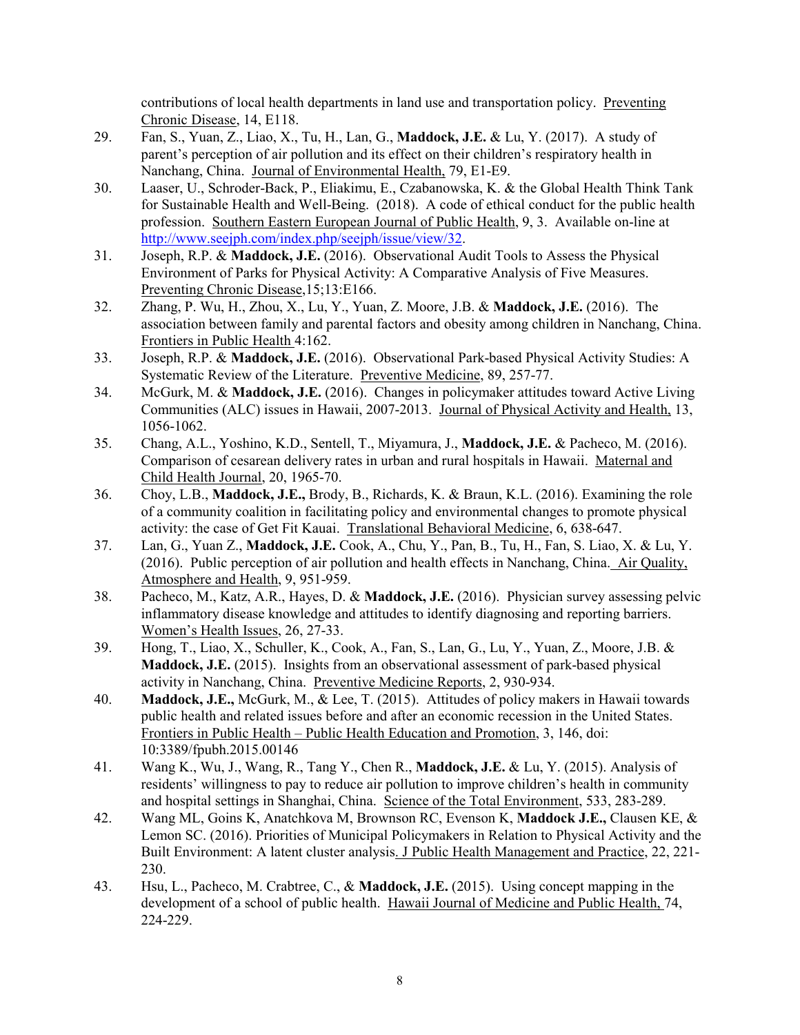contributions of local health departments in land use and transportation policy. Preventing Chronic Disease, 14, E118.

- 29. Fan, S., Yuan, Z., Liao, X., Tu, H., Lan, G., **Maddock, J.E.** & Lu, Y. (2017). A study of parent's perception of air pollution and its effect on their children's respiratory health in Nanchang, China. Journal of Environmental Health, 79, E1-E9.
- 30. Laaser, U., Schroder-Back, P., Eliakimu, E., Czabanowska, K. & the Global Health Think Tank for Sustainable Health and Well-Being. (2018). A code of ethical conduct for the public health profession. Southern Eastern European Journal of Public Health, 9, 3. Available on-line at [http://www.seejph.com/index.php/seejph/issue/view/32.](http://www.seejph.com/index.php/seejph/issue/view/32)
- 31. Joseph, R.P. & **Maddock, J.E.** (2016). Observational Audit Tools to Assess the Physical Environment of Parks for Physical Activity: A Comparative Analysis of Five Measures. Preventing Chronic Disease,15;13:E166.
- 32. Zhang, P. Wu, H., Zhou, X., Lu, Y., Yuan, Z. Moore, J.B. & **Maddock, J.E.** (2016). The association between family and parental factors and obesity among children in Nanchang, China. Frontiers in Public Health 4:162.
- 33. Joseph, R.P. & **Maddock, J.E.** (2016). Observational Park-based Physical Activity Studies: A Systematic Review of the Literature. Preventive Medicine, 89, 257-77.
- 34. McGurk, M. & **Maddock, J.E.** (2016). Changes in policymaker attitudes toward Active Living Communities (ALC) issues in Hawaii, 2007-2013. Journal of Physical Activity and Health, 13, 1056-1062.
- 35. Chang, A.L., Yoshino, K.D., Sentell, T., Miyamura, J., **Maddock, J.E.** & Pacheco, M. (2016). Comparison of cesarean delivery rates in urban and rural hospitals in Hawaii. Maternal and Child Health Journal, 20, 1965-70.
- 36. Choy, L.B., **Maddock, J.E.,** Brody, B., Richards, K. & Braun, K.L. (2016). Examining the role of a community coalition in facilitating policy and environmental changes to promote physical activity: the case of Get Fit Kauai. Translational Behavioral Medicine, 6, 638-647.
- 37. Lan, G., Yuan Z., **Maddock, J.E.** Cook, A., Chu, Y., Pan, B., Tu, H., Fan, S. Liao, X. & Lu, Y. (2016). Public perception of air pollution and health effects in Nanchang, China. Air Quality, Atmosphere and Health, 9, 951-959.
- 38. Pacheco, M., Katz, A.R., Hayes, D. & **Maddock, J.E.** (2016). Physician survey assessing pelvic inflammatory disease knowledge and attitudes to identify diagnosing and reporting barriers. Women's Health Issues, 26, 27-33.
- 39. Hong, T., Liao, X., Schuller, K., Cook, A., Fan, S., Lan, G., Lu, Y., Yuan, Z., Moore, J.B. & **Maddock, J.E.** (2015). Insights from an observational assessment of park-based physical activity in Nanchang, China. Preventive Medicine Reports, 2, 930-934.
- 40. **Maddock, J.E.,** McGurk, M., & Lee, T. (2015). Attitudes of policy makers in Hawaii towards public health and related issues before and after an economic recession in the United States. Frontiers in Public Health – Public Health Education and Promotion, 3, 146, doi: 10:3389/fpubh.2015.00146
- 41. Wang K., Wu, J., Wang, R., Tang Y., Chen R., **Maddock, J.E.** & Lu, Y. (2015). Analysis of residents' willingness to pay to reduce air pollution to improve children's health in community and hospital settings in Shanghai, China. Science of the Total Environment, 533, 283-289.
- 42. Wang ML, Goins K, Anatchkova M, Brownson RC, Evenson K, **Maddock J.E.,** Clausen KE, & Lemon SC. (2016). Priorities of Municipal Policymakers in Relation to Physical Activity and the Built Environment: A latent cluster analysis. J Public Health Management and Practice, 22, 221- 230.
- 43. Hsu, L., Pacheco, M. Crabtree, C., & **Maddock, J.E.** (2015). Using concept mapping in the development of a school of public health. Hawaii Journal of Medicine and Public Health, 74, 224-229.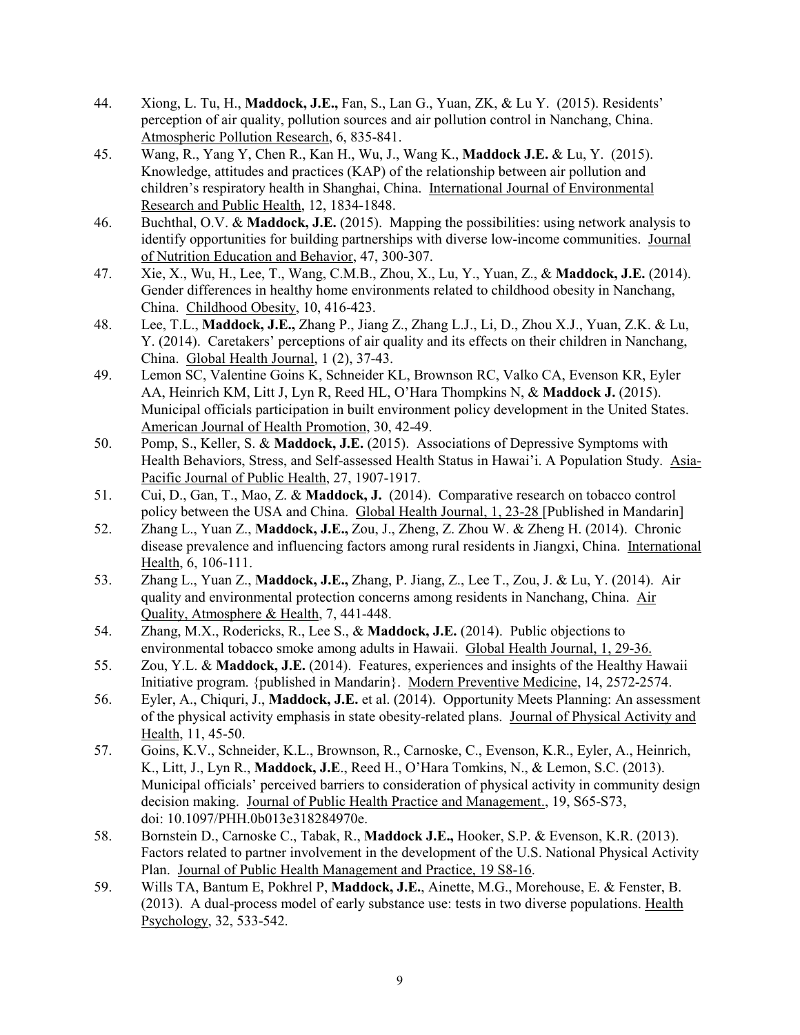- 44. Xiong, L. Tu, H., **Maddock, J.E.,** Fan, S., Lan G., Yuan, ZK, & Lu Y. (2015). Residents' perception of air quality, pollution sources and air pollution control in Nanchang, China. Atmospheric Pollution Research, 6, 835-841.
- 45. Wang, R., Yang Y, Chen R., Kan H., Wu, J., Wang K., **Maddock J.E.** & Lu, Y. (2015). Knowledge, attitudes and practices (KAP) of the relationship between air pollution and children's respiratory health in Shanghai, China. International Journal of Environmental Research and Public Health, 12, 1834-1848.
- 46. Buchthal, O.V. & **Maddock, J.E.** (2015). Mapping the possibilities: using network analysis to identify opportunities for building partnerships with diverse low-income communities. Journal of Nutrition Education and Behavior, 47, 300-307.
- 47. Xie, X., Wu, H., Lee, T., Wang, C.M.B., Zhou, X., Lu, Y., Yuan, Z., & **Maddock, J.E.** (2014). Gender differences in healthy home environments related to childhood obesity in Nanchang, China. Childhood Obesity, 10, 416-423.
- 48. Lee, T.L., **Maddock, J.E.,** Zhang P., Jiang Z., Zhang L.J., Li, D., Zhou X.J., Yuan, Z.K. & Lu, Y. (2014). Caretakers' perceptions of air quality and its effects on their children in Nanchang, China. Global Health Journal, 1 (2), 37-43.
- 49. Lemon SC, Valentine Goins K, Schneider KL, Brownson RC, Valko CA, Evenson KR, Eyler AA, Heinrich KM, Litt J, Lyn R, Reed HL, O'Hara Thompkins N, & **Maddock J.** (2015). Municipal officials participation in built environment policy development in the United States. American Journal of Health Promotion, 30, 42-49.
- 50. Pomp, S., Keller, S. & **Maddock, J.E.** (2015). Associations of Depressive Symptoms with Health Behaviors, Stress, and Self-assessed Health Status in Hawai'i. A Population Study. Asia-Pacific Journal of Public Health, 27, 1907-1917.
- 51. Cui, D., Gan, T., Mao, Z. & **Maddock, J.** (2014). Comparative research on tobacco control policy between the USA and China. Global Health Journal, 1, 23-28 [Published in Mandarin]
- 52. Zhang L., Yuan Z., **Maddock, J.E.,** Zou, J., Zheng, Z. Zhou W. & Zheng H. (2014). Chronic disease prevalence and influencing factors among rural residents in Jiangxi, China. International Health, 6, 106-111.
- 53. Zhang L., Yuan Z., **Maddock, J.E.,** Zhang, P. Jiang, Z., Lee T., Zou, J. & Lu, Y. (2014). Air quality and environmental protection concerns among residents in Nanchang, China. Air Quality, Atmosphere & Health, 7, 441-448.
- 54. Zhang, M.X., Rodericks, R., Lee S., & **Maddock, J.E.** (2014). Public objections to environmental tobacco smoke among adults in Hawaii. Global Health Journal, 1, 29-36.
- 55. Zou, Y.L. & **Maddock, J.E.** (2014). Features, experiences and insights of the Healthy Hawaii Initiative program. {published in Mandarin}. Modern Preventive Medicine, 14, 2572-2574.
- 56. Eyler, A., Chiquri, J., **Maddock, J.E.** et al. (2014). Opportunity Meets Planning: An assessment of the physical activity emphasis in state obesity-related plans. Journal of Physical Activity and Health, 11, 45-50.
- 57. Goins, K.V., Schneider, K.L., Brownson, R., Carnoske, C., Evenson, K.R., Eyler, A., Heinrich, K., Litt, J., Lyn R., **Maddock, J.E**., Reed H., O'Hara Tomkins, N., & Lemon, S.C. (2013). Municipal officials' perceived barriers to consideration of physical activity in community design decision making. Journal of Public Health Practice and Management., 19, S65-S73, doi: 10.1097/PHH.0b013e318284970e.
- 58. Bornstein D., Carnoske C., Tabak, R., **Maddock J.E.,** Hooker, S.P. & Evenson, K.R. (2013). Factors related to partner involvement in the development of the U.S. National Physical Activity Plan. Journal of Public Health Management and Practice, 19 S8-16.
- 59. Wills TA, Bantum E, Pokhrel P, **Maddock, J.E.**, Ainette, M.G., Morehouse, E. & Fenster, B. (2013). A dual-process model of early substance use: tests in two diverse populations. Health Psychology, 32, 533-542.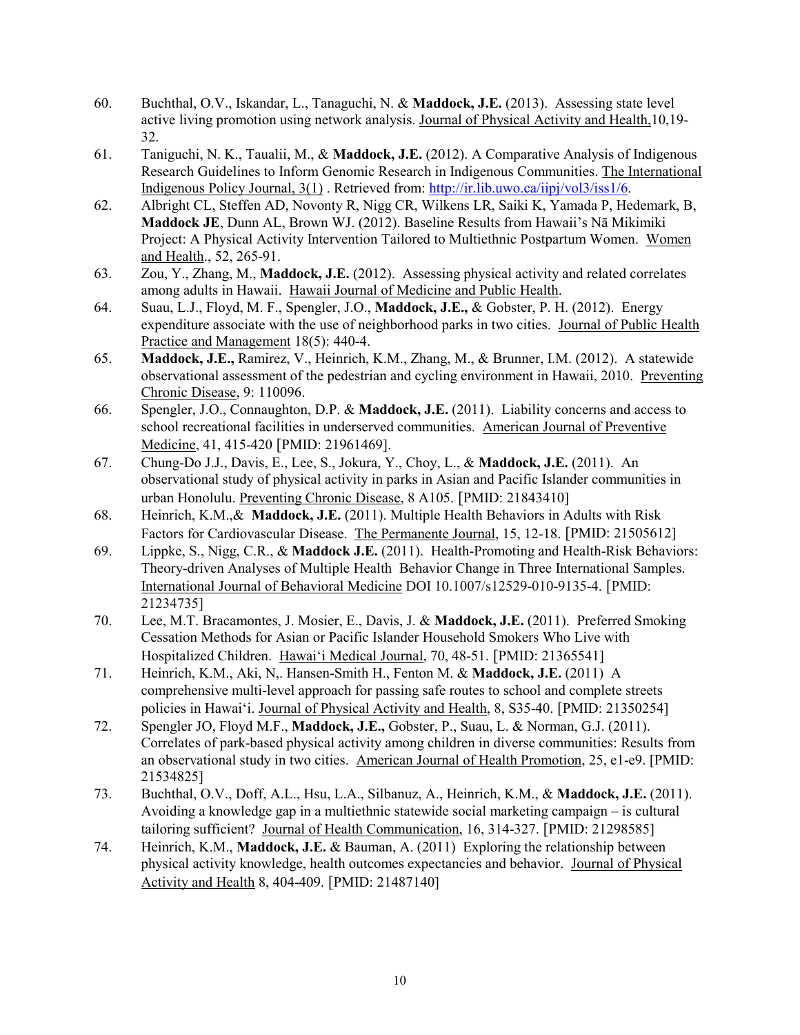- 60. Buchthal, O.V., Iskandar, L., Tanaguchi, N. & **Maddock, J.E.** (2013). Assessing state level active living promotion using network analysis. Journal of Physical Activity and Health,10,19- 32.
- 61. Taniguchi, N. K., Taualii, M., & **Maddock, J.E.** (2012). A Comparative Analysis of Indigenous Research Guidelines to Inform Genomic Research in Indigenous Communities. The International Indigenous Policy Journal, 3(1) . Retrieved from: [http://ir.lib.uwo.ca/iipj/vol3/iss1/6.](http://ir.lib.uwo.ca/iipj/vol3/iss1/6)
- 62. Albright CL, Steffen AD, Novonty R, Nigg CR, Wilkens LR, Saiki K, Yamada P, Hedemark, B, **Maddock JE**, Dunn AL, Brown WJ. (2012). Baseline Results from Hawaii's Nā Mikimiki Project: A Physical Activity Intervention Tailored to Multiethnic Postpartum Women. Women and Health., 52, 265-91.
- 63. Zou, Y., Zhang, M., **Maddock, J.E.** (2012). Assessing physical activity and related correlates among adults in Hawaii. Hawaii Journal of Medicine and Public Health.
- 64. Suau, L.J., Floyd, M. F., Spengler, J.O., **Maddock, J.E.,** & Gobster, P. H. (2012). Energy expenditure associate with the use of neighborhood parks in two cities. Journal of Public Health Practice and Management 18(5): 440-4.
- 65. **Maddock, J.E.,** Ramirez, V., Heinrich, K.M., Zhang, M., & Brunner, I.M. (2012). A statewide observational assessment of the pedestrian and cycling environment in Hawaii, 2010. Preventing Chronic Disease, 9: 110096.
- 66. Spengler, J.O., Connaughton, D.P. & **Maddock, J.E.** (2011). Liability concerns and access to school recreational facilities in underserved communities. American Journal of Preventive Medicine, 41, 415-420 [PMID: 21961469].
- 67. Chung-Do J.J., Davis, E., Lee, S., Jokura, Y., Choy, L., & **Maddock, J.E.** (2011). An observational study of physical activity in parks in Asian and Pacific Islander communities in urban Honolulu. Preventing Chronic Disease, 8 A105. [PMID: 21843410]
- 68. Heinrich, K.M.,& **Maddock, J.E.** (2011). Multiple Health Behaviors in Adults with Risk Factors for Cardiovascular Disease. The Permanente Journal, 15, 12-18. [PMID: 21505612]
- 69. Lippke, S., Nigg, C.R., & **Maddock J.E.** (2011). Health-Promoting and Health-Risk Behaviors: Theory-driven Analyses of Multiple Health Behavior Change in Three International Samples. International Journal of Behavioral Medicine DOI 10.1007/s12529-010-9135-4. [PMID: 21234735]
- 70. Lee, M.T. Bracamontes, J. Mosier, E., Davis, J. & **Maddock, J.E.** (2011). Preferred Smoking Cessation Methods for Asian or Pacific Islander Household Smokers Who Live with Hospitalized Children. Hawai'i Medical Journal, 70, 48-51. [PMID: 21365541]
- 71. Heinrich, K.M., Aki, N,. Hansen-Smith H., Fenton M. & **Maddock, J.E.** (2011) A comprehensive multi-level approach for passing safe routes to school and complete streets policies in Hawai'i. Journal of Physical Activity and Health, 8, S35-40. [PMID: 21350254]
- 72. Spengler JO, Floyd M.F., **Maddock, J.E.,** Gobster, P., Suau, L. & Norman, G.J. (2011). Correlates of park-based physical activity among children in diverse communities: Results from an observational study in two cities. American Journal of Health Promotion, 25, e1-e9. [PMID: 21534825]
- 73. Buchthal, O.V., Doff, A.L., Hsu, L.A., Silbanuz, A., Heinrich, K.M., & **Maddock, J.E.** (2011). Avoiding a knowledge gap in a multiethnic statewide social marketing campaign – is cultural tailoring sufficient? Journal of Health Communication, 16, 314-327. [PMID: 21298585]
- 74. Heinrich, K.M., **Maddock, J.E.** & Bauman, A. (2011) Exploring the relationship between physical activity knowledge, health outcomes expectancies and behavior. Journal of Physical Activity and Health 8, 404-409. [PMID: 21487140]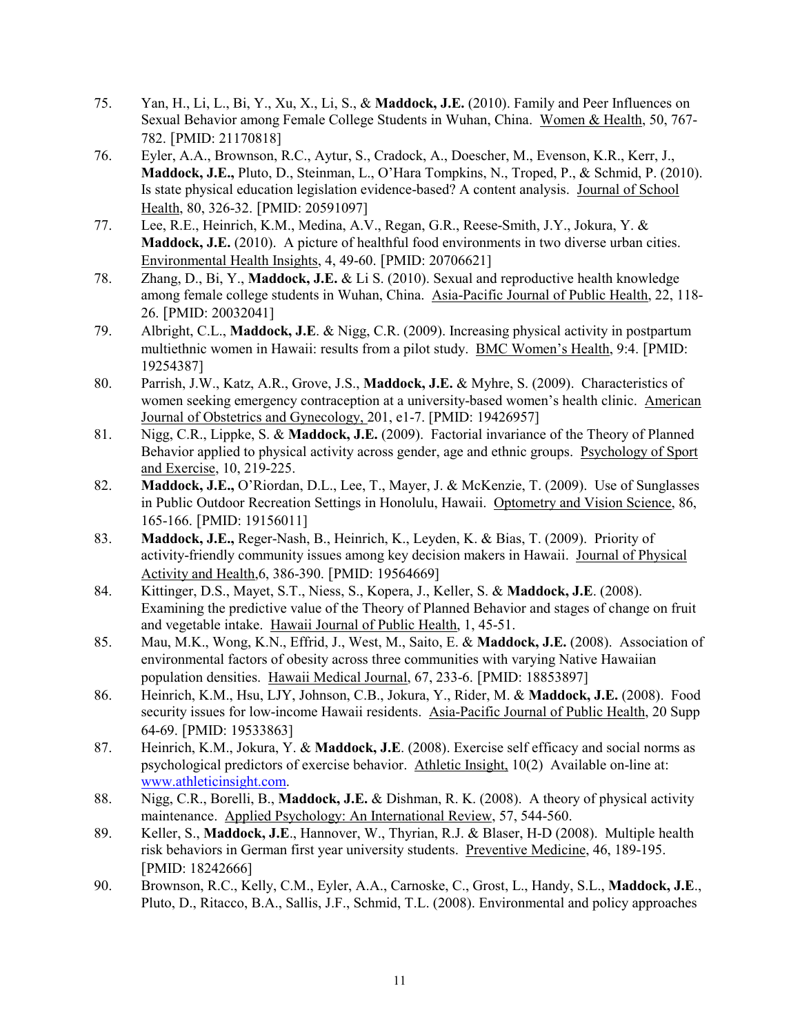- 75. Yan, H., Li, L., Bi, Y., Xu, X., Li, S., & **Maddock, J.E.** (2010). Family and Peer Influences on Sexual Behavior among Female College Students in Wuhan, China. Women & Health, 50, 767- 782. [PMID: 21170818]
- 76. Eyler, A.A., Brownson, R.C., Aytur, S., Cradock, A., Doescher, M., Evenson, K.R., Kerr, J., **Maddock, J.E.,** Pluto, D., Steinman, L., O'Hara Tompkins, N., Troped, P., & Schmid, P. (2010). Is state physical education legislation evidence-based? A content analysis. Journal of School Health, 80, 326-32. [PMID: 20591097]
- 77. Lee, R.E., Heinrich, K.M., Medina, A.V., Regan, G.R., Reese-Smith, J.Y., Jokura, Y. & **Maddock, J.E.** (2010). A picture of healthful food environments in two diverse urban cities. Environmental Health Insights, 4, 49-60. [PMID: 20706621]
- 78. Zhang, D., Bi, Y., **Maddock, J.E.** & Li S. (2010). Sexual and reproductive health knowledge among female college students in Wuhan, China. Asia-Pacific Journal of Public Health, 22, 118- 26. [PMID: 20032041]
- 79. Albright, C.L., **Maddock, J.E**. & Nigg, C.R. (2009). Increasing physical activity in postpartum multiethnic women in Hawaii: results from a pilot study. BMC Women's Health, 9:4. [PMID: 19254387]
- 80. Parrish, J.W., Katz, A.R., Grove, J.S., **Maddock, J.E.** & Myhre, S. (2009). Characteristics of women seeking emergency contraception at a university-based women's health clinic. American Journal of Obstetrics and Gynecology, 201, e1-7. [PMID: 19426957]
- 81. Nigg, C.R., Lippke, S. & **Maddock, J.E.** (2009). Factorial invariance of the Theory of Planned Behavior applied to physical activity across gender, age and ethnic groups. Psychology of Sport and Exercise, 10, 219-225.
- 82. **Maddock, J.E.,** O'Riordan, D.L., Lee, T., Mayer, J. & McKenzie, T. (2009). Use of Sunglasses in Public Outdoor Recreation Settings in Honolulu, Hawaii. Optometry and Vision Science, 86, 165-166. [PMID: 19156011]
- 83. **Maddock, J.E.,** Reger-Nash, B., Heinrich, K., Leyden, K. & Bias, T. (2009). Priority of activity-friendly community issues among key decision makers in Hawaii. Journal of Physical Activity and Health,6, 386-390. [PMID: 19564669]
- 84. Kittinger, D.S., Mayet, S.T., Niess, S., Kopera, J., Keller, S. & **Maddock, J.E**. (2008). Examining the predictive value of the Theory of Planned Behavior and stages of change on fruit and vegetable intake. Hawaii Journal of Public Health, 1, 45-51.
- 85. Mau, M.K., Wong, K.N., Effrid, J., West, M., Saito, E. & **Maddock, J.E.** (2008). Association of environmental factors of obesity across three communities with varying Native Hawaiian population densities. Hawaii Medical Journal, 67, 233-6. [PMID: 18853897]
- 86. Heinrich, K.M., Hsu, LJY, Johnson, C.B., Jokura, Y., Rider, M. & **Maddock, J.E.** (2008). Food security issues for low-income Hawaii residents. Asia-Pacific Journal of Public Health, 20 Supp 64-69. [PMID: 19533863]
- 87. Heinrich, K.M., Jokura, Y. & **Maddock, J.E**. (2008). Exercise self efficacy and social norms as psychological predictors of exercise behavior. Athletic Insight, 10(2) Available on-line at: [www.athleticinsight.com.](http://www.athleticinsight.com/)
- 88. Nigg, C.R., Borelli, B., **Maddock, J.E.** & Dishman, R. K. (2008). A theory of physical activity maintenance. Applied Psychology: An International Review, 57, 544-560.
- 89. Keller, S., **Maddock, J.E**., Hannover, W., Thyrian, R.J. & Blaser, H-D (2008). Multiple health risk behaviors in German first year university students. Preventive Medicine, 46, 189-195. [PMID: 18242666]
- 90. Brownson, R.C., Kelly, C.M., Eyler, A.A., Carnoske, C., Grost, L., Handy, S.L., **Maddock, J.E**., Pluto, D., Ritacco, B.A., Sallis, J.F., Schmid, T.L. (2008). Environmental and policy approaches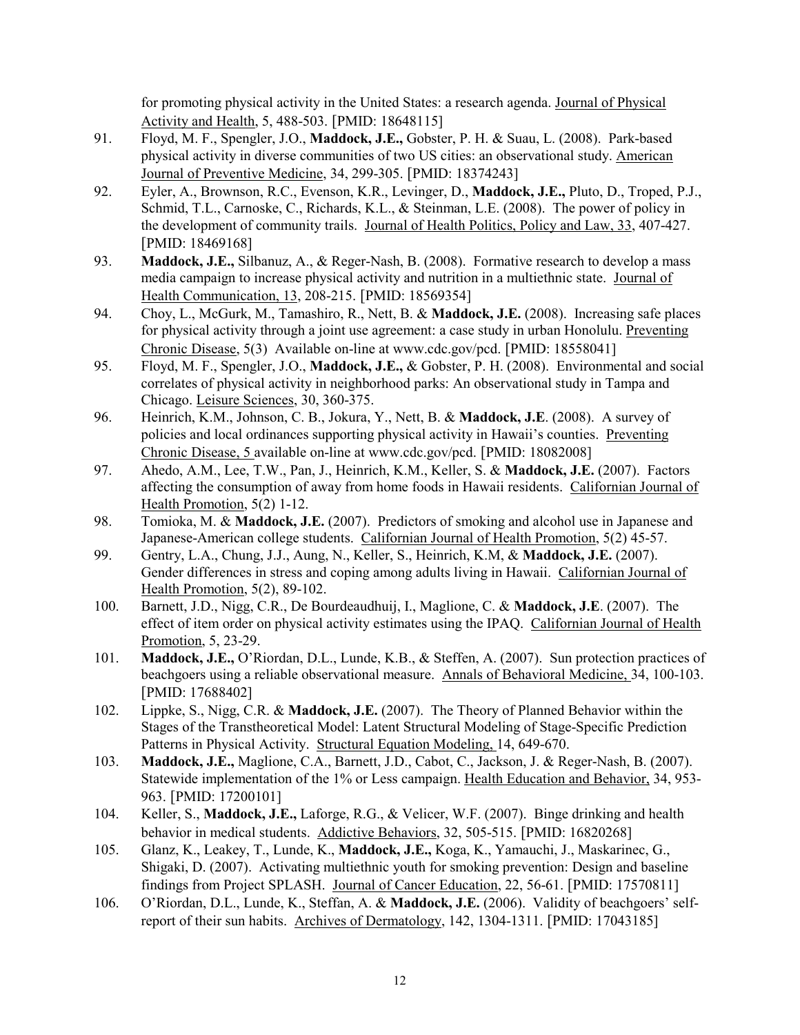for promoting physical activity in the United States: a research agenda. Journal of Physical Activity and Health, 5, 488-503. [PMID: 18648115]

- 91. Floyd, M. F., Spengler, J.O., **Maddock, J.E.,** Gobster, P. H. & Suau, L. (2008). Park-based physical activity in diverse communities of two US cities: an observational study. American Journal of Preventive Medicine, 34, 299-305. [PMID: 18374243]
- 92. Eyler, A., Brownson, R.C., Evenson, K.R., Levinger, D., **Maddock, J.E.,** Pluto, D., Troped, P.J., Schmid, T.L., Carnoske, C., Richards, K.L., & Steinman, L.E. (2008). The power of policy in the development of community trails. Journal of Health Politics, Policy and Law, 33, 407-427. [PMID: 18469168]
- 93. **Maddock, J.E.,** Silbanuz, A., & Reger-Nash, B. (2008). Formative research to develop a mass media campaign to increase physical activity and nutrition in a multiethnic state. Journal of Health Communication, 13, 208-215. [PMID: 18569354]
- 94. Choy, L., McGurk, M., Tamashiro, R., Nett, B. & **Maddock, J.E.** (2008). Increasing safe places for physical activity through a joint use agreement: a case study in urban Honolulu. Preventing Chronic Disease, 5(3) Available on-line at www.cdc.gov/pcd. [PMID: 18558041]
- 95. Floyd, M. F., Spengler, J.O., **Maddock, J.E.,** & Gobster, P. H. (2008). Environmental and social correlates of physical activity in neighborhood parks: An observational study in Tampa and Chicago. Leisure Sciences, 30, 360-375.
- 96. Heinrich, K.M., Johnson, C. B., Jokura, Y., Nett, B. & **Maddock, J.E**. (2008). A survey of policies and local ordinances supporting physical activity in Hawaii's counties. Preventing Chronic Disease, 5 available on-line at www.cdc.gov/pcd. [PMID: 18082008]
- 97. Ahedo, A.M., Lee, T.W., Pan, J., Heinrich, K.M., Keller, S. & **Maddock, J.E.** (2007). Factors affecting the consumption of away from home foods in Hawaii residents. Californian Journal of Health Promotion, 5(2) 1-12.
- 98. Tomioka, M. & **Maddock, J.E.** (2007). Predictors of smoking and alcohol use in Japanese and Japanese-American college students. Californian Journal of Health Promotion, 5(2) 45-57.
- 99. Gentry, L.A., Chung, J.J., Aung, N., Keller, S., Heinrich, K.M, & **Maddock, J.E.** (2007). Gender differences in stress and coping among adults living in Hawaii. Californian Journal of Health Promotion, 5(2), 89-102.
- 100. Barnett, J.D., Nigg, C.R., De Bourdeaudhuij, I., Maglione, C. & **Maddock, J.E**. (2007). The effect of item order on physical activity estimates using the IPAQ. Californian Journal of Health Promotion, 5, 23-29.
- 101. **Maddock, J.E.,** O'Riordan, D.L., Lunde, K.B., & Steffen, A. (2007). Sun protection practices of beachgoers using a reliable observational measure. Annals of Behavioral Medicine, 34, 100-103. [PMID: 17688402]
- 102. Lippke, S., Nigg, C.R. & **Maddock, J.E.** (2007). The Theory of Planned Behavior within the Stages of the Transtheoretical Model: Latent Structural Modeling of Stage-Specific Prediction Patterns in Physical Activity. Structural Equation Modeling, 14, 649-670.
- 103. **Maddock, J.E.,** Maglione, C.A., Barnett, J.D., Cabot, C., Jackson, J. & Reger-Nash, B. (2007). Statewide implementation of the 1% or Less campaign. Health Education and Behavior, 34, 953- 963. [PMID: 17200101]
- 104. Keller, S., **Maddock, J.E.,** Laforge, R.G., & Velicer, W.F. (2007). Binge drinking and health behavior in medical students. Addictive Behaviors, 32, 505-515. [PMID: 16820268]
- 105. Glanz, K., Leakey, T., Lunde, K., **Maddock, J.E.,** Koga, K., Yamauchi, J., Maskarinec, G., Shigaki, D. (2007). Activating multiethnic youth for smoking prevention: Design and baseline findings from Project SPLASH. Journal of Cancer Education, 22, 56-61. [PMID: 17570811]
- 106. O'Riordan, D.L., Lunde, K., Steffan, A. & **Maddock, J.E.** (2006). Validity of beachgoers' selfreport of their sun habits. Archives of Dermatology, 142, 1304-1311. [PMID: 17043185]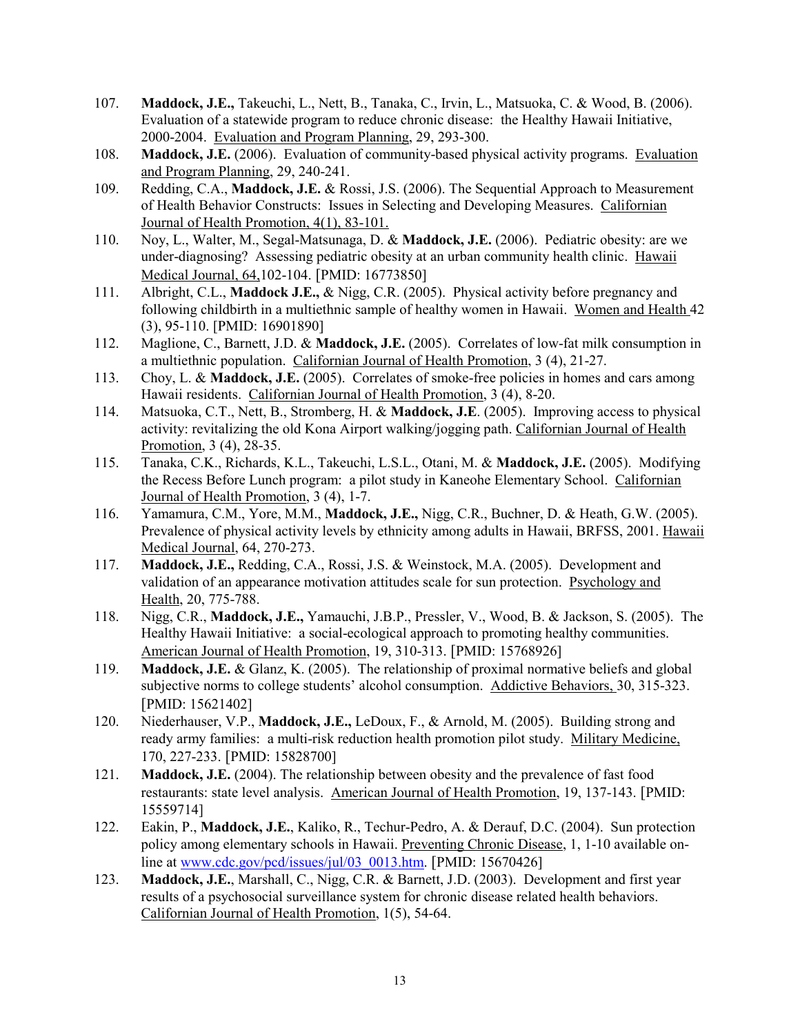- 107. **Maddock, J.E.,** Takeuchi, L., Nett, B., Tanaka, C., Irvin, L., Matsuoka, C. & Wood, B. (2006). Evaluation of a statewide program to reduce chronic disease: the Healthy Hawaii Initiative, 2000-2004. Evaluation and Program Planning, 29, 293-300.
- 108. **Maddock, J.E.** (2006). Evaluation of community-based physical activity programs. Evaluation and Program Planning, 29, 240-241.
- 109. Redding, C.A., **Maddock, J.E.** & Rossi, J.S. (2006). The Sequential Approach to Measurement of Health Behavior Constructs: Issues in Selecting and Developing Measures. Californian Journal of Health Promotion, 4(1), 83-101.
- 110. Noy, L., Walter, M., Segal-Matsunaga, D. & **Maddock, J.E.** (2006). Pediatric obesity: are we under-diagnosing? Assessing pediatric obesity at an urban community health clinic. Hawaii Medical Journal, 64,102-104. [PMID: 16773850]
- 111. Albright, C.L., **Maddock J.E.,** & Nigg, C.R. (2005). Physical activity before pregnancy and following childbirth in a multiethnic sample of healthy women in Hawaii. Women and Health 42 (3), 95-110. [PMID: 16901890]
- 112. Maglione, C., Barnett, J.D. & **Maddock, J.E.** (2005). Correlates of low-fat milk consumption in a multiethnic population. Californian Journal of Health Promotion, 3 (4), 21-27.
- 113. Choy, L. & **Maddock, J.E.** (2005). Correlates of smoke-free policies in homes and cars among Hawaii residents. Californian Journal of Health Promotion, 3 (4), 8-20.
- 114. Matsuoka, C.T., Nett, B., Stromberg, H. & **Maddock, J.E**. (2005). Improving access to physical activity: revitalizing the old Kona Airport walking/jogging path. Californian Journal of Health Promotion, 3 (4), 28-35.
- 115. Tanaka, C.K., Richards, K.L., Takeuchi, L.S.L., Otani, M. & **Maddock, J.E.** (2005). Modifying the Recess Before Lunch program: a pilot study in Kaneohe Elementary School. Californian Journal of Health Promotion, 3 (4), 1-7.
- 116. Yamamura, C.M., Yore, M.M., **Maddock, J.E.,** Nigg, C.R., Buchner, D. & Heath, G.W. (2005). Prevalence of physical activity levels by ethnicity among adults in Hawaii, BRFSS, 2001. Hawaii Medical Journal, 64, 270-273.
- 117. **Maddock, J.E.,** Redding, C.A., Rossi, J.S. & Weinstock, M.A. (2005). Development and validation of an appearance motivation attitudes scale for sun protection. Psychology and Health, 20, 775-788.
- 118. Nigg, C.R., **Maddock, J.E.,** Yamauchi, J.B.P., Pressler, V., Wood, B. & Jackson, S. (2005). The Healthy Hawaii Initiative: a social-ecological approach to promoting healthy communities. American Journal of Health Promotion, 19, 310-313. [PMID: 15768926]
- 119. **Maddock, J.E.** & Glanz, K. (2005). The relationship of proximal normative beliefs and global subjective norms to college students' alcohol consumption. Addictive Behaviors, 30, 315-323. [PMID: 15621402]
- 120. Niederhauser, V.P., **Maddock, J.E.,** LeDoux, F., & Arnold, M. (2005). Building strong and ready army families: a multi-risk reduction health promotion pilot study. Military Medicine, 170, 227-233. [PMID: 15828700]
- 121. **Maddock, J.E.** (2004). The relationship between obesity and the prevalence of fast food restaurants: state level analysis. American Journal of Health Promotion, 19, 137-143. [PMID: 15559714]
- 122. Eakin, P., **Maddock, J.E.**, Kaliko, R., Techur-Pedro, A. & Derauf, D.C. (2004). Sun protection policy among elementary schools in Hawaii. Preventing Chronic Disease, 1, 1-10 available online at [www.cdc.gov/pcd/issues/jul/03\\_0013.htm.](http://www.cdc.gov/pcd/issues/jul/03_0013.htm) [PMID: 15670426]
- 123. **Maddock, J.E.**, Marshall, C., Nigg, C.R. & Barnett, J.D. (2003). Development and first year results of a psychosocial surveillance system for chronic disease related health behaviors. Californian Journal of Health Promotion, 1(5), 54-64.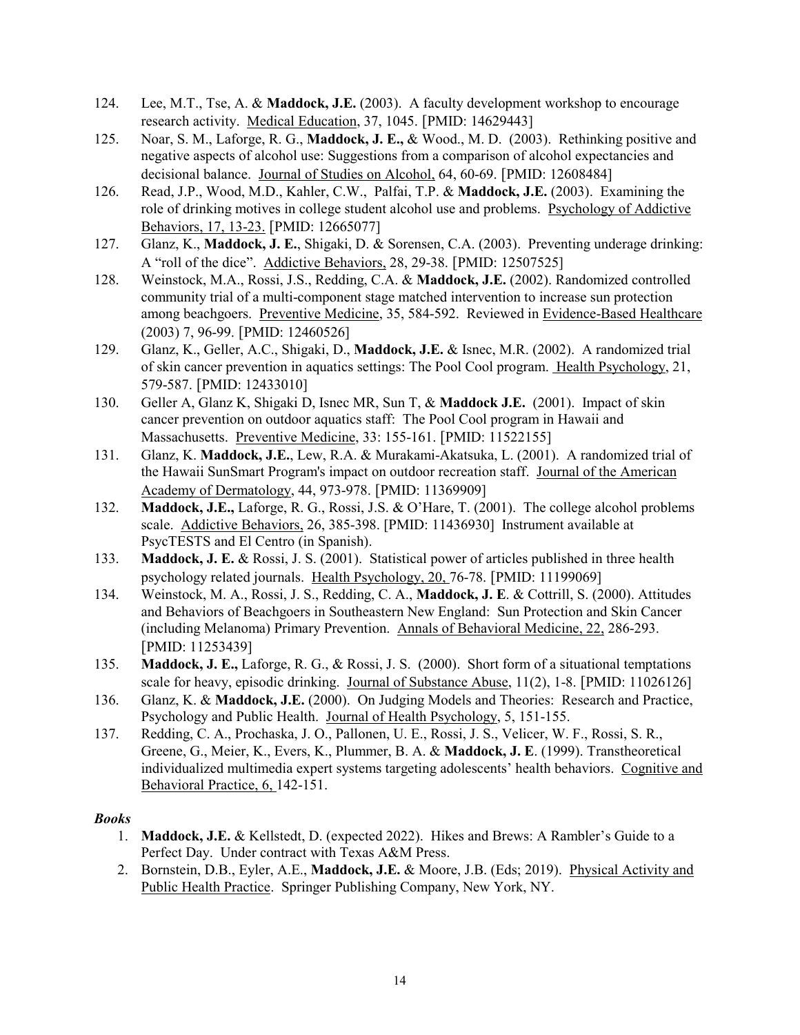- 124. Lee, M.T., Tse, A. & **Maddock, J.E.** (2003). A faculty development workshop to encourage research activity. Medical Education, 37, 1045. [PMID: 14629443]
- 125. Noar, S. M., Laforge, R. G., **Maddock, J. E.,** & Wood., M. D. (2003). Rethinking positive and negative aspects of alcohol use: Suggestions from a comparison of alcohol expectancies and decisional balance. Journal of Studies on Alcohol, 64, 60-69. [PMID: 12608484]
- 126. Read, J.P., Wood, M.D., Kahler, C.W., Palfai, T.P. & **Maddock, J.E.** (2003). Examining the role of drinking motives in college student alcohol use and problems. Psychology of Addictive Behaviors, 17, 13-23. [PMID: 12665077]
- 127. Glanz, K., **Maddock, J. E.**, Shigaki, D. & Sorensen, C.A. (2003). Preventing underage drinking: A "roll of the dice". Addictive Behaviors, 28, 29-38. [PMID: 12507525]
- 128. Weinstock, M.A., Rossi, J.S., Redding, C.A. & **Maddock, J.E.** (2002). Randomized controlled community trial of a multi-component stage matched intervention to increase sun protection among beachgoers. Preventive Medicine, 35, 584-592. Reviewed in Evidence-Based Healthcare (2003) 7, 96-99. [PMID: 12460526]
- 129. Glanz, K., Geller, A.C., Shigaki, D., **Maddock, J.E.** & Isnec, M.R. (2002). A randomized trial of skin cancer prevention in aquatics settings: The Pool Cool program. Health Psychology, 21, 579-587. [PMID: 12433010]
- 130. Geller A, Glanz K, Shigaki D, Isnec MR, Sun T, & **Maddock J.E.** (2001). Impact of skin cancer prevention on outdoor aquatics staff: The Pool Cool program in Hawaii and Massachusetts. Preventive Medicine, 33: 155-161. [PMID: 11522155]
- 131. Glanz, K. **Maddock, J.E.**, Lew, R.A. & Murakami-Akatsuka, L. (2001). A randomized trial of the Hawaii SunSmart Program's impact on outdoor recreation staff. Journal of the American Academy of Dermatology, 44, 973-978. [PMID: 11369909]
- 132. **Maddock, J.E.,** Laforge, R. G., Rossi, J.S. & O'Hare, T. (2001). The college alcohol problems scale. Addictive Behaviors, 26, 385-398. [PMID: 11436930] Instrument available at PsycTESTS and El Centro (in Spanish).
- 133. **Maddock, J. E.** & Rossi, J. S. (2001). Statistical power of articles published in three health psychology related journals. Health Psychology, 20, 76-78. [PMID: 11199069]
- 134. Weinstock, M. A., Rossi, J. S., Redding, C. A., **Maddock, J. E**. & Cottrill, S. (2000). Attitudes and Behaviors of Beachgoers in Southeastern New England: Sun Protection and Skin Cancer (including Melanoma) Primary Prevention. Annals of Behavioral Medicine, 22, 286-293. [PMID: 11253439]
- 135. **Maddock, J. E.,** Laforge, R. G., & Rossi, J. S. (2000). Short form of a situational temptations scale for heavy, episodic drinking. Journal of Substance Abuse, 11(2), 1-8. [PMID: 11026126]
- 136. Glanz, K. & **Maddock, J.E.** (2000). On Judging Models and Theories: Research and Practice, Psychology and Public Health. Journal of Health Psychology, 5, 151-155.
- 137. Redding, C. A., Prochaska, J. O., Pallonen, U. E., Rossi, J. S., Velicer, W. F., Rossi, S. R., Greene, G., Meier, K., Evers, K., Plummer, B. A. & **Maddock, J. E**. (1999). Transtheoretical individualized multimedia expert systems targeting adolescents' health behaviors. Cognitive and Behavioral Practice, 6, 142-151.

## *Books*

- 1. **Maddock, J.E.** & Kellstedt, D. (expected 2022). Hikes and Brews: A Rambler's Guide to a Perfect Day. Under contract with Texas A&M Press.
- 2. Bornstein, D.B., Eyler, A.E., **Maddock, J.E.** & Moore, J.B. (Eds; 2019). Physical Activity and Public Health Practice. Springer Publishing Company, New York, NY.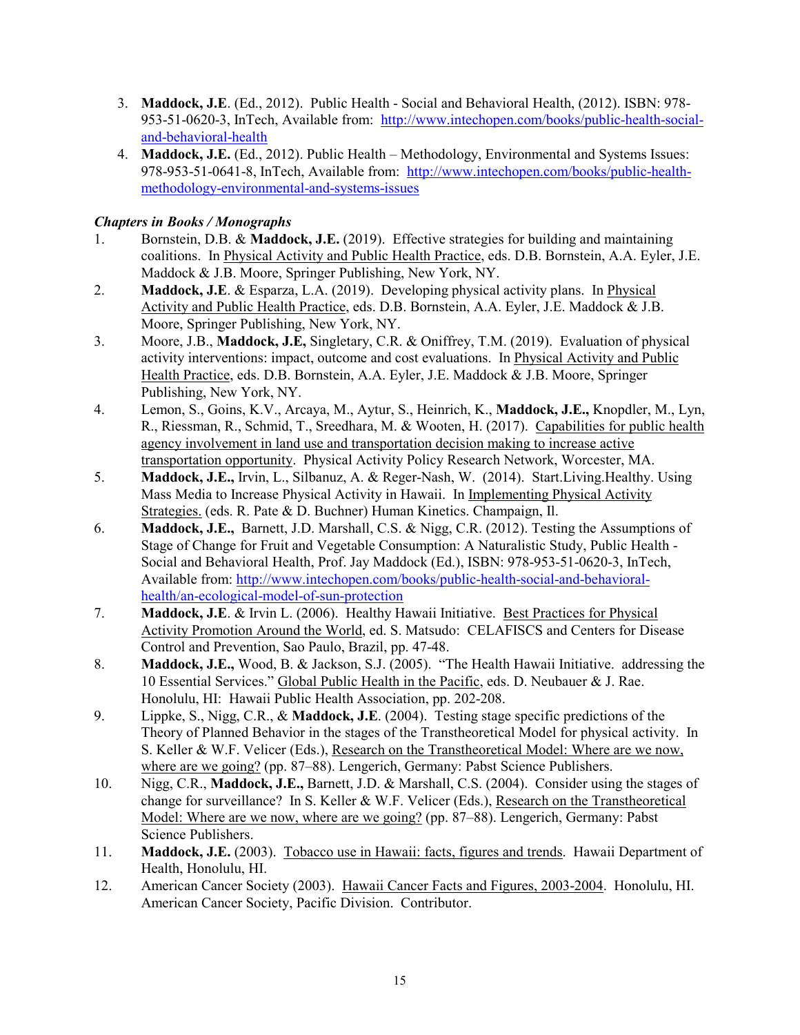- 3. **Maddock, J.E**. (Ed., 2012). Public Health Social and Behavioral Health, (2012). ISBN: 978- 953-51-0620-3, InTech, Available from: [http://www.intechopen.com/books/public-health-social](http://www.intechopen.com/books/public-health-social-and-behavioral-health)[and-behavioral-health](http://www.intechopen.com/books/public-health-social-and-behavioral-health)
- 4. **Maddock, J.E.** (Ed., 2012). Public Health Methodology, Environmental and Systems Issues: 978-953-51-0641-8, InTech, Available from: [http://www.intechopen.com/books/public-health](http://www.intechopen.com/books/public-health-social-and-behavioral-health)[methodology-environmental-and-systems-issues](http://www.intechopen.com/books/public-health-social-and-behavioral-health)

## *Chapters in Books / Monographs*

- 1. Bornstein, D.B. & **Maddock, J.E.** (2019). Effective strategies for building and maintaining coalitions. In Physical Activity and Public Health Practice, eds. D.B. Bornstein, A.A. Eyler, J.E. Maddock & J.B. Moore, Springer Publishing, New York, NY.
- 2. **Maddock, J.E**. & Esparza, L.A. (2019). Developing physical activity plans. In Physical Activity and Public Health Practice, eds. D.B. Bornstein, A.A. Eyler, J.E. Maddock & J.B. Moore, Springer Publishing, New York, NY.
- 3. Moore, J.B., **Maddock, J.E,** Singletary, C.R. & Oniffrey, T.M. (2019). Evaluation of physical activity interventions: impact, outcome and cost evaluations. In Physical Activity and Public Health Practice, eds. D.B. Bornstein, A.A. Eyler, J.E. Maddock & J.B. Moore, Springer Publishing, New York, NY.
- 4. Lemon, S., Goins, K.V., Arcaya, M., Aytur, S., Heinrich, K., **Maddock, J.E.,** Knopdler, M., Lyn, R., Riessman, R., Schmid, T., Sreedhara, M. & Wooten, H. (2017). Capabilities for public health agency involvement in land use and transportation decision making to increase active transportation opportunity. Physical Activity Policy Research Network, Worcester, MA.
- 5. **Maddock, J.E.,** Irvin, L., Silbanuz, A. & Reger-Nash, W. (2014). Start.Living.Healthy. Using Mass Media to Increase Physical Activity in Hawaii. In Implementing Physical Activity Strategies. (eds. R. Pate & D. Buchner) Human Kinetics. Champaign, Il.
- 6. **Maddock, J.E.,** Barnett, J.D. Marshall, C.S. & Nigg, C.R. (2012). Testing the Assumptions of Stage of Change for Fruit and Vegetable Consumption: A Naturalistic Study, Public Health - Social and Behavioral Health, Prof. Jay Maddock (Ed.), ISBN: 978-953-51-0620-3, InTech, Available from: [http://www.intechopen.com/books/public-health-social-and-behavioral](http://www.intechopen.com/books/public-health-social-and-behavioral-health/an-ecological-model-of-sun-protection)[health/an-ecological-model-of-sun-protection](http://www.intechopen.com/books/public-health-social-and-behavioral-health/an-ecological-model-of-sun-protection)
- 7. **Maddock, J.E**. & Irvin L. (2006). Healthy Hawaii Initiative. Best Practices for Physical Activity Promotion Around the World, ed. S. Matsudo: CELAFISCS and Centers for Disease Control and Prevention, Sao Paulo, Brazil, pp. 47-48.
- 8. **Maddock, J.E.,** Wood, B. & Jackson, S.J. (2005). "The Health Hawaii Initiative. addressing the 10 Essential Services." Global Public Health in the Pacific, eds. D. Neubauer & J. Rae. Honolulu, HI: Hawaii Public Health Association, pp. 202-208.
- 9. Lippke, S., Nigg, C.R., & **Maddock, J.E**. (2004). Testing stage specific predictions of the Theory of Planned Behavior in the stages of the Transtheoretical Model for physical activity. In S. Keller & W.F. Velicer (Eds.), Research on the Transtheoretical Model: Where are we now, where are we going? (pp. 87–88). Lengerich, Germany: Pabst Science Publishers.
- 10. Nigg, C.R., **Maddock, J.E.,** Barnett, J.D. & Marshall, C.S. (2004). Consider using the stages of change for surveillance? In S. Keller & W.F. Velicer (Eds.), Research on the Transtheoretical Model: Where are we now, where are we going? (pp. 87–88). Lengerich, Germany: Pabst Science Publishers.
- 11. **Maddock, J.E.** (2003). Tobacco use in Hawaii: facts, figures and trends. Hawaii Department of Health, Honolulu, HI.
- 12. American Cancer Society (2003). Hawaii Cancer Facts and Figures, 2003-2004. Honolulu, HI. American Cancer Society, Pacific Division. Contributor.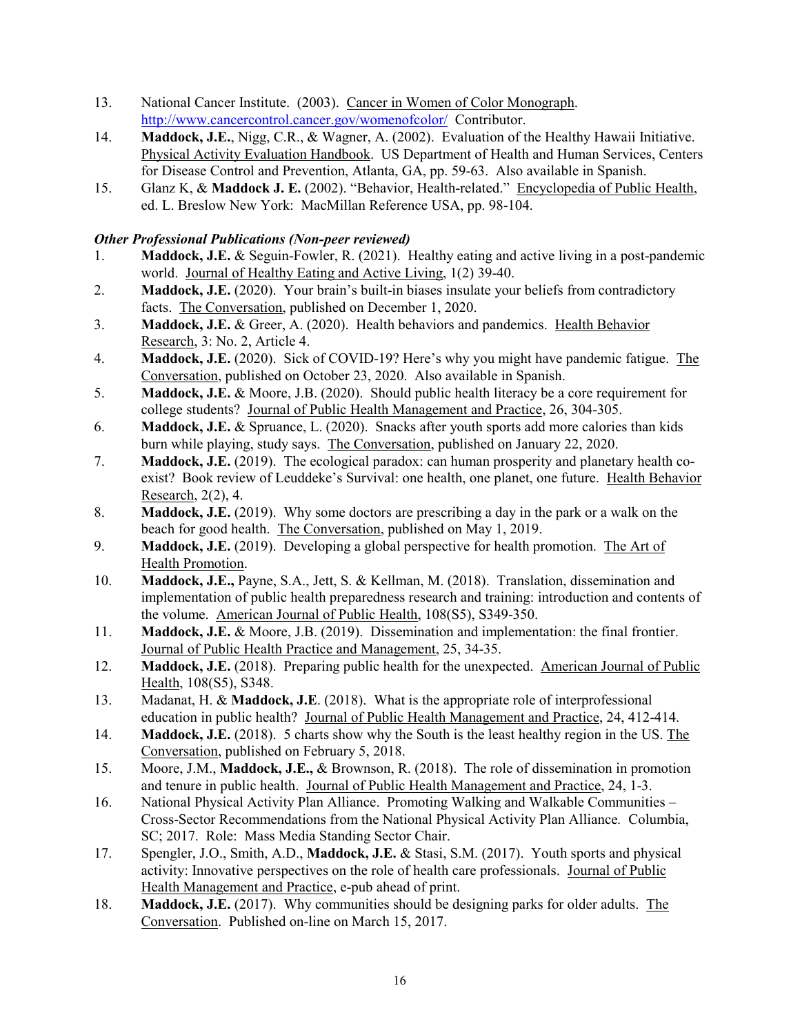- 13. National Cancer Institute. (2003). Cancer in Women of Color Monograph. <http://www.cancercontrol.cancer.gov/womenofcolor/>Contributor.
- 14. **Maddock, J.E.**, Nigg, C.R., & Wagner, A. (2002). Evaluation of the Healthy Hawaii Initiative. Physical Activity Evaluation Handbook. US Department of Health and Human Services, Centers for Disease Control and Prevention, Atlanta, GA, pp. 59-63. Also available in Spanish.
- 15. Glanz K, & **Maddock J. E.** (2002). "Behavior, Health-related." Encyclopedia of Public Health, ed. L. Breslow New York: MacMillan Reference USA, pp. 98-104.

## *Other Professional Publications (Non-peer reviewed)*

- 1. **Maddock, J.E.** & Seguin-Fowler, R. (2021). Healthy eating and active living in a post-pandemic world. Journal of Healthy Eating and Active Living, 1(2) 39-40.
- 2. **Maddock, J.E.** (2020). Your brain's built-in biases insulate your beliefs from contradictory facts. The Conversation, published on December 1, 2020.
- 3. **Maddock, J.E.** & Greer, A. (2020). Health behaviors and pandemics. Health Behavior Research, 3: No. 2, Article 4.
- 4. **Maddock, J.E.** (2020). Sick of COVID-19? Here's why you might have pandemic fatigue. The Conversation, published on October 23, 2020. Also available in Spanish.
- 5. **Maddock, J.E.** & Moore, J.B. (2020). Should public health literacy be a core requirement for college students? Journal of Public Health Management and Practice, 26, 304-305.
- 6. **Maddock, J.E.** & Spruance, L. (2020). Snacks after youth sports add more calories than kids burn while playing, study says. The Conversation, published on January 22, 2020.
- 7. **Maddock, J.E.** (2019). The ecological paradox: can human prosperity and planetary health coexist? Book review of Leuddeke's Survival: one health, one planet, one future. Health Behavior Research, 2(2), 4.
- 8. **Maddock, J.E.** (2019). Why some doctors are prescribing a day in the park or a walk on the beach for good health. The Conversation, published on May 1, 2019.
- 9. **Maddock, J.E.** (2019). Developing a global perspective for health promotion. The Art of Health Promotion.
- 10. **Maddock, J.E.,** Payne, S.A., Jett, S. & Kellman, M. (2018). Translation, dissemination and implementation of public health preparedness research and training: introduction and contents of the volume. American Journal of Public Health, 108(S5), S349-350.
- 11. **Maddock, J.E.** & Moore, J.B. (2019). Dissemination and implementation: the final frontier. Journal of Public Health Practice and Management, 25, 34-35.
- 12. **Maddock, J.E.** (2018). Preparing public health for the unexpected. American Journal of Public Health, 108(S5), S348.
- 13. Madanat, H. & **Maddock, J.E**. (2018). What is the appropriate role of interprofessional education in public health? Journal of Public Health Management and Practice, 24, 412-414.
- 14. **Maddock, J.E.** (2018). 5 charts show why the South is the least healthy region in the US. The Conversation, published on February 5, 2018.
- 15. Moore, J.M., **Maddock, J.E.,** & Brownson, R. (2018). The role of dissemination in promotion and tenure in public health. Journal of Public Health Management and Practice, 24, 1-3.
- 16. National Physical Activity Plan Alliance. Promoting Walking and Walkable Communities Cross-Sector Recommendations from the National Physical Activity Plan Alliance*.* Columbia, SC; 2017. Role: Mass Media Standing Sector Chair.
- 17. Spengler, J.O., Smith, A.D., **Maddock, J.E.** & Stasi, S.M. (2017). Youth sports and physical activity: Innovative perspectives on the role of health care professionals. Journal of Public Health Management and Practice, e-pub ahead of print.
- 18. **Maddock, J.E.** (2017). Why communities should be designing parks for older adults. The Conversation. Published on-line on March 15, 2017.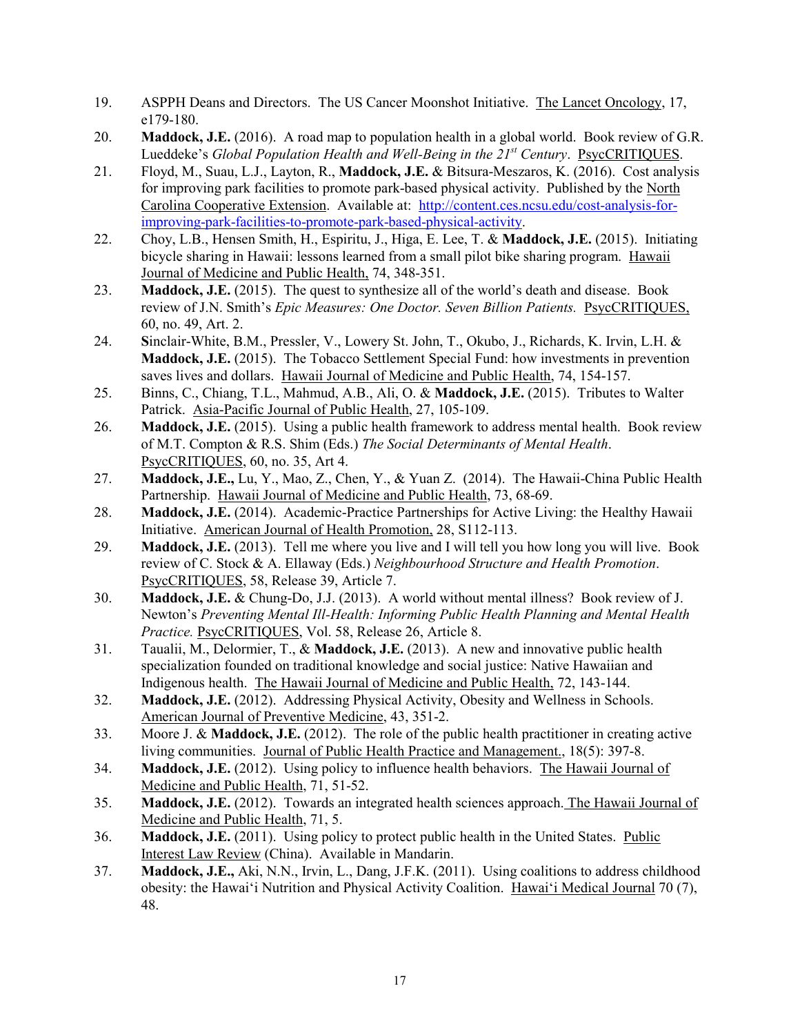- 19. ASPPH Deans and Directors. The US Cancer Moonshot Initiative. The Lancet Oncology, 17, e179-180.
- 20. **Maddock, J.E.** (2016). A road map to population health in a global world. Book review of G.R. Lueddeke's *Global Population Health and Well-Being in the 21<sup>st</sup> Century. PsycCRITIQUES.*
- 21. Floyd, M., Suau, L.J., Layton, R., **Maddock, J.E.** & Bitsura-Meszaros, K. (2016). Cost analysis for improving park facilities to promote park-based physical activity. Published by the North Carolina Cooperative Extension. Available at: [http://content.ces.ncsu.edu/cost-analysis-for](http://content.ces.ncsu.edu/cost-analysis-for-improving-park-facilities-to-promote-park-based-physical-activity)[improving-park-facilities-to-promote-park-based-physical-activity.](http://content.ces.ncsu.edu/cost-analysis-for-improving-park-facilities-to-promote-park-based-physical-activity)
- 22. Choy, L.B., Hensen Smith, H., Espiritu, J., Higa, E. Lee, T. & **Maddock, J.E.** (2015). Initiating bicycle sharing in Hawaii: lessons learned from a small pilot bike sharing program. Hawaii Journal of Medicine and Public Health, 74, 348-351.
- 23. **Maddock, J.E.** (2015). The quest to synthesize all of the world's death and disease. Book review of J.N. Smith's *Epic Measures: One Doctor. Seven Billion Patients.* PsycCRITIQUES, 60, no. 49, Art. 2.
- 24. **S**inclair-White, B.M., Pressler, V., Lowery St. John, T., Okubo, J., Richards, K. Irvin, L.H. & **Maddock, J.E.** (2015). The Tobacco Settlement Special Fund: how investments in prevention saves lives and dollars. Hawaii Journal of Medicine and Public Health, 74, 154-157.
- 25. Binns, C., Chiang, T.L., Mahmud, A.B., Ali, O. & **Maddock, J.E.** (2015). Tributes to Walter Patrick. Asia-Pacific Journal of Public Health, 27, 105-109.
- 26. **Maddock, J.E.** (2015). Using a public health framework to address mental health. Book review of M.T. Compton & R.S. Shim (Eds.) *The Social Determinants of Mental Health*. PsycCRITIQUES, 60, no. 35, Art 4.
- 27. **Maddock, J.E.,** Lu, Y., Mao, Z., Chen, Y., & Yuan Z. (2014). The Hawaii-China Public Health Partnership. Hawaii Journal of Medicine and Public Health, 73, 68-69.
- 28. **Maddock, J.E.** (2014). Academic-Practice Partnerships for Active Living: the Healthy Hawaii Initiative. American Journal of Health Promotion, 28, S112-113.
- 29. **Maddock, J.E.** (2013). Tell me where you live and I will tell you how long you will live. Book review of C. Stock & A. Ellaway (Eds.) *Neighbourhood Structure and Health Promotion*. PsycCRITIQUES, 58, Release 39, Article 7.
- 30. **Maddock, J.E.** & Chung-Do, J.J. (2013). A world without mental illness? Book review of J. Newton's *Preventing Mental Ill-Health: Informing Public Health Planning and Mental Health Practice.* PsycCRITIQUES, Vol. 58, Release 26, Article 8.
- 31. Taualii, M., Delormier, T., & **Maddock, J.E.** (2013). A new and innovative public health specialization founded on traditional knowledge and social justice: Native Hawaiian and Indigenous health. The Hawaii Journal of Medicine and Public Health, 72, 143-144.
- 32. **Maddock, J.E.** (2012). Addressing Physical Activity, Obesity and Wellness in Schools. American Journal of Preventive Medicine, 43, 351-2.
- 33. Moore J. & **Maddock, J.E.** (2012). The role of the public health practitioner in creating active living communities. Journal of Public Health Practice and Management., 18(5): 397-8.
- 34. **Maddock, J.E.** (2012). Using policy to influence health behaviors. The Hawaii Journal of Medicine and Public Health, 71, 51-52.
- 35. **Maddock, J.E.** (2012). Towards an integrated health sciences approach. The Hawaii Journal of Medicine and Public Health, 71, 5.
- 36. **Maddock, J.E.** (2011). Using policy to protect public health in the United States. Public Interest Law Review (China). Available in Mandarin.
- 37. **Maddock, J.E.,** Aki, N.N., Irvin, L., Dang, J.F.K. (2011). Using coalitions to address childhood obesity: the Hawai'i Nutrition and Physical Activity Coalition. Hawai'i Medical Journal 70 (7), 48.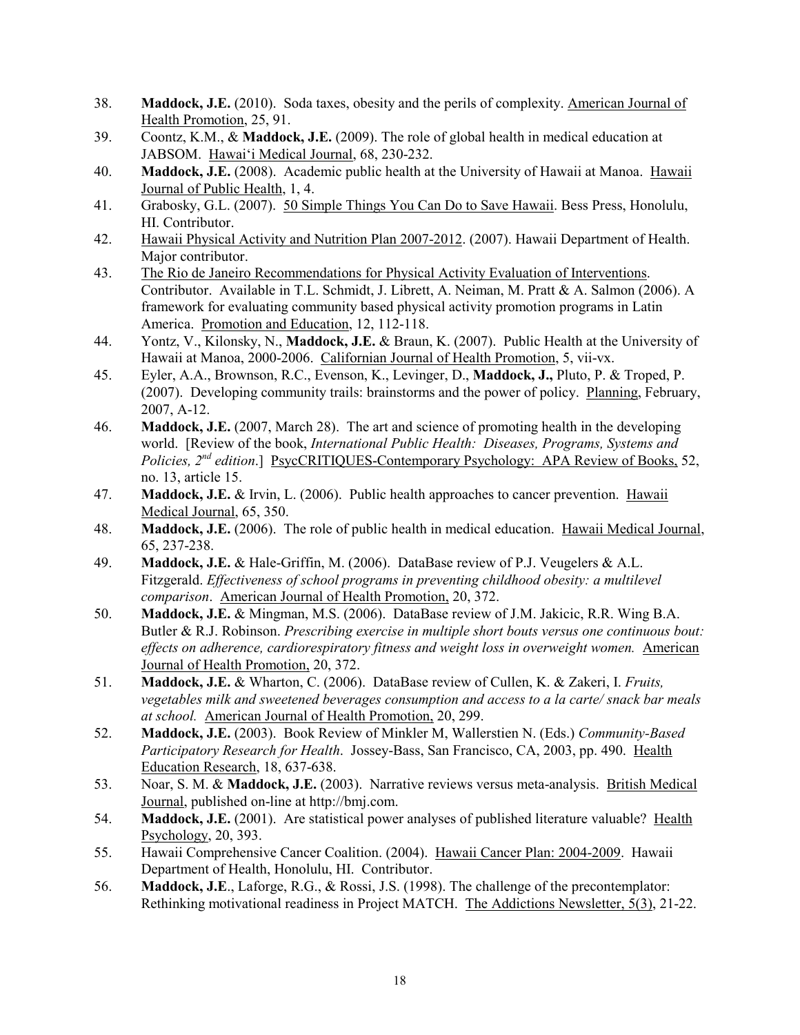- 38. **Maddock, J.E.** (2010). Soda taxes, obesity and the perils of complexity. American Journal of Health Promotion, 25, 91.
- 39. Coontz, K.M., & **Maddock, J.E.** (2009). The role of global health in medical education at JABSOM. Hawai'i Medical Journal, 68, 230-232.
- 40. **Maddock, J.E.** (2008). Academic public health at the University of Hawaii at Manoa. Hawaii Journal of Public Health, 1, 4.
- 41. Grabosky, G.L. (2007). 50 Simple Things You Can Do to Save Hawaii. Bess Press, Honolulu, HI. Contributor.
- 42. Hawaii Physical Activity and Nutrition Plan 2007-2012. (2007). Hawaii Department of Health. Major contributor.
- 43. The Rio de Janeiro Recommendations for Physical Activity Evaluation of Interventions. Contributor. Available in T.L. Schmidt, J. Librett, A. Neiman, M. Pratt & A. Salmon (2006). A framework for evaluating community based physical activity promotion programs in Latin America. Promotion and Education, 12, 112-118.
- 44. Yontz, V., Kilonsky, N., **Maddock, J.E.** & Braun, K. (2007). Public Health at the University of Hawaii at Manoa, 2000-2006. Californian Journal of Health Promotion, 5, vii-vx.
- 45. Eyler, A.A., Brownson, R.C., Evenson, K., Levinger, D., **Maddock, J.,** Pluto, P. & Troped, P. (2007). Developing community trails: brainstorms and the power of policy. Planning, February, 2007, A-12.
- 46. **Maddock, J.E.** (2007, March 28). The art and science of promoting health in the developing world. [Review of the book, *International Public Health: Diseases, Programs, Systems and Policies, 2nd edition*.] PsycCRITIQUES-Contemporary Psychology: APA Review of Books, 52, no. 13, article 15.
- 47. **Maddock, J.E.** & Irvin, L. (2006). Public health approaches to cancer prevention. Hawaii Medical Journal, 65, 350.
- 48. **Maddock, J.E.** (2006). The role of public health in medical education. Hawaii Medical Journal, 65, 237-238.
- 49. **Maddock, J.E.** & Hale-Griffin, M. (2006). DataBase review of P.J. Veugelers & A.L. Fitzgerald. *Effectiveness of school programs in preventing childhood obesity: a multilevel comparison*. American Journal of Health Promotion, 20, 372.
- 50. **Maddock, J.E.** & Mingman, M.S. (2006). DataBase review of J.M. Jakicic, R.R. Wing B.A. Butler & R.J. Robinson. *Prescribing exercise in multiple short bouts versus one continuous bout: effects on adherence, cardiorespiratory fitness and weight loss in overweight women.* American Journal of Health Promotion, 20, 372.
- 51. **Maddock, J.E.** & Wharton, C. (2006). DataBase review of Cullen, K. & Zakeri, I. *Fruits, vegetables milk and sweetened beverages consumption and access to a la carte/ snack bar meals at school.* American Journal of Health Promotion, 20, 299.
- 52. **Maddock, J.E.** (2003). Book Review of Minkler M, Wallerstien N. (Eds.) *Community-Based Participatory Research for Health*. Jossey-Bass, San Francisco, CA, 2003, pp. 490. Health Education Research, 18, 637-638.
- 53. Noar, S. M. & **Maddock, J.E.** (2003). Narrative reviews versus meta-analysis. British Medical Journal, published on-line at http://bmj.com.
- 54. **Maddock, J.E.** (2001). Are statistical power analyses of published literature valuable? Health Psychology, 20, 393.
- 55. Hawaii Comprehensive Cancer Coalition. (2004). Hawaii Cancer Plan: 2004-2009. Hawaii Department of Health, Honolulu, HI. Contributor.
- 56. **Maddock, J.E**., Laforge, R.G., & Rossi, J.S. (1998). The challenge of the precontemplator: Rethinking motivational readiness in Project MATCH. The Addictions Newsletter, 5(3), 21-22.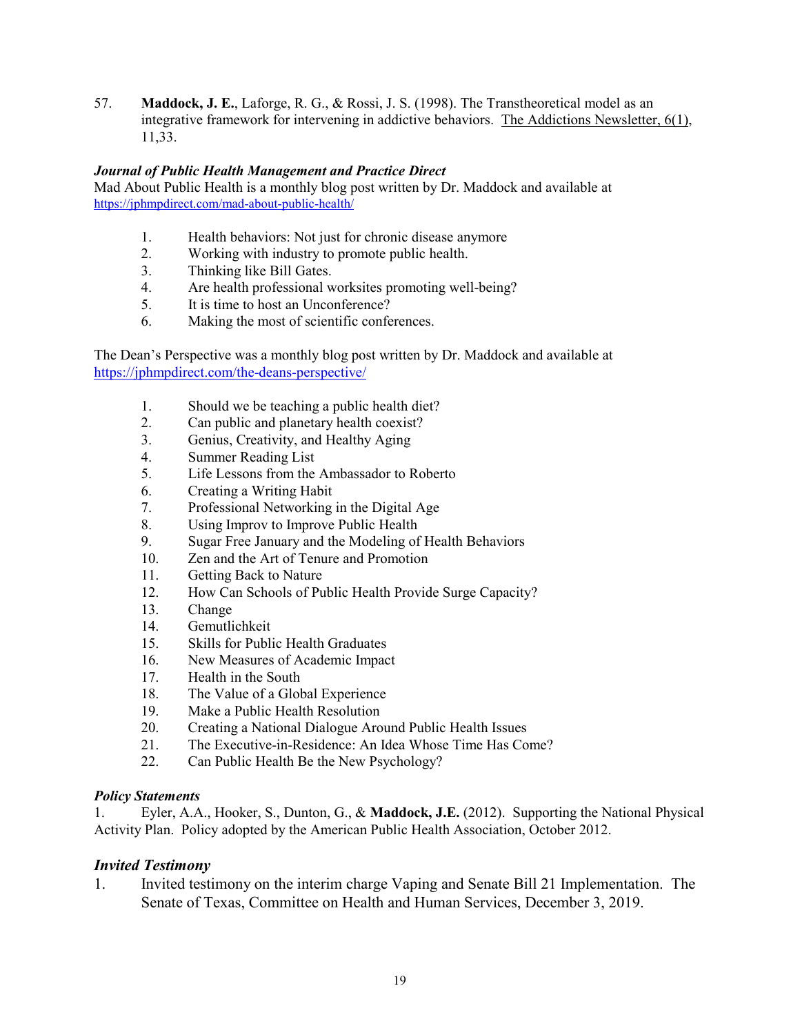57. **Maddock, J. E.**, Laforge, R. G., & Rossi, J. S. (1998). The Transtheoretical model as an integrative framework for intervening in addictive behaviors. The Addictions Newsletter, 6(1), 11,33.

### *Journal of Public Health Management and Practice Direct*

Mad About Public Health is a monthly blog post written by Dr. Maddock and available at <https://jphmpdirect.com/mad-about-public-health/>

- 1. Health behaviors: Not just for chronic disease anymore
- 2. Working with industry to promote public health.
- 3. Thinking like Bill Gates.
- 4. Are health professional worksites promoting well-being?
- 5. It is time to host an Unconference?
- 6. Making the most of scientific conferences.

The Dean's Perspective was a monthly blog post written by Dr. Maddock and available at <https://jphmpdirect.com/the-deans-perspective/>

- 1. Should we be teaching a public health diet?
- 2. Can public and planetary health coexist?
- 3. Genius, [Creativity,](https://jphmpdirect.com/2018/10/05/genius-creativity-healthy-aging/) and Healthy Aging
- 4. [Summer](https://jphmpdirect.com/2018/08/23/summer-reading-list/) Reading List
- 5. Life Lessons from the [Ambassador](https://jphmpdirect.com/2018/06/22/life-lessons-from-the-ambassador-to-roberto/) to Roberto
- 6. [Creating](https://jphmpdirect.com/2018/05/18/creating-a-writing-habit/) a Writing Habit
- 7. [Professional](https://jphmpdirect.com/2018/04/27/professional-networking-in-the-digital-age/) Networking in the Digital Age
- 8. Using Improv to [Improve](https://jphmpdirect.com/2018/02/23/using-improv-to-improve-public-health/) Public Health
- 9. Sugar Free January and the Modeling of Health [Behaviors](https://jphmpdirect.com/2018/01/12/sugar-free-january-and-the-modeling-of-health-behaviors/)
- 10. Zen and the Art of Tenure and [Promotion](https://jphmpdirect.com/2017/12/15/zen-and-the-art-of-tenure-and-promotion/)
- 11. [Getting](https://jphmpdirect.com/2017/10/27/getting-back-nature/) Back to Nature
- 12. How Can Schools of Public Health Provide Surge [Capacity?](https://jphmpdirect.com/2017/09/29/can-schools-public-health-provide-surge-capacity/)
- 13. [Change](https://jphmpdirect.com/2017/08/25/change/)
- 14. [Gemutlichkeit](https://jphmpdirect.com/2017/06/16/gemutlichkeit/)
- 15. Skills for Public Health [Graduates](https://jphmpdirect.com/2017/05/22/skills-for-public-health-graduates/)
- 16. New Measures of [Academic](http://jphmpdirect.com/2017/04/03/new-measures-of-academic-impact/) Impact
- 17. [Health](https://jphmpdirect.com/2017/02/21/health-in-the-south/) in the South
- 18. The Value of a Global [Experience](https://jphmpdirect.com/2017/01/20/the-value-of-a-global-experience-by-jay-e-maddock-phd-faahb/)
- 19. Make a Public Health [Resolution](https://jphmpdirect.com/2016/12/16/make-a-public-health-resolution-by-jay-e-maddock-phd-faahb/)
- 20. Creating a National [Dialogue](https://jphmpdirect.com/2016/11/22/creating-a-national-dialog-around-public-health-issues-by-jay-maddock-phd/) Around Public Health Issues
- 21. [Th](https://jphmpdirect.com/2016/10/21/the-executive-in-residence-an-idea-whose-time-has-come-by-jay-e-maddock-phd/)e [Executive-in-Residence:](https://jphmpdirect.com/2016/10/21/the-executive-in-residence-an-idea-whose-time-has-come-by-jay-e-maddock-phd/) An Idea Whose Time Has Come?
- 22. Can Public Health Be the New [Psychology?](https://jphmpdirect.com/2016/09/01/can-public-health-be-the-new-psychology-by-jay-maddock/)

### *Policy Statements*

1. Eyler, A.A., Hooker, S., Dunton, G., & **Maddock, J.E.** (2012). Supporting the National Physical Activity Plan. Policy adopted by the American Public Health Association, October 2012.

### *Invited Testimony*

1. Invited testimony on the interim charge Vaping and Senate Bill 21 Implementation. The Senate of Texas, Committee on Health and Human Services, December 3, 2019.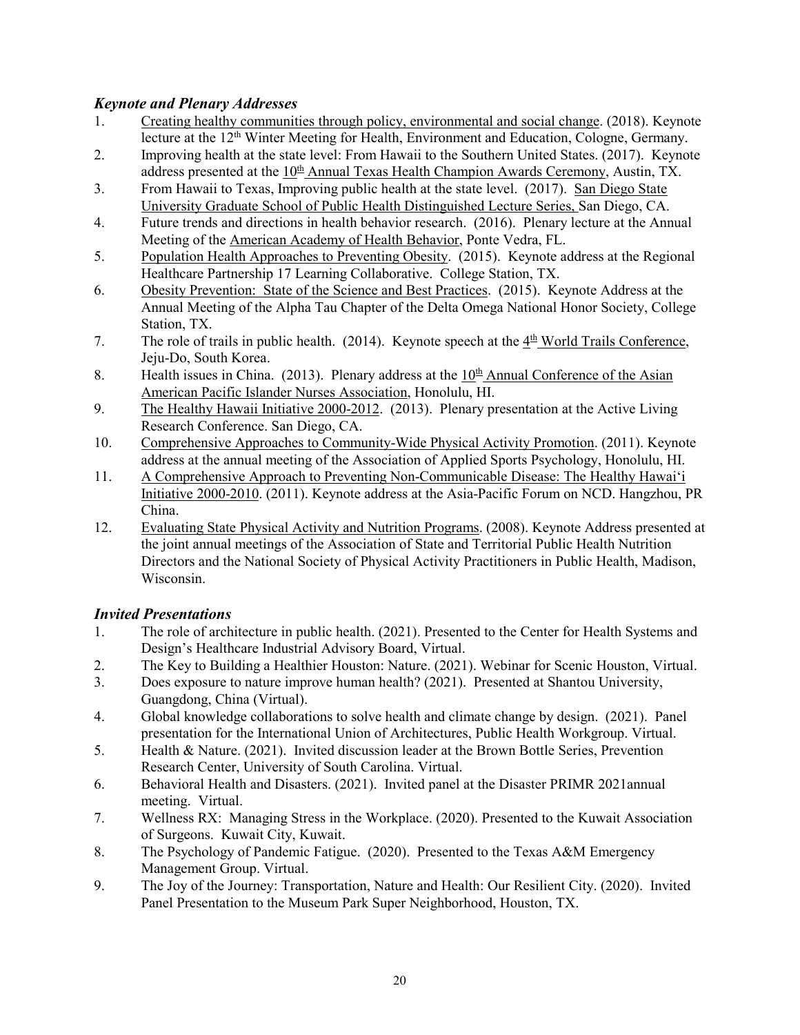# *Keynote and Plenary Addresses*

- 1. Creating healthy communities through policy, environmental and social change. (2018). Keynote lecture at the 12<sup>th</sup> Winter Meeting for Health, Environment and Education, Cologne, Germany.
- 2. Improving health at the state level: From Hawaii to the Southern United States. (2017). Keynote address presented at the  $10<sup>th</sup>$  Annual Texas Health Champion Awards Ceremony, Austin, TX.
- 3. From Hawaii to Texas, Improving public health at the state level. (2017). San Diego State University Graduate School of Public Health Distinguished Lecture Series, San Diego, CA.
- 4. Future trends and directions in health behavior research. (2016). Plenary lecture at the Annual Meeting of the American Academy of Health Behavior, Ponte Vedra, FL.
- 5. Population Health Approaches to Preventing Obesity. (2015). Keynote address at the Regional Healthcare Partnership 17 Learning Collaborative. College Station, TX.
- 6. Obesity Prevention: State of the Science and Best Practices. (2015). Keynote Address at the Annual Meeting of the Alpha Tau Chapter of the Delta Omega National Honor Society, College Station, TX.
- 7. The role of trails in public health. (2014). Keynote speech at the  $4<sup>th</sup>$  World Trails Conference, Jeju-Do, South Korea.
- 8. Health issues in China. (2013). Plenary address at the  $10<sup>th</sup>$  Annual Conference of the Asian American Pacific Islander Nurses Association, Honolulu, HI.
- 9. The Healthy Hawaii Initiative 2000-2012. (2013). Plenary presentation at the Active Living Research Conference. San Diego, CA.
- 10. Comprehensive Approaches to Community-Wide Physical Activity Promotion. (2011). Keynote address at the annual meeting of the Association of Applied Sports Psychology, Honolulu, HI.
- 11. A Comprehensive Approach to Preventing Non-Communicable Disease: The Healthy Hawai'i Initiative 2000-2010. (2011). Keynote address at the Asia-Pacific Forum on NCD. Hangzhou, PR China.
- 12. Evaluating State Physical Activity and Nutrition Programs. (2008). Keynote Address presented at the joint annual meetings of the Association of State and Territorial Public Health Nutrition Directors and the National Society of Physical Activity Practitioners in Public Health, Madison, Wisconsin.

# *Invited Presentations*

- 1. The role of architecture in public health. (2021). Presented to the Center for Health Systems and Design's Healthcare Industrial Advisory Board, Virtual.
- 2. The Key to Building a Healthier Houston: Nature. (2021). Webinar for Scenic Houston, Virtual.
- 3. Does exposure to nature improve human health? (2021). Presented at Shantou University, Guangdong, China (Virtual).
- 4. Global knowledge collaborations to solve health and climate change by design. (2021). Panel presentation for the International Union of Architectures, Public Health Workgroup. Virtual.
- 5. Health & Nature. (2021). Invited discussion leader at the Brown Bottle Series, Prevention Research Center, University of South Carolina. Virtual.
- 6. Behavioral Health and Disasters. (2021). Invited panel at the Disaster PRIMR 2021annual meeting. Virtual.
- 7. Wellness RX: Managing Stress in the Workplace. (2020). Presented to the Kuwait Association of Surgeons. Kuwait City, Kuwait.
- 8. The Psychology of Pandemic Fatigue. (2020). Presented to the Texas A&M Emergency Management Group. Virtual.
- 9. The Joy of the Journey: Transportation, Nature and Health: Our Resilient City. (2020). Invited Panel Presentation to the Museum Park Super Neighborhood, Houston, TX.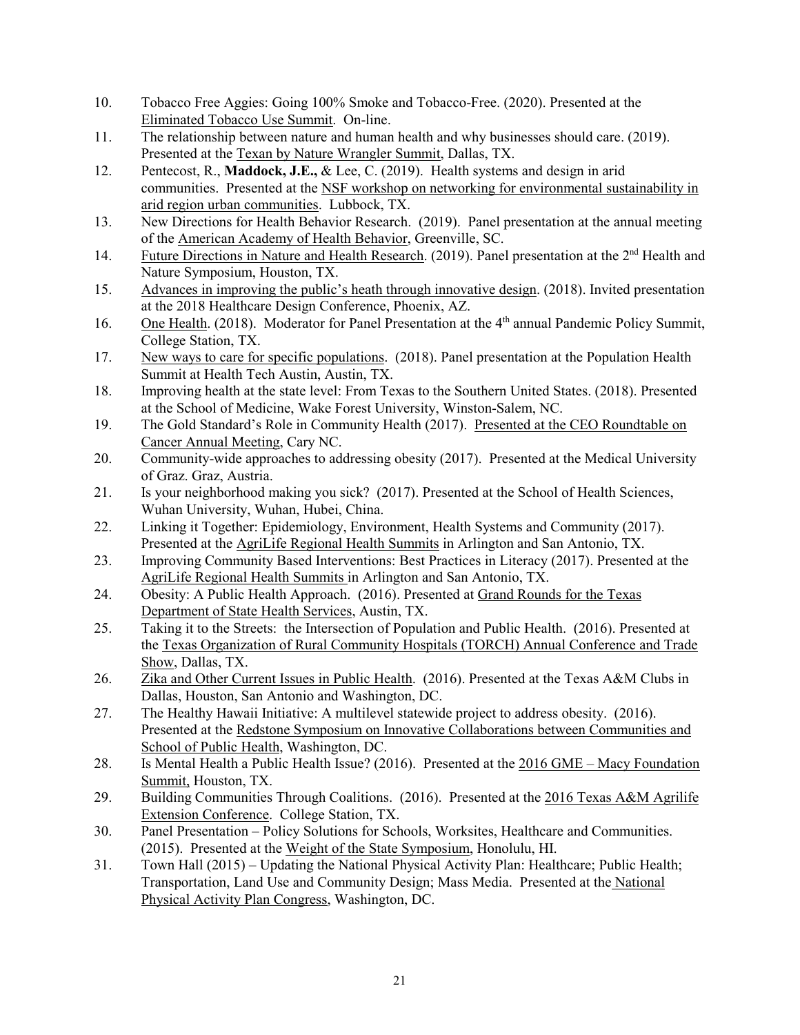- 10. Tobacco Free Aggies: Going 100% Smoke and Tobacco-Free. (2020). Presented at the Eliminated Tobacco Use Summit. On-line.
- 11. The relationship between nature and human health and why businesses should care. (2019). Presented at the Texan by Nature Wrangler Summit, Dallas, TX.
- 12. Pentecost, R., **Maddock, J.E.,** & Lee, C. (2019). Health systems and design in arid communities. Presented at the NSF workshop on networking for environmental sustainability in arid region urban communities. Lubbock, TX.
- 13. New Directions for Health Behavior Research. (2019). Panel presentation at the annual meeting of the American Academy of Health Behavior, Greenville, SC.
- 14. Future Directions in Nature and Health Research. (2019). Panel presentation at the 2<sup>nd</sup> Health and Nature Symposium, Houston, TX.
- 15. Advances in improving the public's heath through innovative design. (2018). Invited presentation at the 2018 Healthcare Design Conference, Phoenix, AZ.
- 16. One Health. (2018). Moderator for Panel Presentation at the 4<sup>th</sup> annual Pandemic Policy Summit, College Station, TX.
- 17. New ways to care for specific populations. (2018). Panel presentation at the Population Health Summit at Health Tech Austin, Austin, TX.
- 18. Improving health at the state level: From Texas to the Southern United States. (2018). Presented at the School of Medicine, Wake Forest University, Winston-Salem, NC.
- 19. The Gold Standard's Role in Community Health (2017). Presented at the CEO Roundtable on Cancer Annual Meeting, Cary NC.
- 20. Community-wide approaches to addressing obesity (2017). Presented at the Medical University of Graz. Graz, Austria.
- 21. Is your neighborhood making you sick? (2017). Presented at the School of Health Sciences, Wuhan University, Wuhan, Hubei, China.
- 22. Linking it Together: Epidemiology, Environment, Health Systems and Community (2017). Presented at the AgriLife Regional Health Summits in Arlington and San Antonio, TX.
- 23. Improving Community Based Interventions: Best Practices in Literacy (2017). Presented at the AgriLife Regional Health Summits in Arlington and San Antonio, TX.
- 24. Obesity: A Public Health Approach. (2016). Presented at Grand Rounds for the Texas Department of State Health Services, Austin, TX.
- 25. Taking it to the Streets: the Intersection of Population and Public Health. (2016). Presented at the Texas Organization of Rural Community Hospitals (TORCH) Annual Conference and Trade Show, Dallas, TX.
- 26. Zika and Other Current Issues in Public Health. (2016). Presented at the Texas A&M Clubs in Dallas, Houston, San Antonio and Washington, DC.
- 27. The Healthy Hawaii Initiative: A multilevel statewide project to address obesity. (2016). Presented at the Redstone Symposium on Innovative Collaborations between Communities and School of Public Health, Washington, DC.
- 28. Is Mental Health a Public Health Issue? (2016). Presented at the 2016 GME Macy Foundation Summit, Houston, TX.
- 29. Building Communities Through Coalitions. (2016). Presented at the 2016 Texas A&M Agrilife Extension Conference. College Station, TX.
- 30. Panel Presentation Policy Solutions for Schools, Worksites, Healthcare and Communities. (2015). Presented at the Weight of the State Symposium, Honolulu, HI.
- 31. Town Hall (2015) Updating the National Physical Activity Plan: Healthcare; Public Health; Transportation, Land Use and Community Design; Mass Media. Presented at the National Physical Activity Plan Congress, Washington, DC.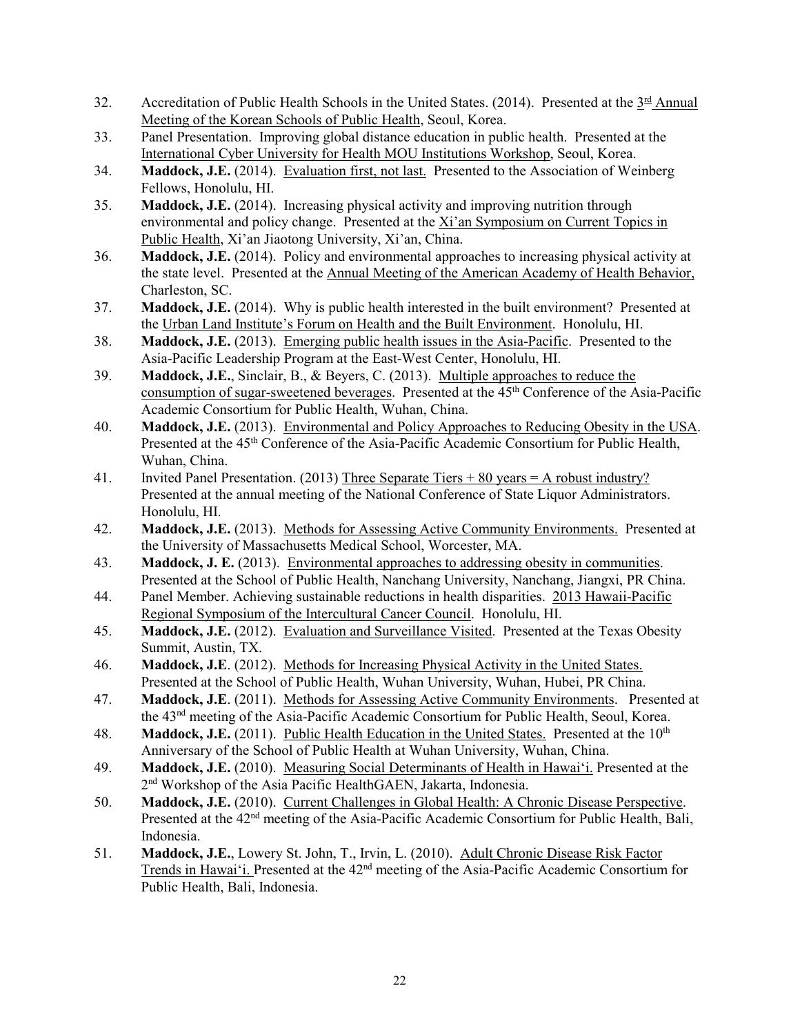- 32. Accreditation of Public Health Schools in the United States. (2014). Presented at the  $3<sup>rd</sup>$  Annual Meeting of the Korean Schools of Public Health, Seoul, Korea.
- 33. Panel Presentation. Improving global distance education in public health. Presented at the International Cyber University for Health MOU Institutions Workshop, Seoul, Korea.
- 34. **Maddock, J.E.** (2014). Evaluation first, not last. Presented to the Association of Weinberg Fellows, Honolulu, HI.
- 35. **Maddock, J.E.** (2014). Increasing physical activity and improving nutrition through environmental and policy change. Presented at the Xi'an Symposium on Current Topics in Public Health, Xi'an Jiaotong University, Xi'an, China.
- 36. **Maddock, J.E.** (2014). Policy and environmental approaches to increasing physical activity at the state level. Presented at the Annual Meeting of the American Academy of Health Behavior, Charleston, SC.
- 37. **Maddock, J.E.** (2014). Why is public health interested in the built environment? Presented at the Urban Land Institute's Forum on Health and the Built Environment. Honolulu, HI.
- 38. **Maddock, J.E.** (2013). Emerging public health issues in the Asia-Pacific. Presented to the Asia-Pacific Leadership Program at the East-West Center, Honolulu, HI.
- 39. **Maddock, J.E.**, Sinclair, B., & Beyers, C. (2013). Multiple approaches to reduce the consumption of sugar-sweetened beverages. Presented at the  $45<sup>th</sup>$  Conference of the Asia-Pacific Academic Consortium for Public Health, Wuhan, China.
- 40. **Maddock, J.E.** (2013). Environmental and Policy Approaches to Reducing Obesity in the USA. Presented at the 45<sup>th</sup> Conference of the Asia-Pacific Academic Consortium for Public Health, Wuhan, China.
- 41. Invited Panel Presentation. (2013) Three Separate Tiers + 80 years = A robust industry? Presented at the annual meeting of the National Conference of State Liquor Administrators. Honolulu, HI.
- 42. **Maddock, J.E.** (2013). Methods for Assessing Active Community Environments. Presented at the University of Massachusetts Medical School, Worcester, MA.
- 43. **Maddock, J. E.** (2013). Environmental approaches to addressing obesity in communities. Presented at the School of Public Health, Nanchang University, Nanchang, Jiangxi, PR China.
- 44. Panel Member. Achieving sustainable reductions in health disparities. 2013 Hawaii-Pacific Regional Symposium of the Intercultural Cancer Council. Honolulu, HI.
- 45. **Maddock, J.E.** (2012). Evaluation and Surveillance Visited. Presented at the Texas Obesity Summit, Austin, TX.
- 46. **Maddock, J.E**. (2012). Methods for Increasing Physical Activity in the United States. Presented at the School of Public Health, Wuhan University, Wuhan, Hubei, PR China.
- 47. **Maddock, J.E**. (2011). Methods for Assessing Active Community Environments. Presented at the 43nd meeting of the Asia-Pacific Academic Consortium for Public Health, Seoul, Korea.
- 48. **Maddock, J.E.** (2011). Public Health Education in the United States. Presented at the 10<sup>th</sup> Anniversary of the School of Public Health at Wuhan University, Wuhan, China.
- 49. **Maddock, J.E.** (2010). Measuring Social Determinants of Health in Hawai'i. Presented at the 2nd Workshop of the Asia Pacific HealthGAEN, Jakarta, Indonesia.
- 50. **Maddock, J.E.** (2010). Current Challenges in Global Health: A Chronic Disease Perspective. Presented at the 42<sup>nd</sup> meeting of the Asia-Pacific Academic Consortium for Public Health, Bali, Indonesia.
- 51. **Maddock, J.E.**, Lowery St. John, T., Irvin, L. (2010). Adult Chronic Disease Risk Factor Trends in Hawai'i. Presented at the 42<sup>nd</sup> meeting of the Asia-Pacific Academic Consortium for Public Health, Bali, Indonesia.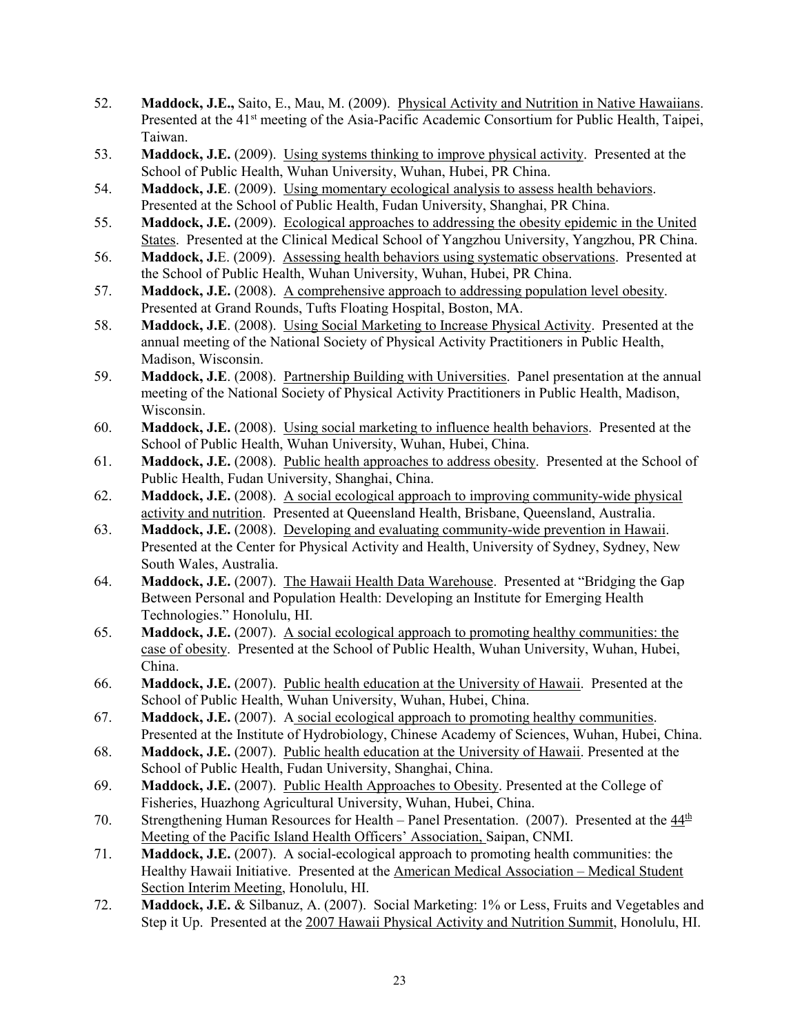- 52. **Maddock, J.E.,** Saito, E., Mau, M. (2009). Physical Activity and Nutrition in Native Hawaiians. Presented at the 41<sup>st</sup> meeting of the Asia-Pacific Academic Consortium for Public Health, Taipei, Taiwan.
- 53. **Maddock, J.E.** (2009). Using systems thinking to improve physical activity. Presented at the School of Public Health, Wuhan University, Wuhan, Hubei, PR China.
- 54. **Maddock, J.E**. (2009). Using momentary ecological analysis to assess health behaviors. Presented at the School of Public Health, Fudan University, Shanghai, PR China.
- 55. **Maddock, J.E.** (2009). Ecological approaches to addressing the obesity epidemic in the United States. Presented at the Clinical Medical School of Yangzhou University, Yangzhou, PR China.
- 56. **Maddock, J.**E. (2009). Assessing health behaviors using systematic observations. Presented at the School of Public Health, Wuhan University, Wuhan, Hubei, PR China.
- 57. **Maddock, J.E.** (2008). A comprehensive approach to addressing population level obesity. Presented at Grand Rounds, Tufts Floating Hospital, Boston, MA.
- 58. **Maddock, J.E**. (2008). Using Social Marketing to Increase Physical Activity. Presented at the annual meeting of the National Society of Physical Activity Practitioners in Public Health, Madison, Wisconsin.
- 59. **Maddock, J.E**. (2008). Partnership Building with Universities. Panel presentation at the annual meeting of the National Society of Physical Activity Practitioners in Public Health, Madison, Wisconsin.
- 60. **Maddock, J.E.** (2008). Using social marketing to influence health behaviors. Presented at the School of Public Health, Wuhan University, Wuhan, Hubei, China.
- 61. **Maddock, J.E.** (2008). Public health approaches to address obesity. Presented at the School of Public Health, Fudan University, Shanghai, China.
- 62. **Maddock, J.E.** (2008). A social ecological approach to improving community-wide physical activity and nutrition. Presented at Queensland Health, Brisbane, Queensland, Australia.
- 63. **Maddock, J.E.** (2008). Developing and evaluating community-wide prevention in Hawaii. Presented at the Center for Physical Activity and Health, University of Sydney, Sydney, New South Wales, Australia.
- 64. **Maddock, J.E.** (2007). The Hawaii Health Data Warehouse. Presented at "Bridging the Gap Between Personal and Population Health: Developing an Institute for Emerging Health Technologies." Honolulu, HI.
- 65. **Maddock, J.E.** (2007). A social ecological approach to promoting healthy communities: the case of obesity. Presented at the School of Public Health, Wuhan University, Wuhan, Hubei, China.
- 66. **Maddock, J.E.** (2007). Public health education at the University of Hawaii. Presented at the School of Public Health, Wuhan University, Wuhan, Hubei, China.
- 67. **Maddock, J.E.** (2007). A social ecological approach to promoting healthy communities. Presented at the Institute of Hydrobiology, Chinese Academy of Sciences, Wuhan, Hubei, China.
- 68. **Maddock, J.E.** (2007). Public health education at the University of Hawaii. Presented at the School of Public Health, Fudan University, Shanghai, China.
- 69. **Maddock, J.E.** (2007). Public Health Approaches to Obesity. Presented at the College of Fisheries, Huazhong Agricultural University, Wuhan, Hubei, China.
- 70. Strengthening Human Resources for Health Panel Presentation. (2007). Presented at the  $44<sup>th</sup>$ Meeting of the Pacific Island Health Officers' Association, Saipan, CNMI.
- 71. **Maddock, J.E.** (2007). A social-ecological approach to promoting health communities: the Healthy Hawaii Initiative. Presented at the American Medical Association – Medical Student Section Interim Meeting, Honolulu, HI.
- 72. **Maddock, J.E.** & Silbanuz, A. (2007). Social Marketing: 1% or Less, Fruits and Vegetables and Step it Up. Presented at the 2007 Hawaii Physical Activity and Nutrition Summit, Honolulu, HI.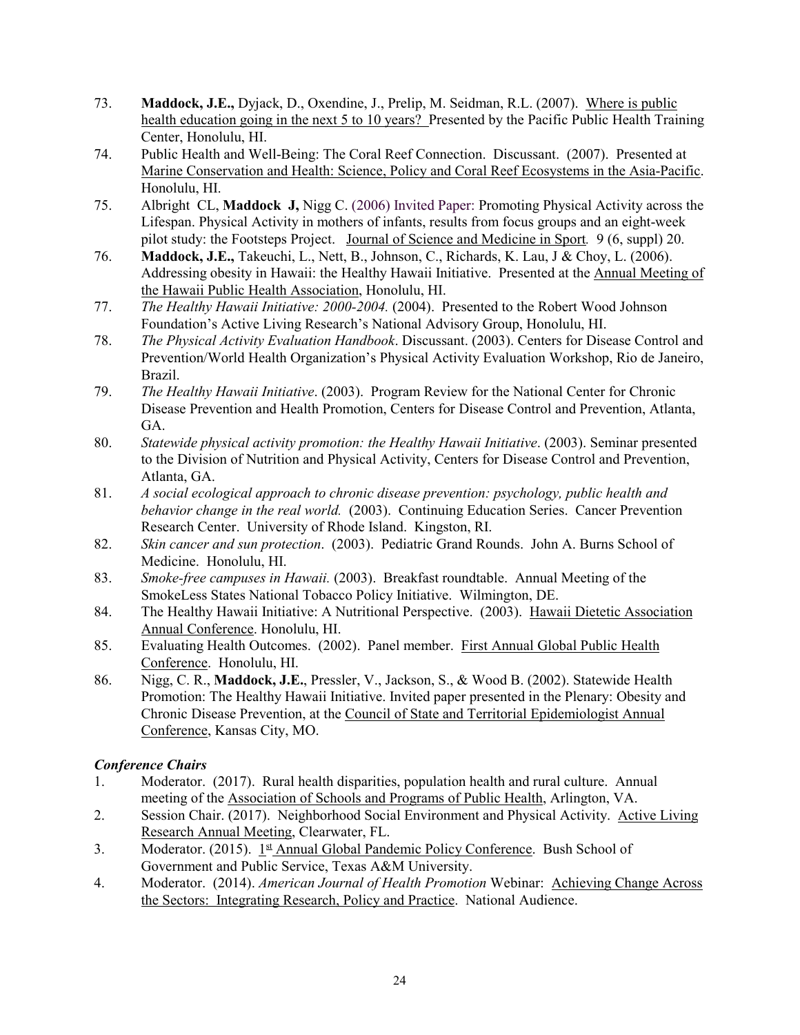- 73. **Maddock, J.E.,** Dyjack, D., Oxendine, J., Prelip, M. Seidman, R.L. (2007). Where is public health education going in the next 5 to 10 years? Presented by the Pacific Public Health Training Center, Honolulu, HI.
- 74. Public Health and Well-Being: The Coral Reef Connection. Discussant. (2007). Presented at Marine Conservation and Health: Science, Policy and Coral Reef Ecosystems in the Asia-Pacific. Honolulu, HI.
- 75. Albright CL, **Maddock J,** Nigg C. (2006) Invited Paper: Promoting Physical Activity across the Lifespan. Physical Activity in mothers of infants, results from focus groups and an eight-week pilot study: the Footsteps Project. Journal of Science and Medicine in Sport*.* 9 (6, suppl) 20.
- 76. **Maddock, J.E.,** Takeuchi, L., Nett, B., Johnson, C., Richards, K. Lau, J & Choy, L. (2006). Addressing obesity in Hawaii: the Healthy Hawaii Initiative. Presented at the Annual Meeting of the Hawaii Public Health Association, Honolulu, HI.
- 77. *The Healthy Hawaii Initiative: 2000-2004.* (2004). Presented to the Robert Wood Johnson Foundation's Active Living Research's National Advisory Group, Honolulu, HI.
- 78. *The Physical Activity Evaluation Handbook*. Discussant. (2003). Centers for Disease Control and Prevention/World Health Organization's Physical Activity Evaluation Workshop, Rio de Janeiro, Brazil.
- 79. *The Healthy Hawaii Initiative*. (2003). Program Review for the National Center for Chronic Disease Prevention and Health Promotion, Centers for Disease Control and Prevention, Atlanta, GA.
- 80. *Statewide physical activity promotion: the Healthy Hawaii Initiative*. (2003). Seminar presented to the Division of Nutrition and Physical Activity, Centers for Disease Control and Prevention, Atlanta, GA.
- 81. *A social ecological approach to chronic disease prevention: psychology, public health and behavior change in the real world.* (2003). Continuing Education Series. Cancer Prevention Research Center. University of Rhode Island. Kingston, RI.
- 82. *Skin cancer and sun protection*. (2003). Pediatric Grand Rounds. John A. Burns School of Medicine. Honolulu, HI.
- 83. *Smoke-free campuses in Hawaii.* (2003). Breakfast roundtable. Annual Meeting of the SmokeLess States National Tobacco Policy Initiative. Wilmington, DE.
- 84. The Healthy Hawaii Initiative: A Nutritional Perspective. (2003). Hawaii Dietetic Association Annual Conference. Honolulu, HI.
- 85. Evaluating Health Outcomes. (2002). Panel member. First Annual Global Public Health Conference. Honolulu, HI.
- 86. Nigg, C. R., **Maddock, J.E.**, Pressler, V., Jackson, S., & Wood B. (2002). Statewide Health Promotion: The Healthy Hawaii Initiative. Invited paper presented in the Plenary: Obesity and Chronic Disease Prevention, at the Council of State and Territorial Epidemiologist Annual Conference, Kansas City, MO.

# *Conference Chairs*

- 1. Moderator. (2017). Rural health disparities, population health and rural culture. Annual meeting of the Association of Schools and Programs of Public Health, Arlington, VA.
- 2. Session Chair. (2017). Neighborhood Social Environment and Physical Activity. Active Living Research Annual Meeting, Clearwater, FL.
- 3. Moderator. (2015).  $1^{\underline{st}}$  Annual Global Pandemic Policy Conference. Bush School of Government and Public Service, Texas A&M University.
- 4. Moderator. (2014). *American Journal of Health Promotion* Webinar: Achieving Change Across the Sectors: Integrating Research, Policy and Practice. National Audience.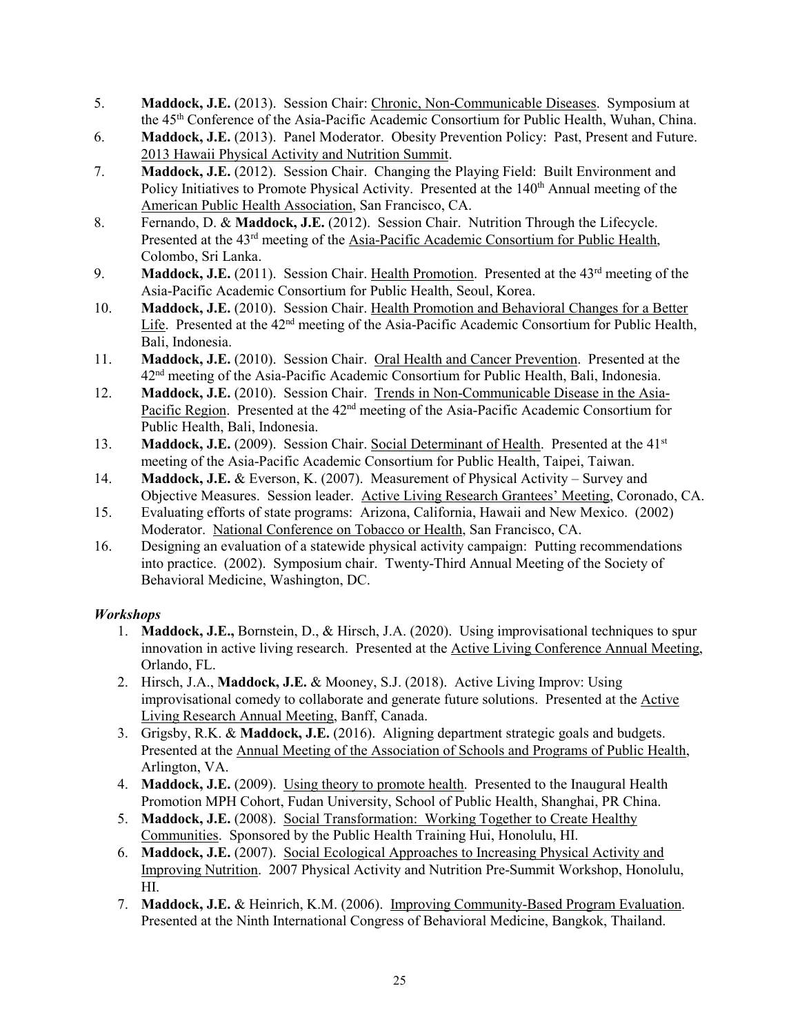- 5. **Maddock, J.E.** (2013). Session Chair: Chronic, Non-Communicable Diseases. Symposium at the 45th Conference of the Asia-Pacific Academic Consortium for Public Health, Wuhan, China.
- 6. **Maddock, J.E.** (2013). Panel Moderator. Obesity Prevention Policy: Past, Present and Future. 2013 Hawaii Physical Activity and Nutrition Summit.
- 7. **Maddock, J.E.** (2012). Session Chair. Changing the Playing Field: Built Environment and Policy Initiatives to Promote Physical Activity. Presented at the 140<sup>th</sup> Annual meeting of the American Public Health Association, San Francisco, CA.
- 8. Fernando, D. & **Maddock, J.E.** (2012). Session Chair. Nutrition Through the Lifecycle. Presented at the 43<sup>rd</sup> meeting of the Asia-Pacific Academic Consortium for Public Health, Colombo, Sri Lanka.
- 9. **Maddock, J.E.** (2011). Session Chair. Health Promotion. Presented at the 43<sup>rd</sup> meeting of the Asia-Pacific Academic Consortium for Public Health, Seoul, Korea.
- 10. **Maddock, J.E.** (2010). Session Chair. Health Promotion and Behavioral Changes for a Better Life. Presented at the 42<sup>nd</sup> meeting of the Asia-Pacific Academic Consortium for Public Health, Bali, Indonesia.
- 11. **Maddock, J.E.** (2010). Session Chair. Oral Health and Cancer Prevention. Presented at the 42<sup>nd</sup> meeting of the Asia-Pacific Academic Consortium for Public Health, Bali, Indonesia.
- 12. **Maddock, J.E.** (2010). Session Chair. Trends in Non-Communicable Disease in the Asia-Pacific Region. Presented at the 42<sup>nd</sup> meeting of the Asia-Pacific Academic Consortium for Public Health, Bali, Indonesia.
- 13. **Maddock, J.E.** (2009). Session Chair. Social Determinant of Health. Presented at the 41<sup>st</sup> meeting of the Asia-Pacific Academic Consortium for Public Health, Taipei, Taiwan.
- 14. **Maddock, J.E.** & Everson, K. (2007). Measurement of Physical Activity Survey and Objective Measures. Session leader. Active Living Research Grantees' Meeting, Coronado, CA.
- 15. Evaluating efforts of state programs: Arizona, California, Hawaii and New Mexico. (2002) Moderator. National Conference on Tobacco or Health, San Francisco, CA.
- 16. Designing an evaluation of a statewide physical activity campaign: Putting recommendations into practice. (2002). Symposium chair. Twenty-Third Annual Meeting of the Society of Behavioral Medicine, Washington, DC.

# *Workshops*

- 1. **Maddock, J.E.,** Bornstein, D., & Hirsch, J.A. (2020). Using improvisational techniques to spur innovation in active living research. Presented at the Active Living Conference Annual Meeting, Orlando, FL.
- 2. Hirsch, J.A., **Maddock, J.E.** & Mooney, S.J. (2018). Active Living Improv: Using improvisational comedy to collaborate and generate future solutions. Presented at the Active Living Research Annual Meeting, Banff, Canada.
- 3. Grigsby, R.K. & **Maddock, J.E.** (2016). Aligning department strategic goals and budgets. Presented at the Annual Meeting of the Association of Schools and Programs of Public Health, Arlington, VA.
- 4. **Maddock, J.E.** (2009). Using theory to promote health. Presented to the Inaugural Health Promotion MPH Cohort, Fudan University, School of Public Health, Shanghai, PR China.
- 5. **Maddock, J.E.** (2008). Social Transformation: Working Together to Create Healthy Communities. Sponsored by the Public Health Training Hui, Honolulu, HI.
- 6. **Maddock, J.E.** (2007). Social Ecological Approaches to Increasing Physical Activity and Improving Nutrition. 2007 Physical Activity and Nutrition Pre-Summit Workshop, Honolulu, HI.
- 7. **Maddock, J.E.** & Heinrich, K.M. (2006). Improving Community-Based Program Evaluation. Presented at the Ninth International Congress of Behavioral Medicine, Bangkok, Thailand.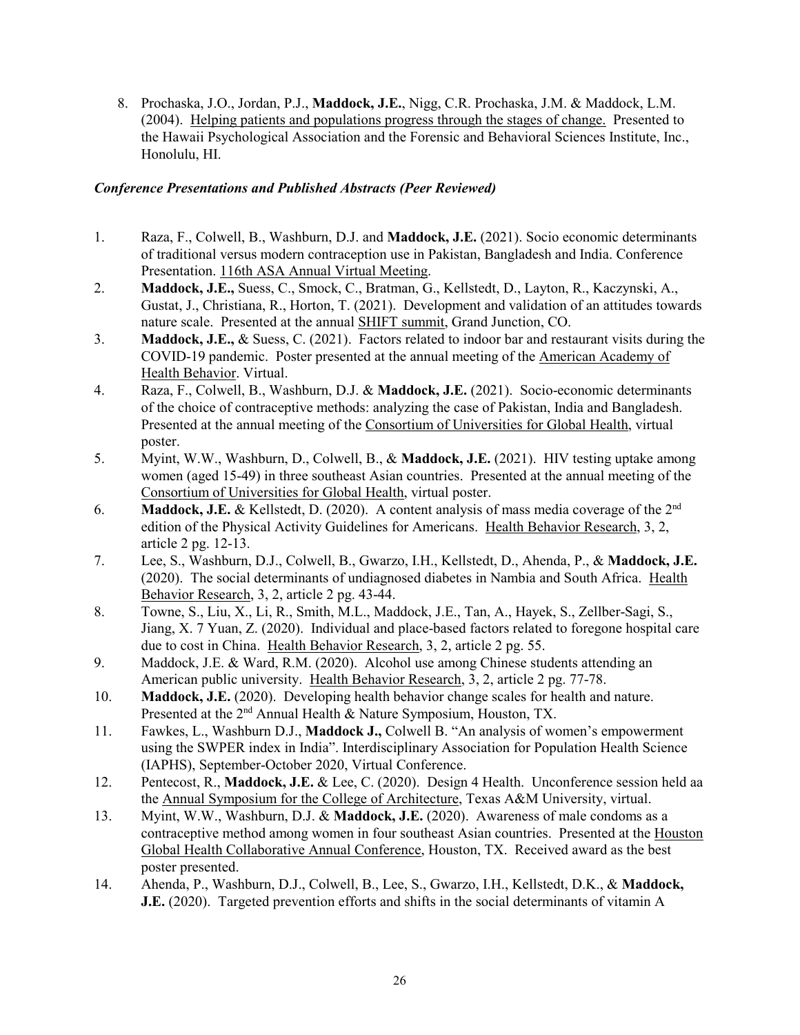8. Prochaska, J.O., Jordan, P.J., **Maddock, J.E.**, Nigg, C.R. Prochaska, J.M. & Maddock, L.M. (2004). Helping patients and populations progress through the stages of change. Presented to the Hawaii Psychological Association and the Forensic and Behavioral Sciences Institute, Inc., Honolulu, HI.

## *Conference Presentations and Published Abstracts (Peer Reviewed)*

- 1. Raza, F., Colwell, B., Washburn, D.J. and **Maddock, J.E.** (2021). Socio economic determinants of traditional versus modern contraception use in Pakistan, Bangladesh and India. Conference Presentation. 116th ASA Annual Virtual Meeting.
- 2. **Maddock, J.E.,** Suess, C., Smock, C., Bratman, G., Kellstedt, D., Layton, R., Kaczynski, A., Gustat, J., Christiana, R., Horton, T. (2021). Development and validation of an attitudes towards nature scale. Presented at the annual SHIFT summit, Grand Junction, CO.
- 3. **Maddock, J.E.,** & Suess, C. (2021). Factors related to indoor bar and restaurant visits during the COVID-19 pandemic. Poster presented at the annual meeting of the American Academy of Health Behavior. Virtual.
- 4. Raza, F., Colwell, B., Washburn, D.J. & **Maddock, J.E.** (2021). Socio-economic determinants of the choice of contraceptive methods: analyzing the case of Pakistan, India and Bangladesh. Presented at the annual meeting of the Consortium of Universities for Global Health, virtual poster.
- 5. Myint, W.W., Washburn, D., Colwell, B., & **Maddock, J.E.** (2021). HIV testing uptake among women (aged 15-49) in three southeast Asian countries. Presented at the annual meeting of the Consortium of Universities for Global Health, virtual poster.
- 6. **Maddock, J.E.** & Kellstedt, D. (2020). A content analysis of mass media coverage of the 2nd edition of the Physical Activity Guidelines for Americans. Health Behavior Research, 3, 2, article 2 pg. 12-13.
- 7. Lee, S., Washburn, D.J., Colwell, B., Gwarzo, I.H., Kellstedt, D., Ahenda, P., & **Maddock, J.E.** (2020). The social determinants of undiagnosed diabetes in Nambia and South Africa. Health Behavior Research, 3, 2, article 2 pg. 43-44.
- 8. Towne, S., Liu, X., Li, R., Smith, M.L., Maddock, J.E., Tan, A., Hayek, S., Zellber-Sagi, S., Jiang, X. 7 Yuan, Z. (2020). Individual and place-based factors related to foregone hospital care due to cost in China. Health Behavior Research, 3, 2, article 2 pg. 55.
- 9. Maddock, J.E. & Ward, R.M. (2020). Alcohol use among Chinese students attending an American public university. Health Behavior Research, 3, 2, article 2 pg. 77-78.
- 10. **Maddock, J.E.** (2020). Developing health behavior change scales for health and nature. Presented at the 2<sup>nd</sup> Annual Health & Nature Symposium, Houston, TX.
- 11. Fawkes, L., Washburn D.J., **Maddock J.,** Colwell B. "An analysis of women's empowerment using the SWPER index in India". Interdisciplinary Association for Population Health Science (IAPHS), September-October 2020, Virtual Conference.
- 12. Pentecost, R., **Maddock, J.E.** & Lee, C. (2020). Design 4 Health. Unconference session held aa the Annual Symposium for the College of Architecture, Texas A&M University, virtual.
- 13. Myint, W.W., Washburn, D.J. & **Maddock, J.E.** (2020). Awareness of male condoms as a contraceptive method among women in four southeast Asian countries. Presented at the Houston Global Health Collaborative Annual Conference, Houston, TX. Received award as the best poster presented.
- 14. Ahenda, P., Washburn, D.J., Colwell, B., Lee, S., Gwarzo, I.H., Kellstedt, D.K., & **Maddock, J.E.** (2020). Targeted prevention efforts and shifts in the social determinants of vitamin A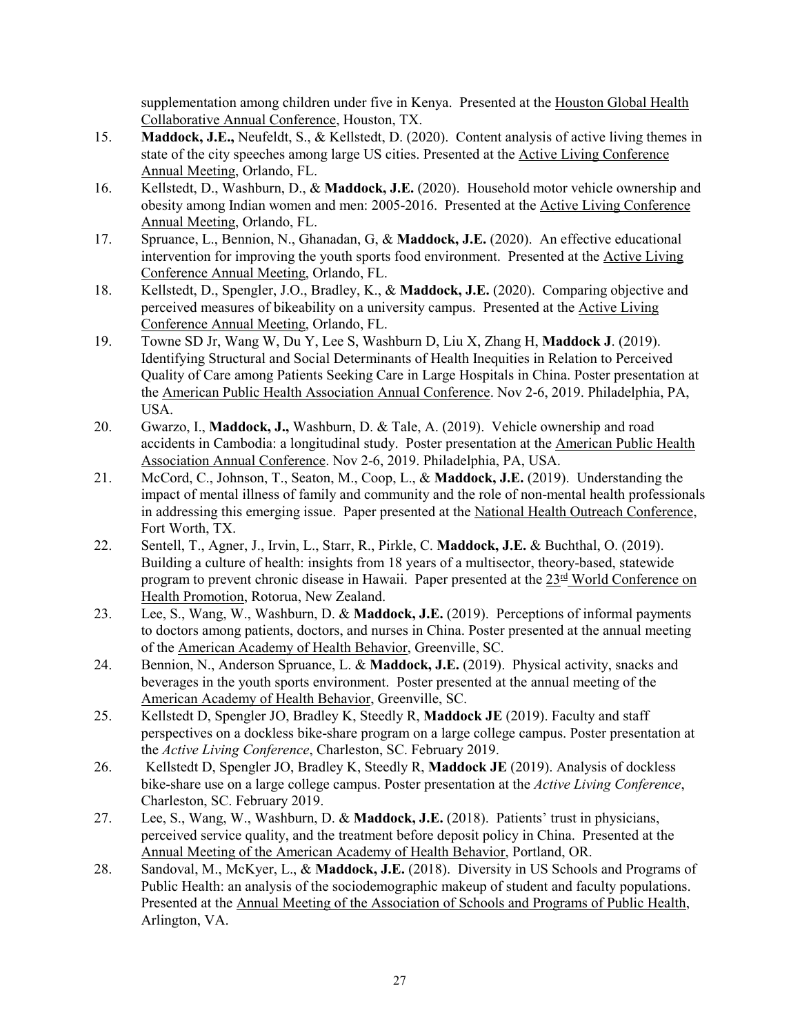supplementation among children under five in Kenya. Presented at the Houston Global Health Collaborative Annual Conference, Houston, TX.

- 15. **Maddock, J.E.,** Neufeldt, S., & Kellstedt, D. (2020). Content analysis of active living themes in state of the city speeches among large US cities. Presented at the Active Living Conference Annual Meeting, Orlando, FL.
- 16. Kellstedt, D., Washburn, D., & **Maddock, J.E.** (2020). Household motor vehicle ownership and obesity among Indian women and men: 2005-2016. Presented at the Active Living Conference Annual Meeting, Orlando, FL.
- 17. Spruance, L., Bennion, N., Ghanadan, G, & **Maddock, J.E.** (2020). An effective educational intervention for improving the youth sports food environment. Presented at the Active Living Conference Annual Meeting, Orlando, FL.
- 18. Kellstedt, D., Spengler, J.O., Bradley, K., & **Maddock, J.E.** (2020). Comparing objective and perceived measures of bikeability on a university campus. Presented at the Active Living Conference Annual Meeting, Orlando, FL.
- 19. Towne SD Jr, Wang W, Du Y, Lee S, Washburn D, Liu X, Zhang H, **Maddock J**. (2019). Identifying Structural and Social Determinants of Health Inequities in Relation to Perceived Quality of Care among Patients Seeking Care in Large Hospitals in China. Poster presentation at the American Public Health Association Annual Conference. Nov 2-6, 2019. Philadelphia, PA, USA.
- 20. Gwarzo, I., **Maddock, J.,** Washburn, D. & Tale, A. (2019). Vehicle ownership and road accidents in Cambodia: a longitudinal study. Poster presentation at the American Public Health Association Annual Conference. Nov 2-6, 2019. Philadelphia, PA, USA.
- 21. McCord, C., Johnson, T., Seaton, M., Coop, L., & **Maddock, J.E.** (2019). Understanding the impact of mental illness of family and community and the role of non-mental health professionals in addressing this emerging issue. Paper presented at the National Health Outreach Conference, Fort Worth, TX.
- 22. Sentell, T., Agner, J., Irvin, L., Starr, R., Pirkle, C. **Maddock, J.E.** & Buchthal, O. (2019). Building a culture of health: insights from 18 years of a multisector, theory-based, statewide program to prevent chronic disease in Hawaii. Paper presented at the  $23<sup>rd</sup>$  World Conference on Health Promotion, Rotorua, New Zealand.
- 23. Lee, S., Wang, W., Washburn, D. & **Maddock, J.E.** (2019). Perceptions of informal payments to doctors among patients, doctors, and nurses in China. Poster presented at the annual meeting of the American Academy of Health Behavior, Greenville, SC.
- 24. Bennion, N., Anderson Spruance, L. & **Maddock, J.E.** (2019). Physical activity, snacks and beverages in the youth sports environment. Poster presented at the annual meeting of the American Academy of Health Behavior, Greenville, SC.
- 25. Kellstedt D, Spengler JO, Bradley K, Steedly R, **Maddock JE** (2019). Faculty and staff perspectives on a dockless bike-share program on a large college campus. Poster presentation at the *Active Living Conference*, Charleston, SC. February 2019.
- 26. Kellstedt D, Spengler JO, Bradley K, Steedly R, **Maddock JE** (2019). Analysis of dockless bike-share use on a large college campus. Poster presentation at the *Active Living Conference*, Charleston, SC. February 2019.
- 27. Lee, S., Wang, W., Washburn, D. & **Maddock, J.E.** (2018). Patients' trust in physicians, perceived service quality, and the treatment before deposit policy in China. Presented at the Annual Meeting of the American Academy of Health Behavior, Portland, OR.
- 28. Sandoval, M., McKyer, L., & **Maddock, J.E.** (2018). Diversity in US Schools and Programs of Public Health: an analysis of the sociodemographic makeup of student and faculty populations. Presented at the Annual Meeting of the Association of Schools and Programs of Public Health, Arlington, VA.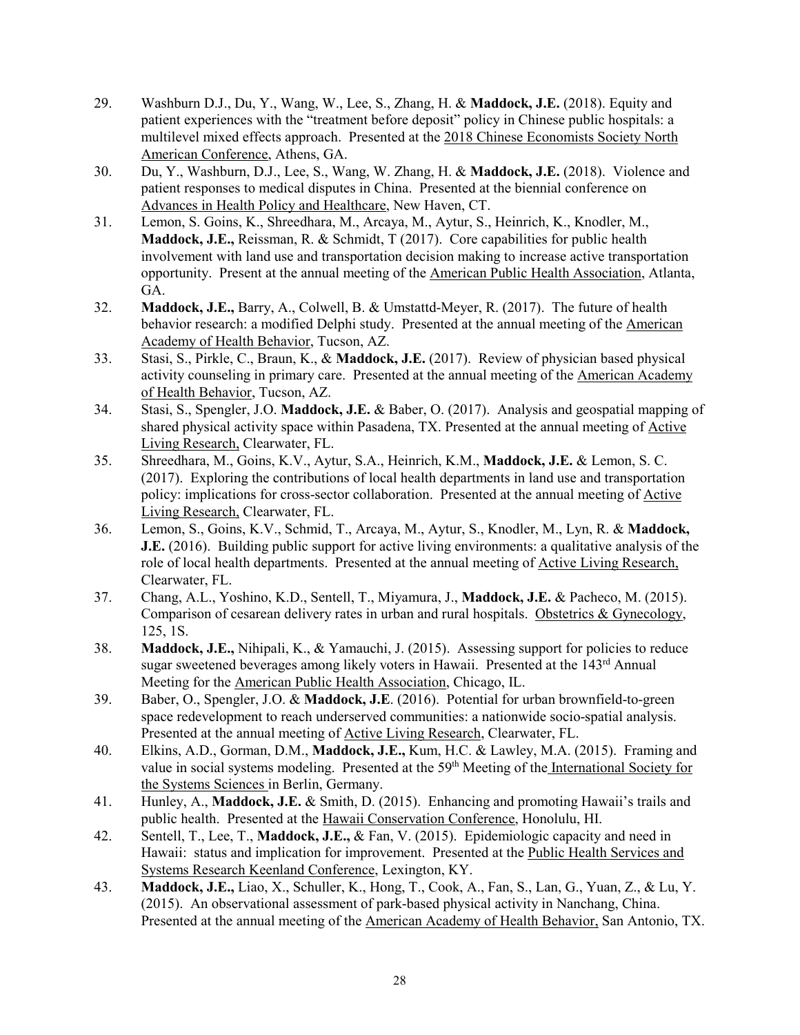- 29. Washburn D.J., Du, Y., Wang, W., Lee, S., Zhang, H. & **Maddock, J.E.** (2018). Equity and patient experiences with the "treatment before deposit" policy in Chinese public hospitals: a multilevel mixed effects approach. Presented at the 2018 Chinese Economists Society North American Conference, Athens, GA.
- 30. Du, Y., Washburn, D.J., Lee, S., Wang, W. Zhang, H. & **Maddock, J.E.** (2018). Violence and patient responses to medical disputes in China. Presented at the biennial conference on Advances in Health Policy and Healthcare, New Haven, CT.
- 31. Lemon, S. Goins, K., Shreedhara, M., Arcaya, M., Aytur, S., Heinrich, K., Knodler, M., **Maddock, J.E.,** Reissman, R. & Schmidt, T (2017). Core capabilities for public health involvement with land use and transportation decision making to increase active transportation opportunity. Present at the annual meeting of the American Public Health Association, Atlanta, GA.
- 32. **Maddock, J.E.,** Barry, A., Colwell, B. & Umstattd-Meyer, R. (2017). The future of health behavior research: a modified Delphi study. Presented at the annual meeting of the American Academy of Health Behavior, Tucson, AZ.
- 33. Stasi, S., Pirkle, C., Braun, K., & **Maddock, J.E.** (2017). Review of physician based physical activity counseling in primary care. Presented at the annual meeting of the American Academy of Health Behavior, Tucson, AZ.
- 34. Stasi, S., Spengler, J.O. **Maddock, J.E.** & Baber, O. (2017). Analysis and geospatial mapping of shared physical activity space within Pasadena, TX. Presented at the annual meeting of Active Living Research, Clearwater, FL.
- 35. Shreedhara, M., Goins, K.V., Aytur, S.A., Heinrich, K.M., **Maddock, J.E.** & Lemon, S. C. (2017). Exploring the contributions of local health departments in land use and transportation policy: implications for cross-sector collaboration. Presented at the annual meeting of Active Living Research, Clearwater, FL.
- 36. Lemon, S., Goins, K.V., Schmid, T., Arcaya, M., Aytur, S., Knodler, M., Lyn, R. & **Maddock, J.E.** (2016). Building public support for active living environments: a qualitative analysis of the role of local health departments. Presented at the annual meeting of Active Living Research, Clearwater, FL.
- 37. Chang, A.L., Yoshino, K.D., Sentell, T., Miyamura, J., **Maddock, J.E.** & Pacheco, M. (2015). Comparison of cesarean delivery rates in urban and rural hospitals. Obstetrics & Gynecology, 125, 1S.
- 38. **Maddock, J.E.,** Nihipali, K., & Yamauchi, J. (2015). Assessing support for policies to reduce sugar sweetened beverages among likely voters in Hawaii. Presented at the 143<sup>rd</sup> Annual Meeting for the American Public Health Association, Chicago, IL.
- 39. Baber, O., Spengler, J.O. & **Maddock, J.E**. (2016). Potential for urban brownfield-to-green space redevelopment to reach underserved communities: a nationwide socio-spatial analysis. Presented at the annual meeting of Active Living Research, Clearwater, FL.
- 40. Elkins, A.D., Gorman, D.M., **Maddock, J.E.,** Kum, H.C. & Lawley, M.A. (2015). Framing and value in social systems modeling. Presented at the 59<sup>th</sup> Meeting of the International Society for the Systems Sciences in Berlin, Germany.
- 41. Hunley, A., **Maddock, J.E.** & Smith, D. (2015). Enhancing and promoting Hawaii's trails and public health. Presented at the Hawaii Conservation Conference, Honolulu, HI.
- 42. Sentell, T., Lee, T., **Maddock, J.E.,** & Fan, V. (2015). Epidemiologic capacity and need in Hawaii: status and implication for improvement. Presented at the Public Health Services and Systems Research Keenland Conference, Lexington, KY.
- 43. **Maddock, J.E.,** Liao, X., Schuller, K., Hong, T., Cook, A., Fan, S., Lan, G., Yuan, Z., & Lu, Y. (2015). An observational assessment of park-based physical activity in Nanchang, China. Presented at the annual meeting of the American Academy of Health Behavior, San Antonio, TX.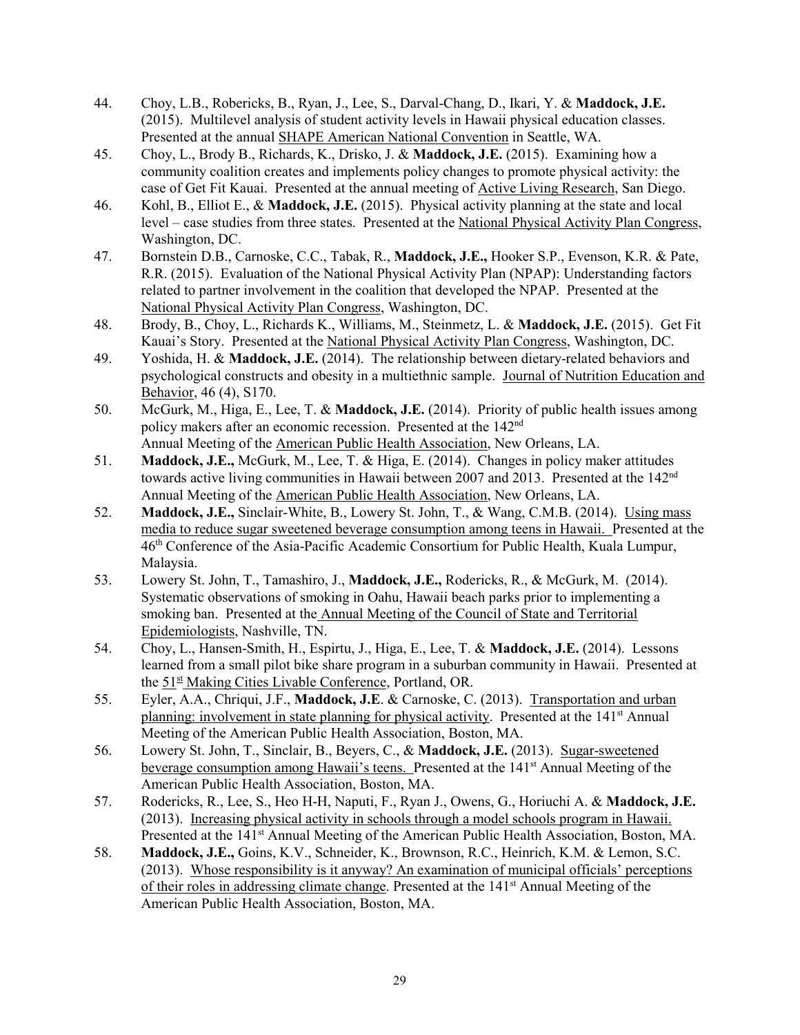- 44. Choy, L.B., Robericks, B., Ryan, J., Lee, S., Darval-Chang, D., Ikari, Y. & **Maddock, J.E.** (2015). Multilevel analysis of student activity levels in Hawaii physical education classes. Presented at the annual SHAPE American National Convention in Seattle, WA.
- 45. Choy, L., Brody B., Richards, K., Drisko, J. & **Maddock, J.E.** (2015). Examining how a community coalition creates and implements policy changes to promote physical activity: the case of Get Fit Kauai. Presented at the annual meeting of Active Living Research, San Diego.
- 46. Kohl, B., Elliot E., & **Maddock, J.E.** (2015). Physical activity planning at the state and local level – case studies from three states. Presented at the National Physical Activity Plan Congress, Washington, DC.
- 47. Bornstein D.B., Carnoske, C.C., Tabak, R., **Maddock, J.E.,** Hooker S.P., Evenson, K.R. & Pate, R.R. (2015). Evaluation of the National Physical Activity Plan (NPAP): Understanding factors related to partner involvement in the coalition that developed the NPAP. Presented at the National Physical Activity Plan Congress, Washington, DC.
- 48. Brody, B., Choy, L., Richards K., Williams, M., Steinmetz, L. & **Maddock, J.E.** (2015). Get Fit Kauai's Story. Presented at the National Physical Activity Plan Congress, Washington, DC.
- 49. Yoshida, H. & **Maddock, J.E.** (2014). The relationship between dietary-related behaviors and psychological constructs and obesity in a multiethnic sample. Journal of Nutrition Education and Behavior, 46 (4), S170.
- 50. McGurk, M., Higa, E., Lee, T. & **Maddock, J.E.** (2014). Priority of public health issues among policy makers after an economic recession. Presented at the 142<sup>nd</sup> Annual Meeting of the American Public Health Association, New Orleans, LA.
- 51. **Maddock, J.E.,** McGurk, M., Lee, T. & Higa, E. (2014). Changes in policy maker attitudes towards active living communities in Hawaii between 2007 and 2013. Presented at the  $142<sup>nd</sup>$ Annual Meeting of the American Public Health Association, New Orleans, LA.
- 52. **Maddock, J.E.,** Sinclair-White, B., Lowery St. John, T., & Wang, C.M.B. (2014). Using mass media to reduce sugar sweetened beverage consumption among teens in Hawaii. Presented at the 46th Conference of the Asia-Pacific Academic Consortium for Public Health, Kuala Lumpur, Malaysia.
- 53. Lowery St. John, T., Tamashiro, J., **Maddock, J.E.,** Rodericks, R., & McGurk, M. (2014). Systematic observations of smoking in Oahu, Hawaii beach parks prior to implementing a smoking ban. Presented at the Annual Meeting of the Council of State and Territorial Epidemiologists, Nashville, TN.
- 54. Choy, L., Hansen-Smith, H., Espirtu, J., Higa, E., Lee, T. & **Maddock, J.E.** (2014). Lessons learned from a small pilot bike share program in a suburban community in Hawaii. Presented at the 51<sup>st</sup> Making Cities Livable Conference, Portland, OR.
- 55. Eyler, A.A., Chriqui, J.F., **Maddock, J.E**. & Carnoske, C. (2013). Transportation and urban planning: involvement in state planning for physical activity. Presented at the 141<sup>st</sup> Annual Meeting of the American Public Health Association, Boston, MA.
- 56. Lowery St. John, T., Sinclair, B., Beyers, C., & **Maddock, J.E.** (2013). Sugar-sweetened beverage consumption among Hawaii's teens. Presented at the 141<sup>st</sup> Annual Meeting of the American Public Health Association, Boston, MA.
- 57. Rodericks, R., Lee, S., Heo H-H, Naputi, F., Ryan J., Owens, G., Horiuchi A. & **Maddock, J.E.** (2013). Increasing physical activity in schools through a model schools program in Hawaii. Presented at the 141<sup>st</sup> Annual Meeting of the American Public Health Association, Boston, MA.
- 58. **Maddock, J.E.,** Goins, K.V., Schneider, K., Brownson, R.C., Heinrich, K.M. & Lemon, S.C. (2013). Whose responsibility is it anyway? An examination of municipal officials' perceptions of their roles in addressing climate change. Presented at the 141st Annual Meeting of the American Public Health Association, Boston, MA.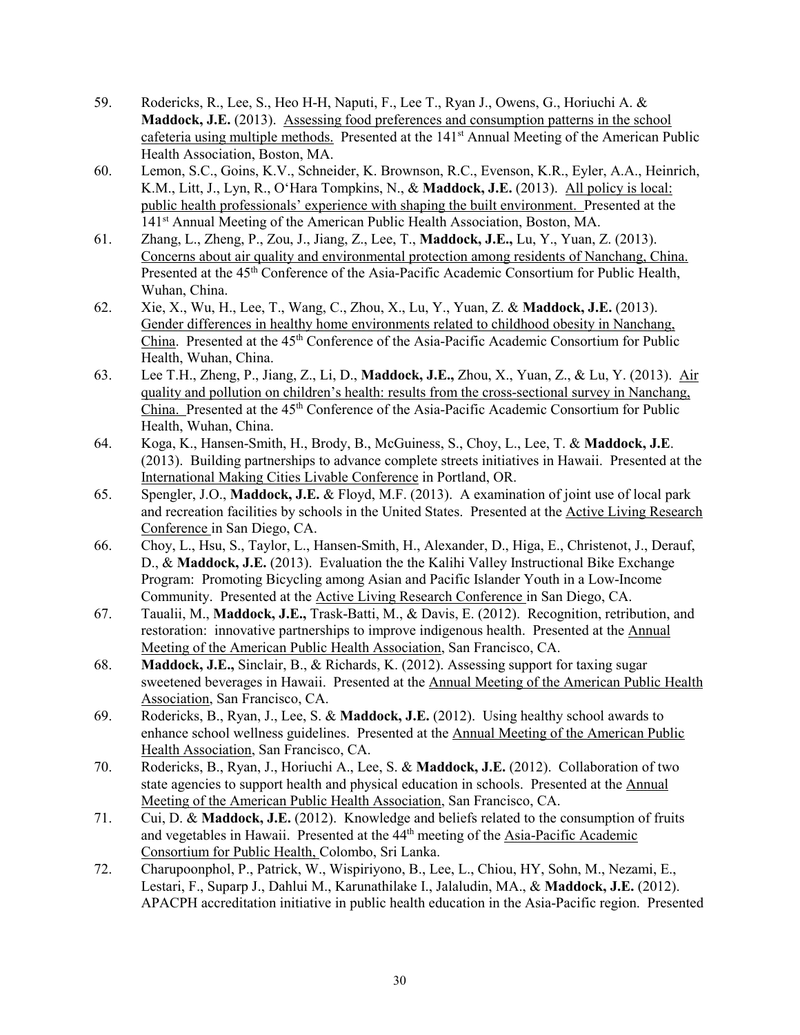- 59. Rodericks, R., Lee, S., Heo H-H, Naputi, F., Lee T., Ryan J., Owens, G., Horiuchi A. & **Maddock, J.E.** (2013). Assessing food preferences and consumption patterns in the school cafeteria using multiple methods. Presented at the 141<sup>st</sup> Annual Meeting of the American Public Health Association, Boston, MA.
- 60. Lemon, S.C., Goins, K.V., Schneider, K. Brownson, R.C., Evenson, K.R., Eyler, A.A., Heinrich, K.M., Litt, J., Lyn, R., OʻHara Tompkins, N., & **Maddock, J.E.** (2013). All policy is local: public health professionals' experience with shaping the built environment. Presented at the 141st Annual Meeting of the American Public Health Association, Boston, MA.
- 61. Zhang, L., Zheng, P., Zou, J., Jiang, Z., Lee, T., **Maddock, J.E.,** Lu, Y., Yuan, Z. (2013). Concerns about air quality and environmental protection among residents of Nanchang, China. Presented at the 45<sup>th</sup> Conference of the Asia-Pacific Academic Consortium for Public Health, Wuhan, China.
- 62. Xie, X., Wu, H., Lee, T., Wang, C., Zhou, X., Lu, Y., Yuan, Z. & **Maddock, J.E.** (2013). Gender differences in healthy home environments related to childhood obesity in Nanchang, China. Presented at the 45th Conference of the Asia-Pacific Academic Consortium for Public Health, Wuhan, China.
- 63. Lee T.H., Zheng, P., Jiang, Z., Li, D., **Maddock, J.E.,** Zhou, X., Yuan, Z., & Lu, Y. (2013). Air quality and pollution on children's health: results from the cross-sectional survey in Nanchang, China. Presented at the 45<sup>th</sup> Conference of the Asia-Pacific Academic Consortium for Public Health, Wuhan, China.
- 64. Koga, K., Hansen-Smith, H., Brody, B., McGuiness, S., Choy, L., Lee, T. & **Maddock, J.E**. (2013). Building partnerships to advance complete streets initiatives in Hawaii. Presented at the International Making Cities Livable Conference in Portland, OR.
- 65. Spengler, J.O., **Maddock, J.E.** & Floyd, M.F. (2013). A examination of joint use of local park and recreation facilities by schools in the United States. Presented at the Active Living Research Conference in San Diego, CA.
- 66. Choy, L., Hsu, S., Taylor, L., Hansen-Smith, H., Alexander, D., Higa, E., Christenot, J., Derauf, D., & **Maddock, J.E.** (2013). Evaluation the the Kalihi Valley Instructional Bike Exchange Program: Promoting Bicycling among Asian and Pacific Islander Youth in a Low-Income Community. Presented at the Active Living Research Conference in San Diego, CA.
- 67. Taualii, M., **Maddock, J.E.,** Trask-Batti, M., & Davis, E. (2012). Recognition, retribution, and restoration: innovative partnerships to improve indigenous health. Presented at the Annual Meeting of the American Public Health Association, San Francisco, CA.
- 68. **Maddock, J.E.,** Sinclair, B., & Richards, K. (2012). Assessing support for taxing sugar sweetened beverages in Hawaii. Presented at the Annual Meeting of the American Public Health Association, San Francisco, CA.
- 69. Rodericks, B., Ryan, J., Lee, S. & **Maddock, J.E.** (2012). Using healthy school awards to enhance school wellness guidelines. Presented at the Annual Meeting of the American Public Health Association, San Francisco, CA.
- 70. Rodericks, B., Ryan, J., Horiuchi A., Lee, S. & **Maddock, J.E.** (2012). Collaboration of two state agencies to support health and physical education in schools. Presented at the Annual Meeting of the American Public Health Association, San Francisco, CA.
- 71. Cui, D. & **Maddock, J.E.** (2012). Knowledge and beliefs related to the consumption of fruits and vegetables in Hawaii. Presented at the 44<sup>th</sup> meeting of the Asia-Pacific Academic Consortium for Public Health, Colombo, Sri Lanka.
- 72. Charupoonphol, P., Patrick, W., Wispiriyono, B., Lee, L., Chiou, HY, Sohn, M., Nezami, E., Lestari, F., Suparp J., Dahlui M., Karunathilake I., Jalaludin, MA., & **Maddock, J.E.** (2012). APACPH accreditation initiative in public health education in the Asia-Pacific region. Presented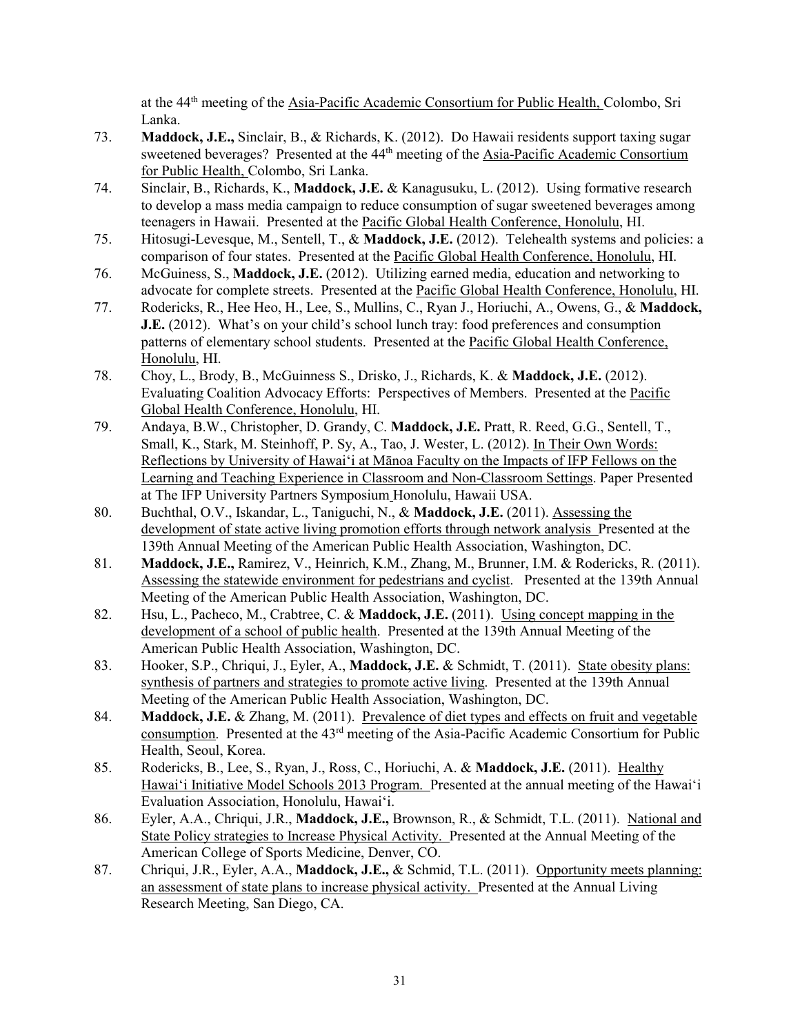at the 44th meeting of the Asia-Pacific Academic Consortium for Public Health, Colombo, Sri Lanka.

- 73. **Maddock, J.E.,** Sinclair, B., & Richards, K. (2012). Do Hawaii residents support taxing sugar sweetened beverages? Presented at the 44<sup>th</sup> meeting of the **Asia-Pacific Academic Consortium** for Public Health, Colombo, Sri Lanka.
- 74. Sinclair, B., Richards, K., **Maddock, J.E.** & Kanagusuku, L. (2012). Using formative research to develop a mass media campaign to reduce consumption of sugar sweetened beverages among teenagers in Hawaii. Presented at the Pacific Global Health Conference, Honolulu, HI.
- 75. Hitosugi-Levesque, M., Sentell, T., & **Maddock, J.E.** (2012). Telehealth systems and policies: a comparison of four states. Presented at the Pacific Global Health Conference, Honolulu, HI.
- 76. McGuiness, S., **Maddock, J.E.** (2012). Utilizing earned media, education and networking to advocate for complete streets. Presented at the Pacific Global Health Conference, Honolulu, HI.
- 77. Rodericks, R., Hee Heo, H., Lee, S., Mullins, C., Ryan J., Horiuchi, A., Owens, G., & **Maddock, J.E.** (2012). What's on your child's school lunch tray: food preferences and consumption patterns of elementary school students. Presented at the Pacific Global Health Conference, Honolulu, HI.
- 78. Choy, L., Brody, B., McGuinness S., Drisko, J., Richards, K. & **Maddock, J.E.** (2012). Evaluating Coalition Advocacy Efforts: Perspectives of Members. Presented at the Pacific Global Health Conference, Honolulu, HI.
- 79. Andaya, B.W., Christopher, D. Grandy, C. **Maddock, J.E.** Pratt, R. Reed, G.G., Sentell, T., Small, K., Stark, M. Steinhoff, P. Sy, A., Tao, J. Wester, L. (2012). In Their Own Words: Reflections by University of Hawai'i at Mānoa Faculty on the Impacts of IFP Fellows on the Learning and Teaching Experience in Classroom and Non-Classroom Settings. Paper Presented at The IFP University Partners Symposium Honolulu, Hawaii USA.
- 80. Buchthal, O.V., Iskandar, L., Taniguchi, N., & **Maddock, J.E.** (2011). Assessing the development of state active living promotion efforts through network analysis Presented at the 139th Annual Meeting of the American Public Health Association, Washington, DC.
- 81. **Maddock, J.E.,** Ramirez, V., Heinrich, K.M., Zhang, M., Brunner, I.M. & Rodericks, R. (2011). Assessing the statewide environment for pedestrians and cyclist. Presented at the 139th Annual Meeting of the American Public Health Association, Washington, DC.
- 82. Hsu, L., Pacheco, M., Crabtree, C. & **Maddock, J.E.** (2011). Using concept mapping in the development of a school of public health. Presented at the 139th Annual Meeting of the American Public Health Association, Washington, DC.
- 83. Hooker, S.P., Chriqui, J., Eyler, A., **Maddock, J.E.** & Schmidt, T. (2011). State obesity plans: synthesis of partners and strategies to promote active living. Presented at the 139th Annual Meeting of the American Public Health Association, Washington, DC.
- 84. **Maddock, J.E.** & Zhang, M. (2011). Prevalence of diet types and effects on fruit and vegetable consumption. Presented at the 43rd meeting of the Asia-Pacific Academic Consortium for Public Health, Seoul, Korea.
- 85. Rodericks, B., Lee, S., Ryan, J., Ross, C., Horiuchi, A. & **Maddock, J.E.** (2011). Healthy Hawai'i Initiative Model Schools 2013 Program. Presented at the annual meeting of the Hawai'i Evaluation Association, Honolulu, Hawai'i.
- 86. Eyler, A.A., Chriqui, J.R., **Maddock, J.E.,** Brownson, R., & Schmidt, T.L. (2011). National and State Policy strategies to Increase Physical Activity. Presented at the Annual Meeting of the American College of Sports Medicine, Denver, CO.
- 87. Chriqui, J.R., Eyler, A.A., **Maddock, J.E.,** & Schmid, T.L. (2011). Opportunity meets planning: an assessment of state plans to increase physical activity. Presented at the Annual Living Research Meeting, San Diego, CA.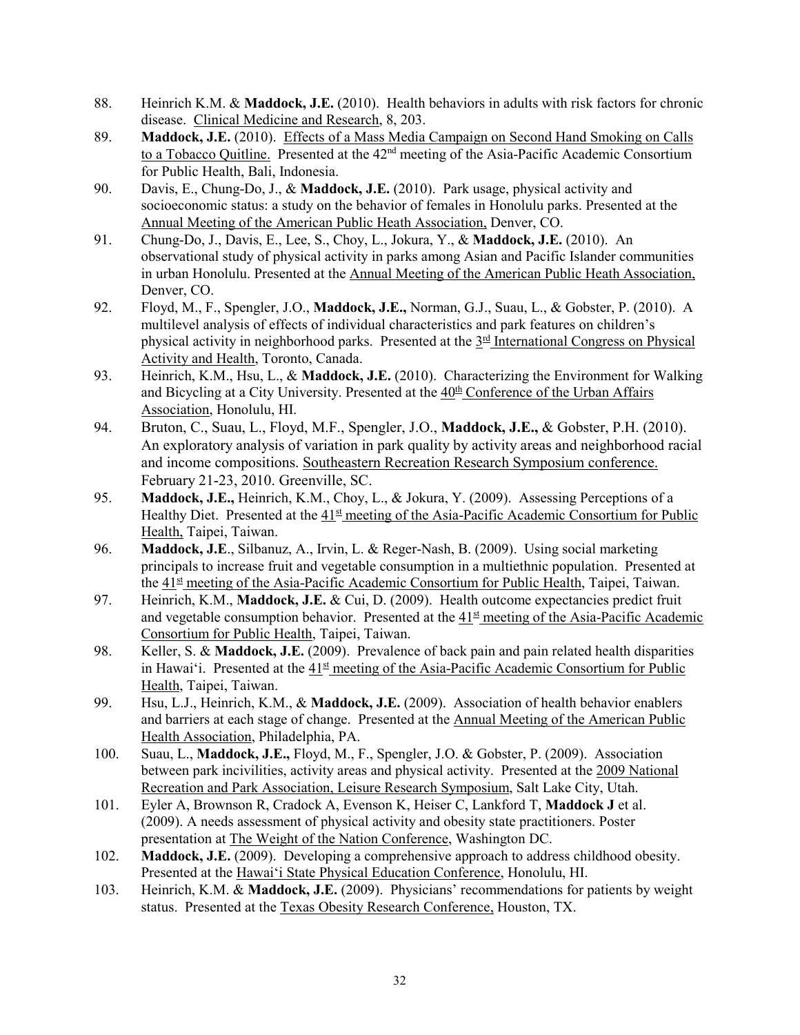- 88. Heinrich K.M. & **Maddock, J.E.** (2010). Health behaviors in adults with risk factors for chronic disease. Clinical Medicine and Research, 8, 203.
- 89. **Maddock, J.E.** (2010). Effects of a Mass Media Campaign on Second Hand Smoking on Calls to a Tobacco Quitline. Presented at the 42<sup>nd</sup> meeting of the Asia-Pacific Academic Consortium for Public Health, Bali, Indonesia.
- 90. Davis, E., Chung-Do, J., & **Maddock, J.E.** (2010). Park usage, physical activity and socioeconomic status: a study on the behavior of females in Honolulu parks. Presented at the Annual Meeting of the American Public Heath Association, Denver, CO.
- 91. Chung-Do, J., Davis, E., Lee, S., Choy, L., Jokura, Y., & **Maddock, J.E.** (2010). An observational study of physical activity in parks among Asian and Pacific Islander communities in urban Honolulu. Presented at the Annual Meeting of the American Public Heath Association, Denver, CO.
- 92. Floyd, M., F., Spengler, J.O., **Maddock, J.E.,** Norman, G.J., Suau, L., & Gobster, P. (2010). A multilevel analysis of effects of individual characteristics and park features on children's physical activity in neighborhood parks. Presented at the 3rd International Congress on Physical Activity and Health, Toronto, Canada.
- 93. Heinrich, K.M., Hsu, L., & **Maddock, J.E.** (2010). Characterizing the Environment for Walking and Bicycling at a City University. Presented at the  $40<sup>th</sup>$  Conference of the Urban Affairs Association, Honolulu, HI.
- 94. Bruton, C., Suau, L., Floyd, M.F., Spengler, J.O., **Maddock, J.E.,** & Gobster, P.H. (2010). An exploratory analysis of variation in park quality by activity areas and neighborhood racial and income compositions. Southeastern Recreation Research Symposium conference. February 21-23, 2010. Greenville, SC.
- 95. **Maddock, J.E.,** Heinrich, K.M., Choy, L., & Jokura, Y. (2009). Assessing Perceptions of a Healthy Diet. Presented at the  $41<sup>st</sup>$  meeting of the Asia-Pacific Academic Consortium for Public Health, Taipei, Taiwan.
- 96. **Maddock, J.E**., Silbanuz, A., Irvin, L. & Reger-Nash, B. (2009). Using social marketing principals to increase fruit and vegetable consumption in a multiethnic population. Presented at the 41<sup>st</sup> meeting of the Asia-Pacific Academic Consortium for Public Health, Taipei, Taiwan.
- 97. Heinrich, K.M., **Maddock, J.E.** & Cui, D. (2009). Health outcome expectancies predict fruit and vegetable consumption behavior. Presented at the  $41<sup>st</sup>$  meeting of the Asia-Pacific Academic Consortium for Public Health, Taipei, Taiwan.
- 98. Keller, S. & **Maddock, J.E.** (2009). Prevalence of back pain and pain related health disparities in Hawai'i. Presented at the  $41<sup>st</sup>$  meeting of the Asia-Pacific Academic Consortium for Public Health, Taipei, Taiwan.
- 99. Hsu, L.J., Heinrich, K.M., & **Maddock, J.E.** (2009). Association of health behavior enablers and barriers at each stage of change. Presented at the Annual Meeting of the American Public Health Association, Philadelphia, PA.
- 100. Suau, L., **Maddock, J.E.,** Floyd, M., F., Spengler, J.O. & Gobster, P. (2009). Association between park incivilities, activity areas and physical activity. Presented at the 2009 National Recreation and Park Association, Leisure Research Symposium, Salt Lake City, Utah.
- 101. Eyler A, Brownson R, Cradock A, Evenson K, Heiser C, Lankford T, **Maddock J** et al. (2009). A needs assessment of physical activity and obesity state practitioners. Poster presentation at The Weight of the Nation Conference, Washington DC.
- 102. **Maddock, J.E.** (2009). Developing a comprehensive approach to address childhood obesity. Presented at the Hawai'i State Physical Education Conference, Honolulu, HI.
- 103. Heinrich, K.M. & **Maddock, J.E.** (2009). Physicians' recommendations for patients by weight status. Presented at the Texas Obesity Research Conference, Houston, TX.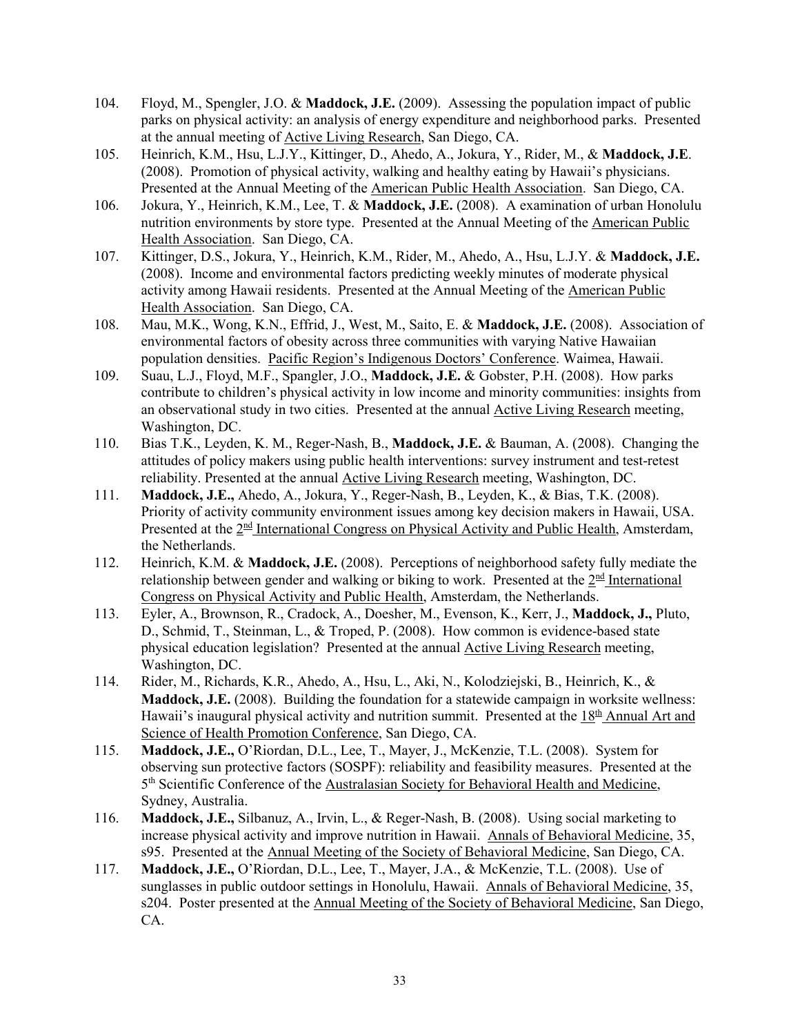- 104. Floyd, M., Spengler, J.O. & **Maddock, J.E.** (2009). Assessing the population impact of public parks on physical activity: an analysis of energy expenditure and neighborhood parks. Presented at the annual meeting of Active Living Research, San Diego, CA.
- 105. Heinrich, K.M., Hsu, L.J.Y., Kittinger, D., Ahedo, A., Jokura, Y., Rider, M., & **Maddock, J.E**. (2008). Promotion of physical activity, walking and healthy eating by Hawaii's physicians. Presented at the Annual Meeting of the American Public Health Association. San Diego, CA.
- 106. Jokura, Y., Heinrich, K.M., Lee, T. & **Maddock, J.E.** (2008). A examination of urban Honolulu nutrition environments by store type. Presented at the Annual Meeting of the American Public Health Association. San Diego, CA.
- 107. Kittinger, D.S., Jokura, Y., Heinrich, K.M., Rider, M., Ahedo, A., Hsu, L.J.Y. & **Maddock, J.E.** (2008). Income and environmental factors predicting weekly minutes of moderate physical activity among Hawaii residents. Presented at the Annual Meeting of the American Public Health Association. San Diego, CA.
- 108. Mau, M.K., Wong, K.N., Effrid, J., West, M., Saito, E. & **Maddock, J.E.** (2008). Association of environmental factors of obesity across three communities with varying Native Hawaiian population densities. Pacific Region's Indigenous Doctors' Conference. Waimea, Hawaii.
- 109. Suau, L.J., Floyd, M.F., Spangler, J.O., **Maddock, J.E.** & Gobster, P.H. (2008). How parks contribute to children's physical activity in low income and minority communities: insights from an observational study in two cities. Presented at the annual Active Living Research meeting, Washington, DC.
- 110. Bias T.K., Leyden, K. M., Reger-Nash, B., **Maddock, J.E.** & Bauman, A. (2008). Changing the attitudes of policy makers using public health interventions: survey instrument and test-retest reliability. Presented at the annual Active Living Research meeting, Washington, DC.
- 111. **Maddock, J.E.,** Ahedo, A., Jokura, Y., Reger-Nash, B., Leyden, K., & Bias, T.K. (2008). Priority of activity community environment issues among key decision makers in Hawaii, USA. Presented at the  $2<sup>nd</sup>$  International Congress on Physical Activity and Public Health, Amsterdam, the Netherlands.
- 112. Heinrich, K.M. & **Maddock, J.E.** (2008). Perceptions of neighborhood safety fully mediate the relationship between gender and walking or biking to work. Presented at the  $2<sup>nd</sup>$  International Congress on Physical Activity and Public Health, Amsterdam, the Netherlands.
- 113. Eyler, A., Brownson, R., Cradock, A., Doesher, M., Evenson, K., Kerr, J., **Maddock, J.,** Pluto, D., Schmid, T., Steinman, L., & Troped, P. (2008). How common is evidence-based state physical education legislation? Presented at the annual Active Living Research meeting, Washington, DC.
- 114. Rider, M., Richards, K.R., Ahedo, A., Hsu, L., Aki, N., Kolodziejski, B., Heinrich, K., & **Maddock, J.E.** (2008). Building the foundation for a statewide campaign in worksite wellness: Hawaii's inaugural physical activity and nutrition summit. Presented at the  $18<sup>th</sup>$  Annual Art and Science of Health Promotion Conference, San Diego, CA.
- 115. **Maddock, J.E.,** O'Riordan, D.L., Lee, T., Mayer, J., McKenzie, T.L. (2008). System for observing sun protective factors (SOSPF): reliability and feasibility measures. Presented at the 5th Scientific Conference of the Australasian Society for Behavioral Health and Medicine, Sydney, Australia.
- 116. **Maddock, J.E.,** Silbanuz, A., Irvin, L., & Reger-Nash, B. (2008). Using social marketing to increase physical activity and improve nutrition in Hawaii. Annals of Behavioral Medicine, 35, s95. Presented at the Annual Meeting of the Society of Behavioral Medicine, San Diego, CA.
- 117. **Maddock, J.E.,** O'Riordan, D.L., Lee, T., Mayer, J.A., & McKenzie, T.L. (2008). Use of sunglasses in public outdoor settings in Honolulu, Hawaii. Annals of Behavioral Medicine, 35, s204. Poster presented at the Annual Meeting of the Society of Behavioral Medicine, San Diego, CA.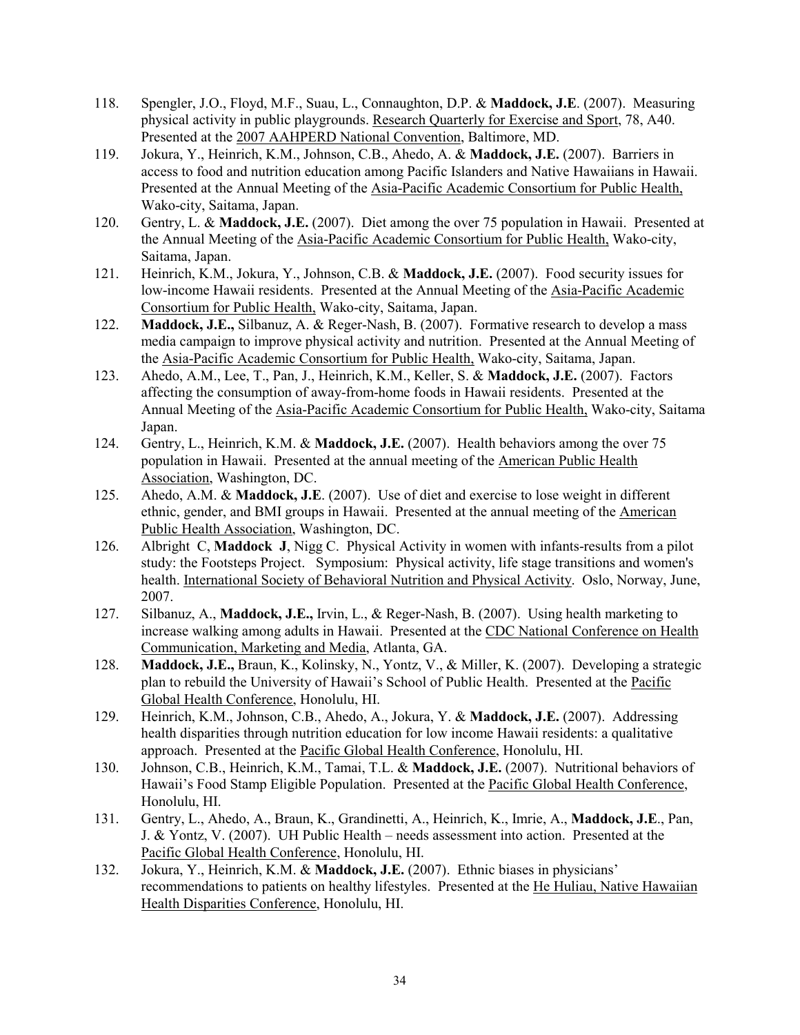- 118. Spengler, J.O., Floyd, M.F., Suau, L., Connaughton, D.P. & **Maddock, J.E**. (2007). Measuring physical activity in public playgrounds. Research Quarterly for Exercise and Sport, 78, A40. Presented at the 2007 AAHPERD National Convention, Baltimore, MD.
- 119. Jokura, Y., Heinrich, K.M., Johnson, C.B., Ahedo, A. & **Maddock, J.E.** (2007). Barriers in access to food and nutrition education among Pacific Islanders and Native Hawaiians in Hawaii. Presented at the Annual Meeting of the Asia-Pacific Academic Consortium for Public Health, Wako-city, Saitama, Japan.
- 120. Gentry, L. & **Maddock, J.E.** (2007). Diet among the over 75 population in Hawaii. Presented at the Annual Meeting of the Asia-Pacific Academic Consortium for Public Health, Wako-city, Saitama, Japan.
- 121. Heinrich, K.M., Jokura, Y., Johnson, C.B. & **Maddock, J.E.** (2007). Food security issues for low-income Hawaii residents. Presented at the Annual Meeting of the Asia-Pacific Academic Consortium for Public Health, Wako-city, Saitama, Japan.
- 122. **Maddock, J.E.,** Silbanuz, A. & Reger-Nash, B. (2007). Formative research to develop a mass media campaign to improve physical activity and nutrition. Presented at the Annual Meeting of the Asia-Pacific Academic Consortium for Public Health, Wako-city, Saitama, Japan.
- 123. Ahedo, A.M., Lee, T., Pan, J., Heinrich, K.M., Keller, S. & **Maddock, J.E.** (2007). Factors affecting the consumption of away-from-home foods in Hawaii residents. Presented at the Annual Meeting of the Asia-Pacific Academic Consortium for Public Health, Wako-city, Saitama Japan.
- 124. Gentry, L., Heinrich, K.M. & **Maddock, J.E.** (2007). Health behaviors among the over 75 population in Hawaii. Presented at the annual meeting of the American Public Health Association, Washington, DC.
- 125. Ahedo, A.M. & **Maddock, J.E**. (2007). Use of diet and exercise to lose weight in different ethnic, gender, and BMI groups in Hawaii. Presented at the annual meeting of the American Public Health Association, Washington, DC.
- 126. Albright C, **Maddock J**, Nigg C. Physical Activity in women with infants-results from a pilot study: the Footsteps Project. Symposium: Physical activity, life stage transitions and women's health. International Society of Behavioral Nutrition and Physical Activity. Oslo, Norway, June, 2007.
- 127. Silbanuz, A., **Maddock, J.E.,** Irvin, L., & Reger-Nash, B. (2007). Using health marketing to increase walking among adults in Hawaii. Presented at the CDC National Conference on Health Communication, Marketing and Media, Atlanta, GA.
- 128. **Maddock, J.E.,** Braun, K., Kolinsky, N., Yontz, V., & Miller, K. (2007). Developing a strategic plan to rebuild the University of Hawaii's School of Public Health. Presented at the Pacific Global Health Conference, Honolulu, HI.
- 129. Heinrich, K.M., Johnson, C.B., Ahedo, A., Jokura, Y. & **Maddock, J.E.** (2007). Addressing health disparities through nutrition education for low income Hawaii residents: a qualitative approach. Presented at the Pacific Global Health Conference, Honolulu, HI.
- 130. Johnson, C.B., Heinrich, K.M., Tamai, T.L. & **Maddock, J.E.** (2007). Nutritional behaviors of Hawaii's Food Stamp Eligible Population. Presented at the Pacific Global Health Conference, Honolulu, HI.
- 131. Gentry, L., Ahedo, A., Braun, K., Grandinetti, A., Heinrich, K., Imrie, A., **Maddock, J.E**., Pan, J. & Yontz, V. (2007). UH Public Health – needs assessment into action. Presented at the Pacific Global Health Conference, Honolulu, HI.
- 132. Jokura, Y., Heinrich, K.M. & **Maddock, J.E.** (2007). Ethnic biases in physicians' recommendations to patients on healthy lifestyles. Presented at the He Huliau, Native Hawaiian Health Disparities Conference, Honolulu, HI.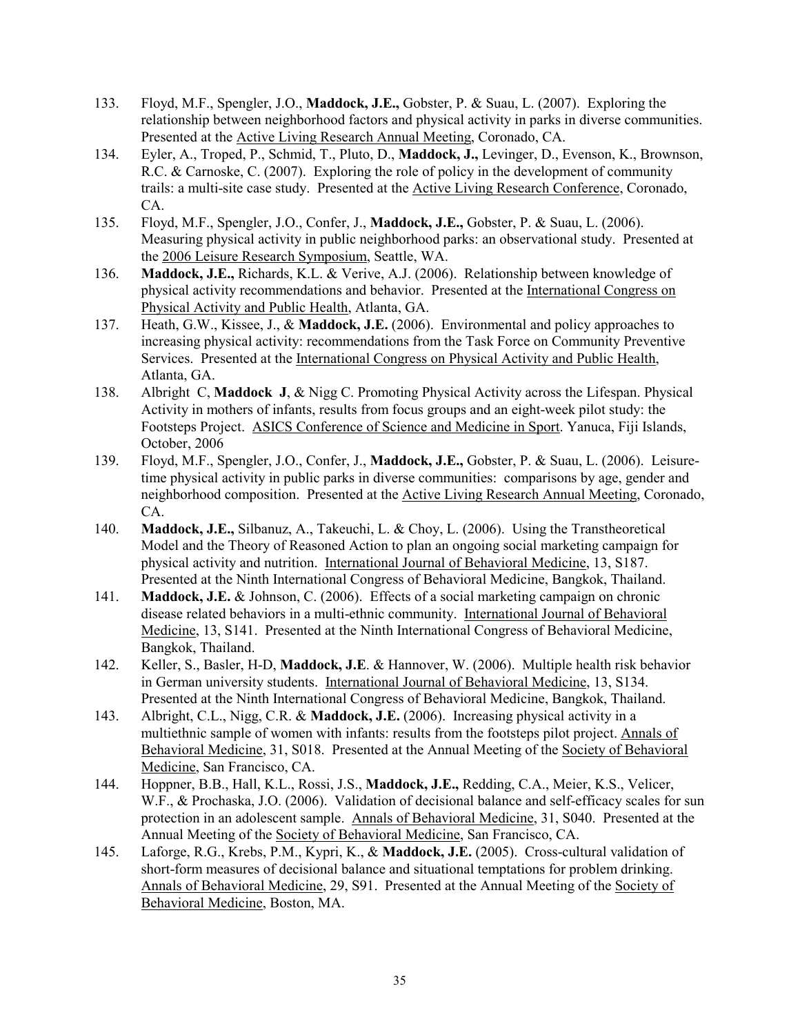- 133. Floyd, M.F., Spengler, J.O., **Maddock, J.E.,** Gobster, P. & Suau, L. (2007). Exploring the relationship between neighborhood factors and physical activity in parks in diverse communities. Presented at the Active Living Research Annual Meeting, Coronado, CA.
- 134. Eyler, A., Troped, P., Schmid, T., Pluto, D., **Maddock, J.,** Levinger, D., Evenson, K., Brownson, R.C. & Carnoske, C. (2007). Exploring the role of policy in the development of community trails: a multi-site case study. Presented at the Active Living Research Conference, Coronado, CA.
- 135. Floyd, M.F., Spengler, J.O., Confer, J., **Maddock, J.E.,** Gobster, P. & Suau, L. (2006). Measuring physical activity in public neighborhood parks: an observational study. Presented at the 2006 Leisure Research Symposium, Seattle, WA.
- 136. **Maddock, J.E.,** Richards, K.L. & Verive, A.J. (2006). Relationship between knowledge of physical activity recommendations and behavior. Presented at the International Congress on Physical Activity and Public Health, Atlanta, GA.
- 137. Heath, G.W., Kissee, J., & **Maddock, J.E.** (2006). Environmental and policy approaches to increasing physical activity: recommendations from the Task Force on Community Preventive Services. Presented at the International Congress on Physical Activity and Public Health, Atlanta, GA.
- 138. Albright C, **Maddock J**, & Nigg C. Promoting Physical Activity across the Lifespan. Physical Activity in mothers of infants, results from focus groups and an eight-week pilot study: the Footsteps Project. ASICS Conference of Science and Medicine in Sport. Yanuca, Fiji Islands, October, 2006
- 139. Floyd, M.F., Spengler, J.O., Confer, J., **Maddock, J.E.,** Gobster, P. & Suau, L. (2006). Leisuretime physical activity in public parks in diverse communities: comparisons by age, gender and neighborhood composition. Presented at the Active Living Research Annual Meeting, Coronado, CA.
- 140. **Maddock, J.E.,** Silbanuz, A., Takeuchi, L. & Choy, L. (2006). Using the Transtheoretical Model and the Theory of Reasoned Action to plan an ongoing social marketing campaign for physical activity and nutrition. International Journal of Behavioral Medicine, 13, S187. Presented at the Ninth International Congress of Behavioral Medicine, Bangkok, Thailand.
- 141. **Maddock, J.E.** & Johnson, C. (2006). Effects of a social marketing campaign on chronic disease related behaviors in a multi-ethnic community. International Journal of Behavioral Medicine, 13, S141. Presented at the Ninth International Congress of Behavioral Medicine, Bangkok, Thailand.
- 142. Keller, S., Basler, H-D, **Maddock, J.E**. & Hannover, W. (2006). Multiple health risk behavior in German university students. International Journal of Behavioral Medicine, 13, S134. Presented at the Ninth International Congress of Behavioral Medicine, Bangkok, Thailand.
- 143. Albright, C.L., Nigg, C.R. & **Maddock, J.E.** (2006). Increasing physical activity in a multiethnic sample of women with infants: results from the footsteps pilot project. Annals of Behavioral Medicine, 31, S018. Presented at the Annual Meeting of the Society of Behavioral Medicine, San Francisco, CA.
- 144. Hoppner, B.B., Hall, K.L., Rossi, J.S., **Maddock, J.E.,** Redding, C.A., Meier, K.S., Velicer, W.F., & Prochaska, J.O. (2006). Validation of decisional balance and self-efficacy scales for sun protection in an adolescent sample. Annals of Behavioral Medicine, 31, S040. Presented at the Annual Meeting of the Society of Behavioral Medicine, San Francisco, CA.
- 145. Laforge, R.G., Krebs, P.M., Kypri, K., & **Maddock, J.E.** (2005). Cross-cultural validation of short-form measures of decisional balance and situational temptations for problem drinking. Annals of Behavioral Medicine, 29, S91. Presented at the Annual Meeting of the Society of Behavioral Medicine, Boston, MA.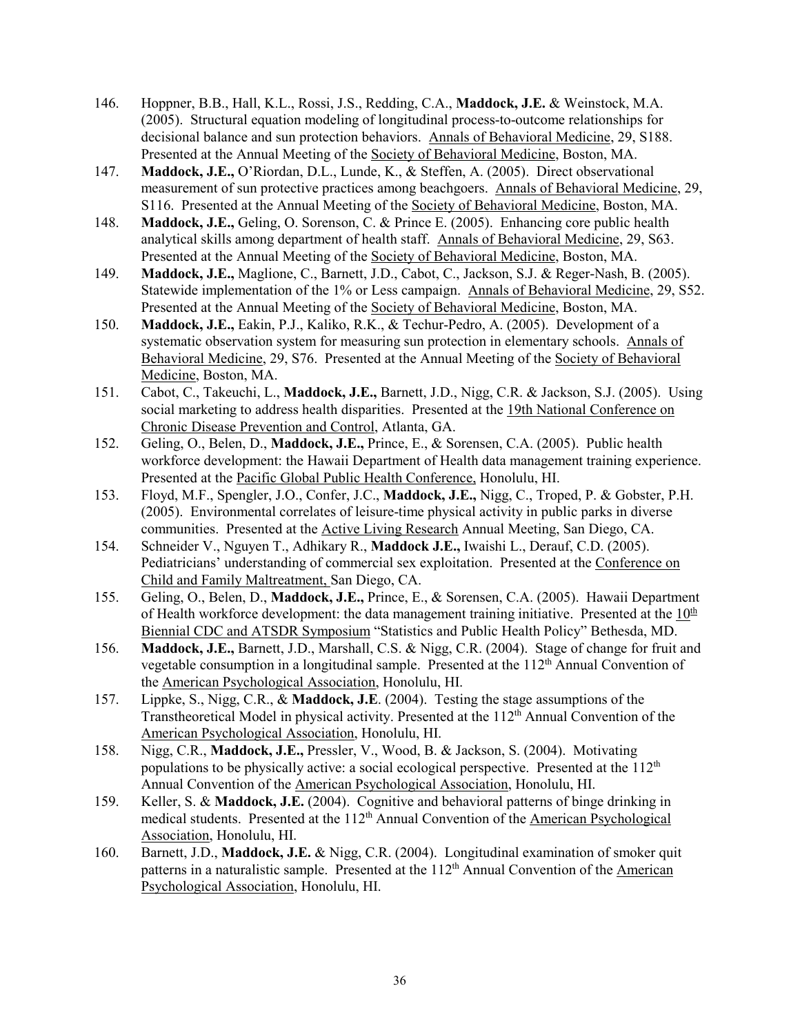- 146. Hoppner, B.B., Hall, K.L., Rossi, J.S., Redding, C.A., **Maddock, J.E.** & Weinstock, M.A. (2005). Structural equation modeling of longitudinal process-to-outcome relationships for decisional balance and sun protection behaviors. Annals of Behavioral Medicine, 29, S188. Presented at the Annual Meeting of the Society of Behavioral Medicine, Boston, MA.
- 147. **Maddock, J.E.,** O'Riordan, D.L., Lunde, K., & Steffen, A. (2005). Direct observational measurement of sun protective practices among beachgoers. Annals of Behavioral Medicine, 29, S116. Presented at the Annual Meeting of the Society of Behavioral Medicine, Boston, MA.
- 148. **Maddock, J.E.,** Geling, O. Sorenson, C. & Prince E. (2005). Enhancing core public health analytical skills among department of health staff. Annals of Behavioral Medicine, 29, S63. Presented at the Annual Meeting of the Society of Behavioral Medicine, Boston, MA.
- 149. **Maddock, J.E.,** Maglione, C., Barnett, J.D., Cabot, C., Jackson, S.J. & Reger-Nash, B. (2005). Statewide implementation of the 1% or Less campaign. Annals of Behavioral Medicine, 29, S52. Presented at the Annual Meeting of the Society of Behavioral Medicine, Boston, MA.
- 150. **Maddock, J.E.,** Eakin, P.J., Kaliko, R.K., & Techur-Pedro, A. (2005). Development of a systematic observation system for measuring sun protection in elementary schools. Annals of Behavioral Medicine, 29, S76. Presented at the Annual Meeting of the Society of Behavioral Medicine, Boston, MA.
- 151. Cabot, C., Takeuchi, L., **Maddock, J.E.,** Barnett, J.D., Nigg, C.R. & Jackson, S.J. (2005). Using social marketing to address health disparities. Presented at the 19th National Conference on Chronic Disease Prevention and Control, Atlanta, GA.
- 152. Geling, O., Belen, D., **Maddock, J.E.,** Prince, E., & Sorensen, C.A. (2005). Public health workforce development: the Hawaii Department of Health data management training experience. Presented at the Pacific Global Public Health Conference, Honolulu, HI.
- 153. Floyd, M.F., Spengler, J.O., Confer, J.C., **Maddock, J.E.,** Nigg, C., Troped, P. & Gobster, P.H. (2005). Environmental correlates of leisure-time physical activity in public parks in diverse communities. Presented at the Active Living Research Annual Meeting, San Diego, CA.
- 154. Schneider V., Nguyen T., Adhikary R., **Maddock J.E.,** Iwaishi L., Derauf, C.D. (2005). Pediatricians' understanding of commercial sex exploitation. Presented at the Conference on Child and Family Maltreatment, San Diego, CA.
- 155. Geling, O., Belen, D., **Maddock, J.E.,** Prince, E., & Sorensen, C.A. (2005). Hawaii Department of Health workforce development: the data management training initiative. Presented at the  $10<sup>th</sup>$ Biennial CDC and ATSDR Symposium "Statistics and Public Health Policy" Bethesda, MD.
- 156. **Maddock, J.E.,** Barnett, J.D., Marshall, C.S. & Nigg, C.R. (2004). Stage of change for fruit and vegetable consumption in a longitudinal sample. Presented at the  $112<sup>th</sup>$  Annual Convention of the American Psychological Association, Honolulu, HI.
- 157. Lippke, S., Nigg, C.R., & **Maddock, J.E**. (2004). Testing the stage assumptions of the Transtheoretical Model in physical activity. Presented at the 112<sup>th</sup> Annual Convention of the American Psychological Association, Honolulu, HI.
- 158. Nigg, C.R., **Maddock, J.E.,** Pressler, V., Wood, B. & Jackson, S. (2004). Motivating populations to be physically active: a social ecological perspective. Presented at the  $112<sup>th</sup>$ Annual Convention of the American Psychological Association, Honolulu, HI.
- 159. Keller, S. & **Maddock, J.E.** (2004). Cognitive and behavioral patterns of binge drinking in medical students. Presented at the 112<sup>th</sup> Annual Convention of the American Psychological Association, Honolulu, HI.
- 160. Barnett, J.D., **Maddock, J.E.** & Nigg, C.R. (2004). Longitudinal examination of smoker quit patterns in a naturalistic sample. Presented at the 112<sup>th</sup> Annual Convention of the American Psychological Association, Honolulu, HI.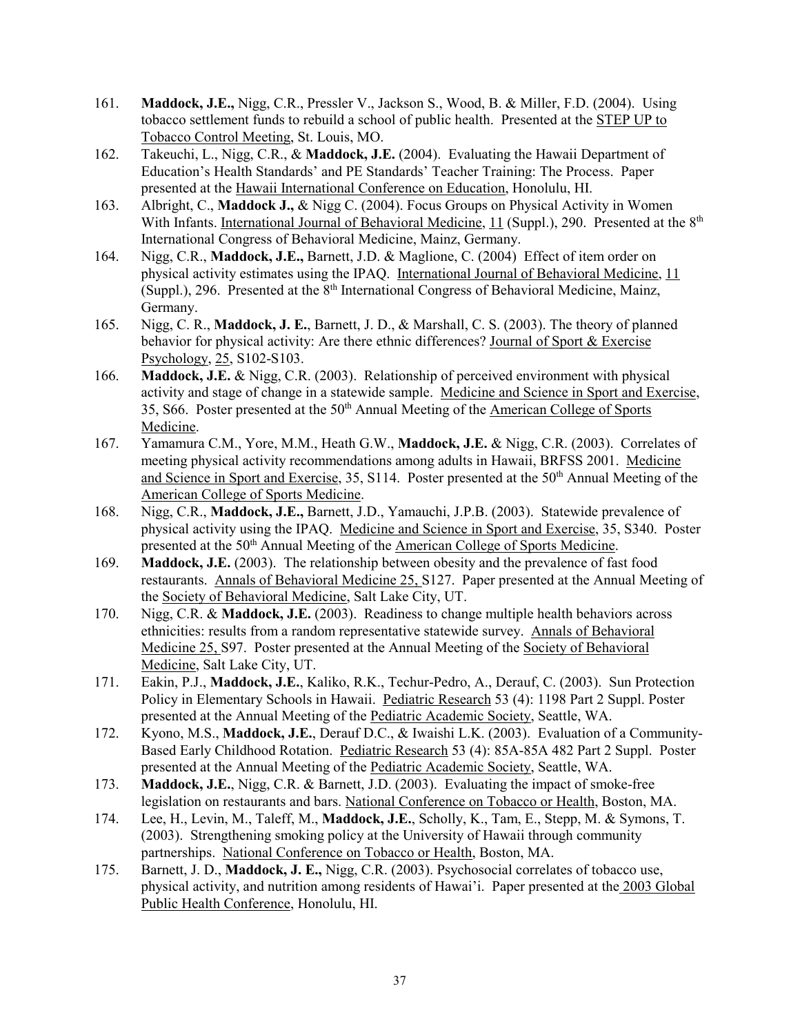- 161. **Maddock, J.E.,** Nigg, C.R., Pressler V., Jackson S., Wood, B. & Miller, F.D. (2004). Using tobacco settlement funds to rebuild a school of public health. Presented at the STEP UP to Tobacco Control Meeting, St. Louis, MO.
- 162. Takeuchi, L., Nigg, C.R., & **Maddock, J.E.** (2004). Evaluating the Hawaii Department of Education's Health Standards' and PE Standards' Teacher Training: The Process. Paper presented at the Hawaii International Conference on Education, Honolulu, HI.
- 163. Albright, C., **Maddock J.,** & Nigg C. (2004). Focus Groups on Physical Activity in Women With Infants. International Journal of Behavioral Medicine, 11 (Suppl.), 290. Presented at the 8<sup>th</sup> International Congress of Behavioral Medicine, Mainz, Germany.
- 164. Nigg, C.R., **Maddock, J.E.,** Barnett, J.D. & Maglione, C. (2004) Effect of item order on physical activity estimates using the IPAQ. International Journal of Behavioral Medicine, 11 (Suppl.), 296. Presented at the  $8<sup>th</sup>$  International Congress of Behavioral Medicine, Mainz, Germany.
- 165. Nigg, C. R., **Maddock, J. E.**, Barnett, J. D., & Marshall, C. S. (2003). The theory of planned behavior for physical activity: Are there ethnic differences? Journal of Sport & Exercise Psychology, 25, S102-S103.
- 166. **Maddock, J.E.** & Nigg, C.R. (2003). Relationship of perceived environment with physical activity and stage of change in a statewide sample. Medicine and Science in Sport and Exercise, 35, S66. Poster presented at the 50<sup>th</sup> Annual Meeting of the American College of Sports Medicine.
- 167. Yamamura C.M., Yore, M.M., Heath G.W., **Maddock, J.E.** & Nigg, C.R. (2003). Correlates of meeting physical activity recommendations among adults in Hawaii, BRFSS 2001. Medicine and Science in Sport and Exercise, 35, S114. Poster presented at the 50<sup>th</sup> Annual Meeting of the American College of Sports Medicine.
- 168. Nigg, C.R., **Maddock, J.E.,** Barnett, J.D., Yamauchi, J.P.B. (2003). Statewide prevalence of physical activity using the IPAQ. Medicine and Science in Sport and Exercise, 35, S340. Poster presented at the 50<sup>th</sup> Annual Meeting of the American College of Sports Medicine.
- 169. **Maddock, J.E.** (2003). The relationship between obesity and the prevalence of fast food restaurants. Annals of Behavioral Medicine 25, S127. Paper presented at the Annual Meeting of the Society of Behavioral Medicine, Salt Lake City, UT.
- 170. Nigg, C.R. & **Maddock, J.E.** (2003). Readiness to change multiple health behaviors across ethnicities: results from a random representative statewide survey. Annals of Behavioral Medicine 25, S97. Poster presented at the Annual Meeting of the Society of Behavioral Medicine, Salt Lake City, UT.
- 171. Eakin, P.J., **Maddock, J.E.**, Kaliko, R.K., Techur-Pedro, A., Derauf, C. (2003). Sun Protection Policy in Elementary Schools in Hawaii. Pediatric Research 53 (4): 1198 Part 2 Suppl. Poster presented at the Annual Meeting of the Pediatric Academic Society, Seattle, WA.
- 172. Kyono, M.S., **Maddock, J.E.**, Derauf D.C., & Iwaishi L.K. (2003). Evaluation of a Community-Based Early Childhood Rotation. Pediatric Research 53 (4): 85A-85A 482 Part 2 Suppl. Poster presented at the Annual Meeting of the Pediatric Academic Society, Seattle, WA.
- 173. **Maddock, J.E.**, Nigg, C.R. & Barnett, J.D. (2003). Evaluating the impact of smoke-free legislation on restaurants and bars. National Conference on Tobacco or Health, Boston, MA.
- 174. Lee, H., Levin, M., Taleff, M., **Maddock, J.E.**, Scholly, K., Tam, E., Stepp, M. & Symons, T. (2003). Strengthening smoking policy at the University of Hawaii through community partnerships. National Conference on Tobacco or Health, Boston, MA.
- 175. Barnett, J. D., **Maddock, J. E.,** Nigg, C.R. (2003). Psychosocial correlates of tobacco use, physical activity, and nutrition among residents of Hawai'i. Paper presented at the 2003 Global Public Health Conference, Honolulu, HI.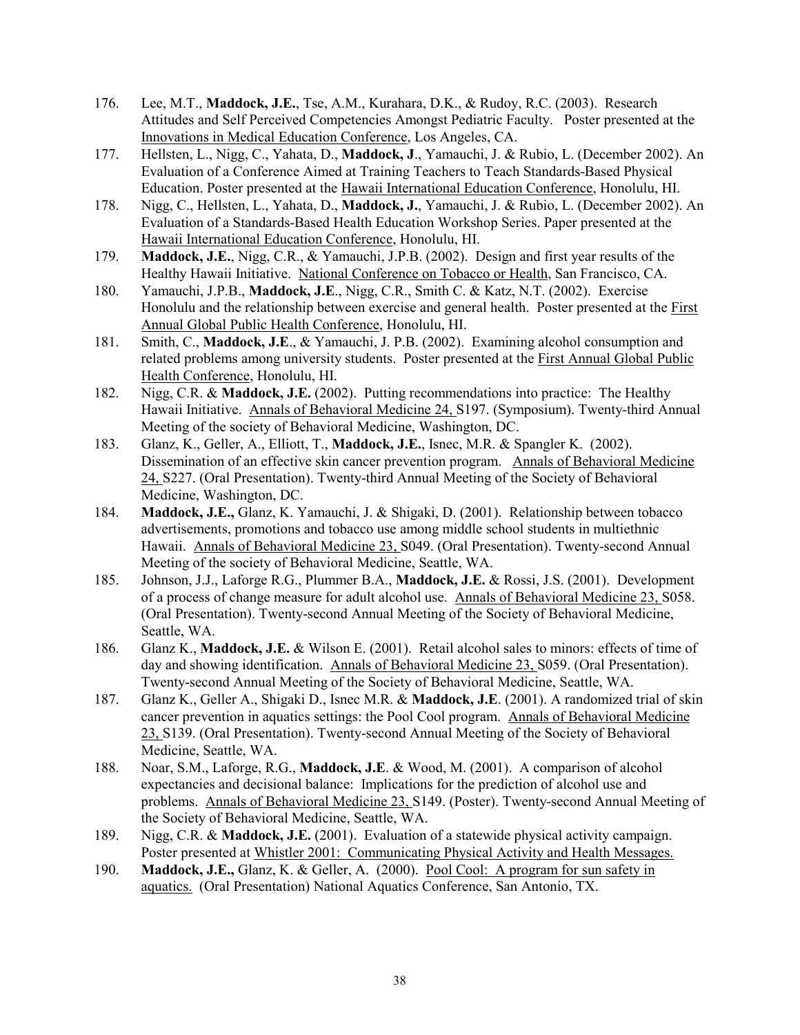- 176. Lee, M.T., **Maddock, J.E.**, Tse, A.M., Kurahara, D.K., & Rudoy, R.C. (2003). Research Attitudes and Self Perceived Competencies Amongst Pediatric Faculty. Poster presented at the Innovations in Medical Education Conference, Los Angeles, CA.
- 177. Hellsten, L., Nigg, C., Yahata, D., **Maddock, J**., Yamauchi, J. & Rubio, L. (December 2002). An Evaluation of a Conference Aimed at Training Teachers to Teach Standards-Based Physical Education. Poster presented at the Hawaii International Education Conference, Honolulu, HI.
- 178. Nigg, C., Hellsten, L., Yahata, D., **Maddock, J.**, Yamauchi, J. & Rubio, L. (December 2002). An Evaluation of a Standards-Based Health Education Workshop Series. Paper presented at the Hawaii International Education Conference, Honolulu, HI.
- 179. **Maddock, J.E.**, Nigg, C.R., & Yamauchi, J.P.B. (2002). Design and first year results of the Healthy Hawaii Initiative. National Conference on Tobacco or Health, San Francisco, CA.
- 180. Yamauchi, J.P.B., **Maddock, J.E**., Nigg, C.R., Smith C. & Katz, N.T. (2002). Exercise Honolulu and the relationship between exercise and general health. Poster presented at the First Annual Global Public Health Conference, Honolulu, HI.
- 181. Smith, C., **Maddock, J.E**., & Yamauchi, J. P.B. (2002). Examining alcohol consumption and related problems among university students. Poster presented at the First Annual Global Public Health Conference, Honolulu, HI.
- 182. Nigg, C.R. & **Maddock, J.E.** (2002). Putting recommendations into practice: The Healthy Hawaii Initiative. Annals of Behavioral Medicine 24, S197. (Symposium). Twenty-third Annual Meeting of the society of Behavioral Medicine, Washington, DC.
- 183. Glanz, K., Geller, A., Elliott, T., **Maddock, J.E.**, Isnec, M.R. & Spangler K. (2002). Dissemination of an effective skin cancer prevention program. Annals of Behavioral Medicine 24, S227. (Oral Presentation). Twenty-third Annual Meeting of the Society of Behavioral Medicine, Washington, DC.
- 184. **Maddock, J.E.,** Glanz, K. Yamauchi, J. & Shigaki, D. (2001). Relationship between tobacco advertisements, promotions and tobacco use among middle school students in multiethnic Hawaii. Annals of Behavioral Medicine 23, S049. (Oral Presentation). Twenty-second Annual Meeting of the society of Behavioral Medicine, Seattle, WA.
- 185. Johnson, J.J., Laforge R.G., Plummer B.A., **Maddock, J.E.** & Rossi, J.S. (2001). Development of a process of change measure for adult alcohol use. Annals of Behavioral Medicine 23, S058. (Oral Presentation). Twenty-second Annual Meeting of the Society of Behavioral Medicine, Seattle, WA.
- 186. Glanz K., **Maddock, J.E.** & Wilson E. (2001). Retail alcohol sales to minors: effects of time of day and showing identification. Annals of Behavioral Medicine 23, S059. (Oral Presentation). Twenty-second Annual Meeting of the Society of Behavioral Medicine, Seattle, WA.
- 187. Glanz K., Geller A., Shigaki D., Isnec M.R. & **Maddock, J.E**. (2001). A randomized trial of skin cancer prevention in aquatics settings: the Pool Cool program. Annals of Behavioral Medicine 23, S139. (Oral Presentation). Twenty-second Annual Meeting of the Society of Behavioral Medicine, Seattle, WA.
- 188. Noar, S.M., Laforge, R.G., **Maddock, J.E**. & Wood, M. (2001). A comparison of alcohol expectancies and decisional balance: Implications for the prediction of alcohol use and problems. Annals of Behavioral Medicine 23, S149. (Poster). Twenty-second Annual Meeting of the Society of Behavioral Medicine, Seattle, WA.
- 189. Nigg, C.R. & **Maddock, J.E.** (2001). Evaluation of a statewide physical activity campaign. Poster presented at Whistler 2001: Communicating Physical Activity and Health Messages.
- 190. **Maddock, J.E.,** Glanz, K. & Geller, A. (2000). Pool Cool: A program for sun safety in aquatics. (Oral Presentation) National Aquatics Conference, San Antonio, TX.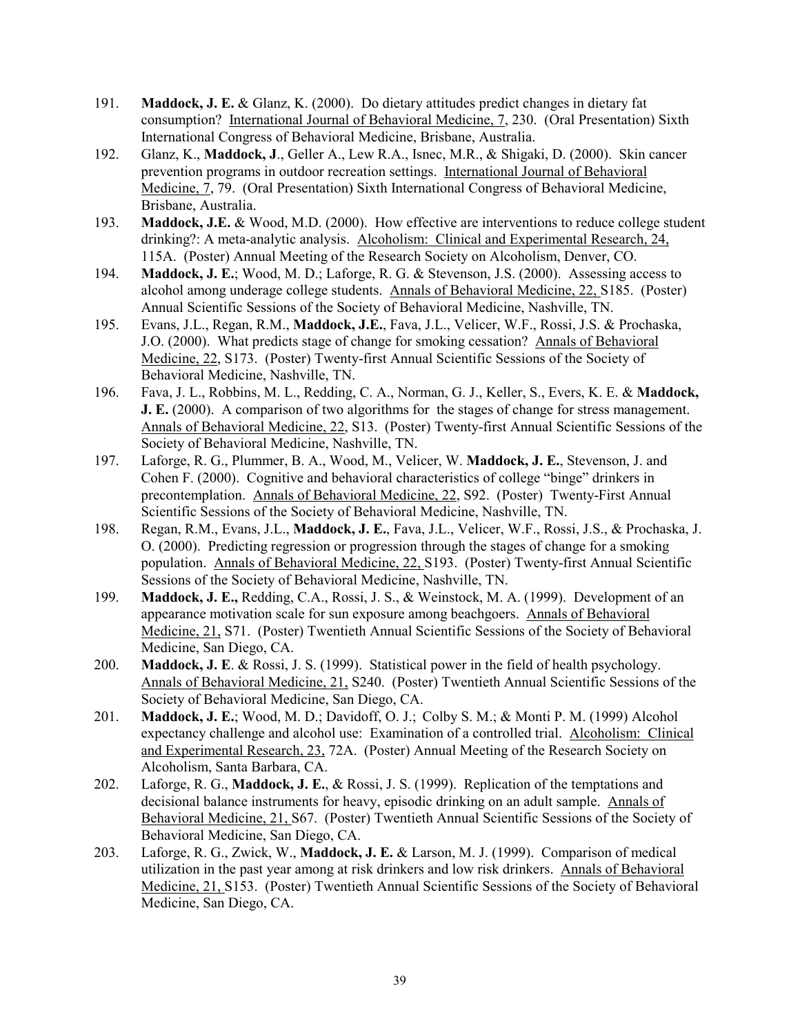- 191. **Maddock, J. E.** & Glanz, K. (2000). Do dietary attitudes predict changes in dietary fat consumption? International Journal of Behavioral Medicine, 7, 230. (Oral Presentation) Sixth International Congress of Behavioral Medicine, Brisbane, Australia.
- 192. Glanz, K., **Maddock, J**., Geller A., Lew R.A., Isnec, M.R., & Shigaki, D. (2000). Skin cancer prevention programs in outdoor recreation settings. International Journal of Behavioral Medicine, 7, 79. (Oral Presentation) Sixth International Congress of Behavioral Medicine, Brisbane, Australia.
- 193. **Maddock, J.E.** & Wood, M.D. (2000). How effective are interventions to reduce college student drinking?: A meta-analytic analysis. Alcoholism: Clinical and Experimental Research, 24, 115A. (Poster) Annual Meeting of the Research Society on Alcoholism, Denver, CO.
- 194. **Maddock, J. E.**; Wood, M. D.; Laforge, R. G. & Stevenson, J.S. (2000). Assessing access to alcohol among underage college students. Annals of Behavioral Medicine, 22, S185. (Poster) Annual Scientific Sessions of the Society of Behavioral Medicine, Nashville, TN.
- 195. Evans, J.L., Regan, R.M., **Maddock, J.E.**, Fava, J.L., Velicer, W.F., Rossi, J.S. & Prochaska, J.O. (2000). What predicts stage of change for smoking cessation? Annals of Behavioral Medicine, 22, S173. (Poster) Twenty-first Annual Scientific Sessions of the Society of Behavioral Medicine, Nashville, TN.
- 196. Fava, J. L., Robbins, M. L., Redding, C. A., Norman, G. J., Keller, S., Evers, K. E. & **Maddock, J. E.** (2000). A comparison of two algorithms for the stages of change for stress management. Annals of Behavioral Medicine, 22, S13. (Poster) Twenty-first Annual Scientific Sessions of the Society of Behavioral Medicine, Nashville, TN.
- 197. Laforge, R. G., Plummer, B. A., Wood, M., Velicer, W. **Maddock, J. E.**, Stevenson, J. and Cohen F. (2000). Cognitive and behavioral characteristics of college "binge" drinkers in precontemplation. Annals of Behavioral Medicine, 22, S92. (Poster) Twenty-First Annual Scientific Sessions of the Society of Behavioral Medicine, Nashville, TN.
- 198. Regan, R.M., Evans, J.L., **Maddock, J. E.**, Fava, J.L., Velicer, W.F., Rossi, J.S., & Prochaska, J. O. (2000). Predicting regression or progression through the stages of change for a smoking population. Annals of Behavioral Medicine, 22, S193. (Poster) Twenty-first Annual Scientific Sessions of the Society of Behavioral Medicine, Nashville, TN.
- 199. **Maddock, J. E.,** Redding, C.A., Rossi, J. S., & Weinstock, M. A. (1999). Development of an appearance motivation scale for sun exposure among beachgoers. Annals of Behavioral Medicine, 21, S71. (Poster) Twentieth Annual Scientific Sessions of the Society of Behavioral Medicine, San Diego, CA.
- 200. **Maddock, J. E**. & Rossi, J. S. (1999). Statistical power in the field of health psychology. Annals of Behavioral Medicine, 21, S240. (Poster) Twentieth Annual Scientific Sessions of the Society of Behavioral Medicine, San Diego, CA.
- 201. **Maddock, J. E.**; Wood, M. D.; Davidoff, O. J.; Colby S. M.; & Monti P. M. (1999) Alcohol expectancy challenge and alcohol use: Examination of a controlled trial. Alcoholism: Clinical and Experimental Research, 23, 72A. (Poster) Annual Meeting of the Research Society on Alcoholism, Santa Barbara, CA.
- 202. Laforge, R. G., **Maddock, J. E.**, & Rossi, J. S. (1999). Replication of the temptations and decisional balance instruments for heavy, episodic drinking on an adult sample. Annals of Behavioral Medicine, 21, S67. (Poster) Twentieth Annual Scientific Sessions of the Society of Behavioral Medicine, San Diego, CA.
- 203. Laforge, R. G., Zwick, W., **Maddock, J. E.** & Larson, M. J. (1999). Comparison of medical utilization in the past year among at risk drinkers and low risk drinkers. Annals of Behavioral Medicine, 21, S153. (Poster) Twentieth Annual Scientific Sessions of the Society of Behavioral Medicine, San Diego, CA.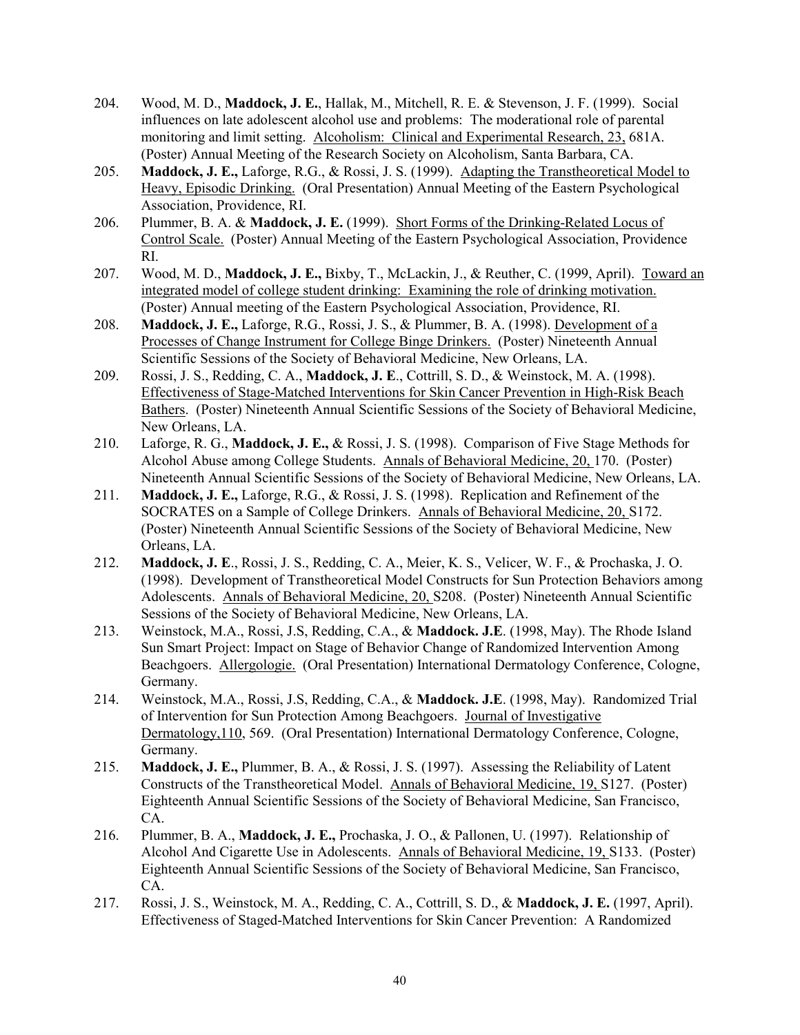- 204. Wood, M. D., **Maddock, J. E.**, Hallak, M., Mitchell, R. E. & Stevenson, J. F. (1999). Social influences on late adolescent alcohol use and problems: The moderational role of parental monitoring and limit setting. Alcoholism: Clinical and Experimental Research, 23, 681A. (Poster) Annual Meeting of the Research Society on Alcoholism, Santa Barbara, CA.
- 205. **Maddock, J. E.,** Laforge, R.G., & Rossi, J. S. (1999). Adapting the Transtheoretical Model to Heavy, Episodic Drinking. (Oral Presentation) Annual Meeting of the Eastern Psychological Association, Providence, RI.
- 206. Plummer, B. A. & **Maddock, J. E.** (1999). Short Forms of the Drinking-Related Locus of Control Scale. (Poster) Annual Meeting of the Eastern Psychological Association, Providence RI.
- 207. Wood, M. D., **Maddock, J. E.,** Bixby, T., McLackin, J., & Reuther, C. (1999, April). Toward an integrated model of college student drinking: Examining the role of drinking motivation. (Poster) Annual meeting of the Eastern Psychological Association, Providence, RI.
- 208. **Maddock, J. E.,** Laforge, R.G., Rossi, J. S., & Plummer, B. A. (1998). Development of a Processes of Change Instrument for College Binge Drinkers. (Poster) Nineteenth Annual Scientific Sessions of the Society of Behavioral Medicine, New Orleans, LA.
- 209. Rossi, J. S., Redding, C. A., **Maddock, J. E**., Cottrill, S. D., & Weinstock, M. A. (1998). Effectiveness of Stage-Matched Interventions for Skin Cancer Prevention in High-Risk Beach Bathers. (Poster) Nineteenth Annual Scientific Sessions of the Society of Behavioral Medicine, New Orleans, LA.
- 210. Laforge, R. G., **Maddock, J. E.,** & Rossi, J. S. (1998). Comparison of Five Stage Methods for Alcohol Abuse among College Students. Annals of Behavioral Medicine, 20, 170. (Poster) Nineteenth Annual Scientific Sessions of the Society of Behavioral Medicine, New Orleans, LA.
- 211. **Maddock, J. E.,** Laforge, R.G., & Rossi, J. S. (1998). Replication and Refinement of the SOCRATES on a Sample of College Drinkers. Annals of Behavioral Medicine, 20, S172. (Poster) Nineteenth Annual Scientific Sessions of the Society of Behavioral Medicine, New Orleans, LA.
- 212. **Maddock, J. E**., Rossi, J. S., Redding, C. A., Meier, K. S., Velicer, W. F., & Prochaska, J. O. (1998). Development of Transtheoretical Model Constructs for Sun Protection Behaviors among Adolescents. Annals of Behavioral Medicine, 20, S208. (Poster) Nineteenth Annual Scientific Sessions of the Society of Behavioral Medicine, New Orleans, LA.
- 213. Weinstock, M.A., Rossi, J.S, Redding, C.A., & **Maddock. J.E**. (1998, May). The Rhode Island Sun Smart Project: Impact on Stage of Behavior Change of Randomized Intervention Among Beachgoers. Allergologie. (Oral Presentation) International Dermatology Conference, Cologne, Germany.
- 214. Weinstock, M.A., Rossi, J.S, Redding, C.A., & **Maddock. J.E**. (1998, May). Randomized Trial of Intervention for Sun Protection Among Beachgoers. Journal of Investigative Dermatology,110, 569. (Oral Presentation) International Dermatology Conference, Cologne, Germany.
- 215. **Maddock, J. E.,** Plummer, B. A., & Rossi, J. S. (1997). Assessing the Reliability of Latent Constructs of the Transtheoretical Model. Annals of Behavioral Medicine, 19, S127. (Poster) Eighteenth Annual Scientific Sessions of the Society of Behavioral Medicine, San Francisco, CA.
- 216. Plummer, B. A., **Maddock, J. E.,** Prochaska, J. O., & Pallonen, U. (1997). Relationship of Alcohol And Cigarette Use in Adolescents. Annals of Behavioral Medicine, 19, S133. (Poster) Eighteenth Annual Scientific Sessions of the Society of Behavioral Medicine, San Francisco, CA.
- 217. Rossi, J. S., Weinstock, M. A., Redding, C. A., Cottrill, S. D., & **Maddock, J. E.** (1997, April). Effectiveness of Staged-Matched Interventions for Skin Cancer Prevention: A Randomized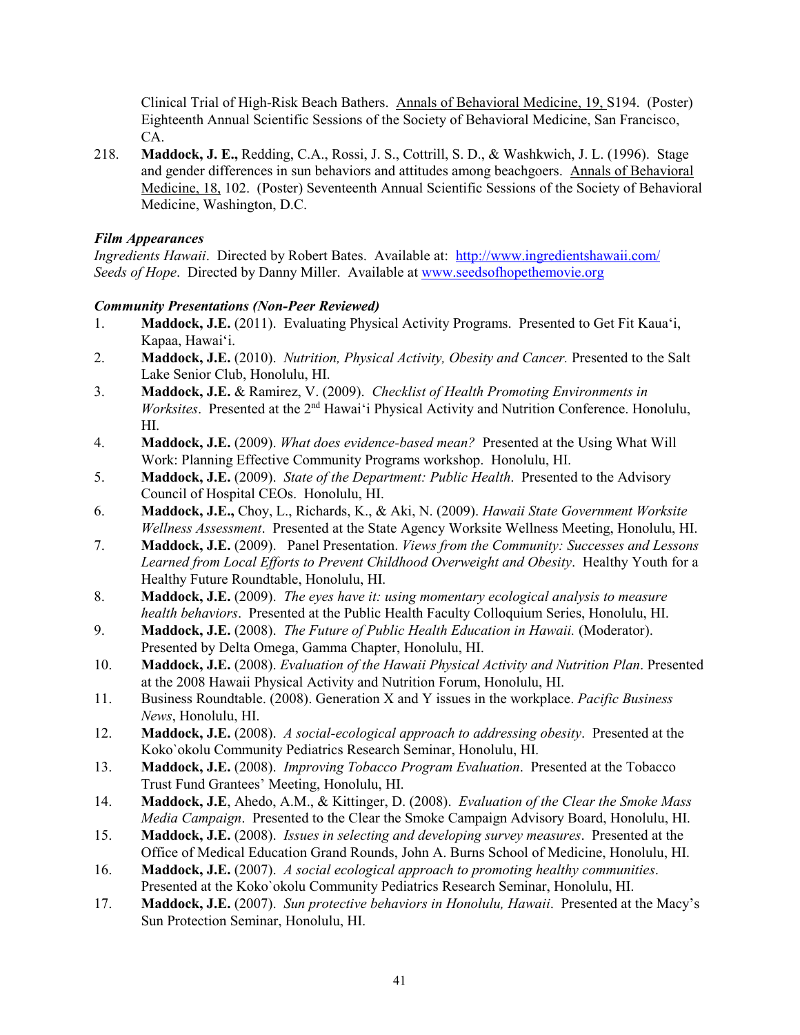Clinical Trial of High-Risk Beach Bathers. Annals of Behavioral Medicine, 19, S194. (Poster) Eighteenth Annual Scientific Sessions of the Society of Behavioral Medicine, San Francisco, CA.

218. **Maddock, J. E.,** Redding, C.A., Rossi, J. S., Cottrill, S. D., & Washkwich, J. L. (1996). Stage and gender differences in sun behaviors and attitudes among beachgoers. Annals of Behavioral Medicine, 18, 102. (Poster) Seventeenth Annual Scientific Sessions of the Society of Behavioral Medicine, Washington, D.C.

### *Film Appearances*

*Ingredients Hawaii*. Directed by Robert Bates. Available at: <http://www.ingredientshawaii.com/> *Seeds of Hope*. Directed by Danny Miller. Available at [www.seedsofhopethemovie.org](http://www.seedsofhopethemovie.org/)

### *Community Presentations (Non-Peer Reviewed)*

- 1. **Maddock, J.E.** (2011). Evaluating Physical Activity Programs. Presented to Get Fit Kaua'i, Kapaa, Hawai'i.
- 2. **Maddock, J.E.** (2010). *Nutrition, Physical Activity, Obesity and Cancer.* Presented to the Salt Lake Senior Club, Honolulu, HI.
- 3. **Maddock, J.E.** & Ramirez, V. (2009). *Checklist of Health Promoting Environments in Worksites*. Presented at the 2<sup>nd</sup> Hawai'i Physical Activity and Nutrition Conference. Honolulu, HI.
- 4. **Maddock, J.E.** (2009). *What does evidence-based mean?* Presented at the Using What Will Work: Planning Effective Community Programs workshop. Honolulu, HI.
- 5. **Maddock, J.E.** (2009). *State of the Department: Public Health*. Presented to the Advisory Council of Hospital CEOs. Honolulu, HI.
- 6. **Maddock, J.E.,** Choy, L., Richards, K., & Aki, N. (2009). *Hawaii State Government Worksite Wellness Assessment*. Presented at the State Agency Worksite Wellness Meeting, Honolulu, HI.
- 7. **Maddock, J.E.** (2009). Panel Presentation. *Views from the Community: Successes and Lessons Learned from Local Efforts to Prevent Childhood Overweight and Obesity*. Healthy Youth for a Healthy Future Roundtable, Honolulu, HI.
- 8. **Maddock, J.E.** (2009). *The eyes have it: using momentary ecological analysis to measure health behaviors*. Presented at the Public Health Faculty Colloquium Series, Honolulu, HI.
- 9. **Maddock, J.E.** (2008). *The Future of Public Health Education in Hawaii.* (Moderator). Presented by Delta Omega, Gamma Chapter, Honolulu, HI.
- 10. **Maddock, J.E.** (2008). *Evaluation of the Hawaii Physical Activity and Nutrition Plan*. Presented at the 2008 Hawaii Physical Activity and Nutrition Forum, Honolulu, HI.
- 11. Business Roundtable. (2008). Generation X and Y issues in the workplace. *Pacific Business News*, Honolulu, HI.
- 12. **Maddock, J.E.** (2008). *A social-ecological approach to addressing obesity*. Presented at the Koko`okolu Community Pediatrics Research Seminar, Honolulu, HI.
- 13. **Maddock, J.E.** (2008). *Improving Tobacco Program Evaluation*. Presented at the Tobacco Trust Fund Grantees' Meeting, Honolulu, HI.
- 14. **Maddock, J.E**, Ahedo, A.M., & Kittinger, D. (2008). *Evaluation of the Clear the Smoke Mass Media Campaign*. Presented to the Clear the Smoke Campaign Advisory Board, Honolulu, HI.
- 15. **Maddock, J.E.** (2008). *Issues in selecting and developing survey measures*. Presented at the Office of Medical Education Grand Rounds, John A. Burns School of Medicine, Honolulu, HI.
- 16. **Maddock, J.E.** (2007). *A social ecological approach to promoting healthy communities*. Presented at the Koko`okolu Community Pediatrics Research Seminar, Honolulu, HI.
- 17. **Maddock, J.E.** (2007). *Sun protective behaviors in Honolulu, Hawaii*. Presented at the Macy's Sun Protection Seminar, Honolulu, HI.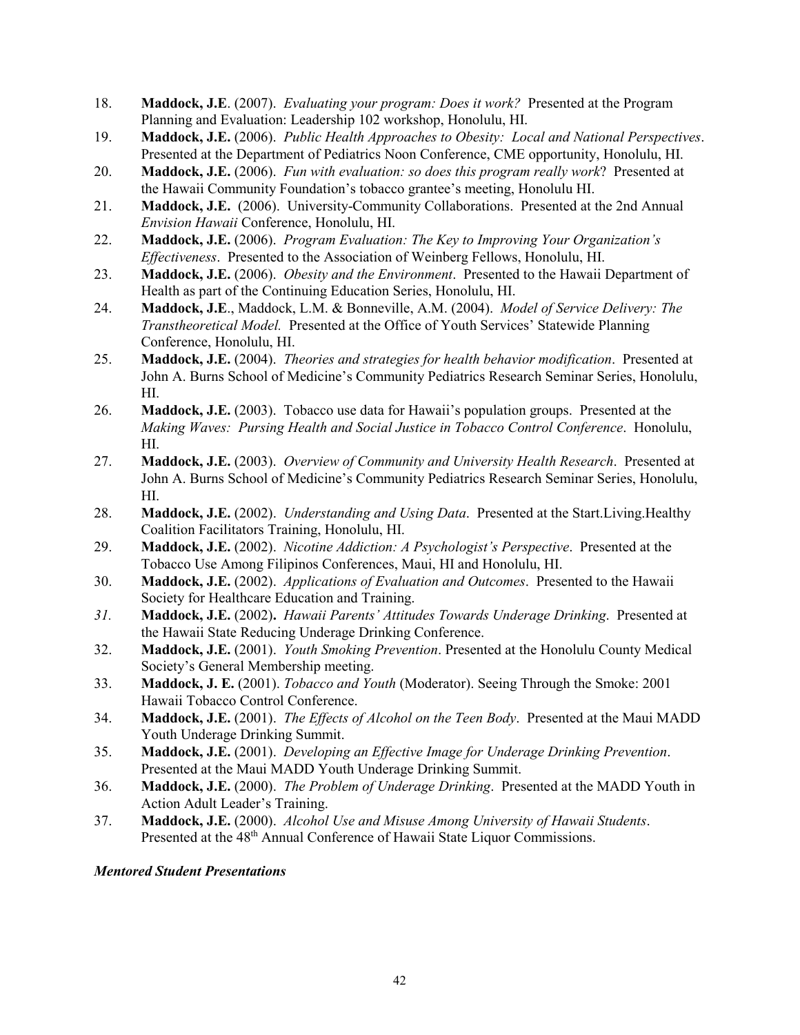- 18. **Maddock, J.E**. (2007). *Evaluating your program: Does it work?* Presented at the Program Planning and Evaluation: Leadership 102 workshop, Honolulu, HI.
- 19. **Maddock, J.E.** (2006). *Public Health Approaches to Obesity: Local and National Perspectives*. Presented at the Department of Pediatrics Noon Conference, CME opportunity, Honolulu, HI.
- 20. **Maddock, J.E.** (2006). *Fun with evaluation: so does this program really work*? Presented at the Hawaii Community Foundation's tobacco grantee's meeting, Honolulu HI.
- 21. **Maddock, J.E.** (2006). University-Community Collaborations. Presented at the 2nd Annual *Envision Hawaii* Conference, Honolulu, HI.
- 22. **Maddock, J.E.** (2006). *Program Evaluation: The Key to Improving Your Organization's Effectiveness*. Presented to the Association of Weinberg Fellows, Honolulu, HI.
- 23. **Maddock, J.E.** (2006). *Obesity and the Environment*. Presented to the Hawaii Department of Health as part of the Continuing Education Series, Honolulu, HI.
- 24. **Maddock, J.E**., Maddock, L.M. & Bonneville, A.M. (2004). *Model of Service Delivery: The Transtheoretical Model.* Presented at the Office of Youth Services' Statewide Planning Conference, Honolulu, HI.
- 25. **Maddock, J.E.** (2004). *Theories and strategies for health behavior modification*. Presented at John A. Burns School of Medicine's Community Pediatrics Research Seminar Series, Honolulu, HI.
- 26. **Maddock, J.E.** (2003). Tobacco use data for Hawaii's population groups. Presented at the *Making Waves: Pursing Health and Social Justice in Tobacco Control Conference*. Honolulu, HI.
- 27. **Maddock, J.E.** (2003). *Overview of Community and University Health Research*. Presented at John A. Burns School of Medicine's Community Pediatrics Research Seminar Series, Honolulu, HI.
- 28. **Maddock, J.E.** (2002). *Understanding and Using Data*. Presented at the Start.Living.Healthy Coalition Facilitators Training, Honolulu, HI.
- 29. **Maddock, J.E.** (2002). *Nicotine Addiction: A Psychologist's Perspective*. Presented at the Tobacco Use Among Filipinos Conferences, Maui, HI and Honolulu, HI.
- 30. **Maddock, J.E.** (2002). *Applications of Evaluation and Outcomes*. Presented to the Hawaii Society for Healthcare Education and Training.
- *31.* **Maddock, J.E.** (2002)**.** *Hawaii Parents' Attitudes Towards Underage Drinking*. Presented at the Hawaii State Reducing Underage Drinking Conference.
- 32. **Maddock, J.E.** (2001).*Youth Smoking Prevention*. Presented at the Honolulu County Medical Society's General Membership meeting.
- 33. **Maddock, J. E.** (2001). *Tobacco and Youth* (Moderator). Seeing Through the Smoke: 2001 Hawaii Tobacco Control Conference.
- 34. **Maddock, J.E.** (2001). *The Effects of Alcohol on the Teen Body*. Presented at the Maui MADD Youth Underage Drinking Summit.
- 35. **Maddock, J.E.** (2001). *Developing an Effective Image for Underage Drinking Prevention*. Presented at the Maui MADD Youth Underage Drinking Summit.
- 36. **Maddock, J.E.** (2000). *The Problem of Underage Drinking*. Presented at the MADD Youth in Action Adult Leader's Training.
- 37. **Maddock, J.E.** (2000). *Alcohol Use and Misuse Among University of Hawaii Students*. Presented at the 48<sup>th</sup> Annual Conference of Hawaii State Liquor Commissions.

### *Mentored Student Presentations*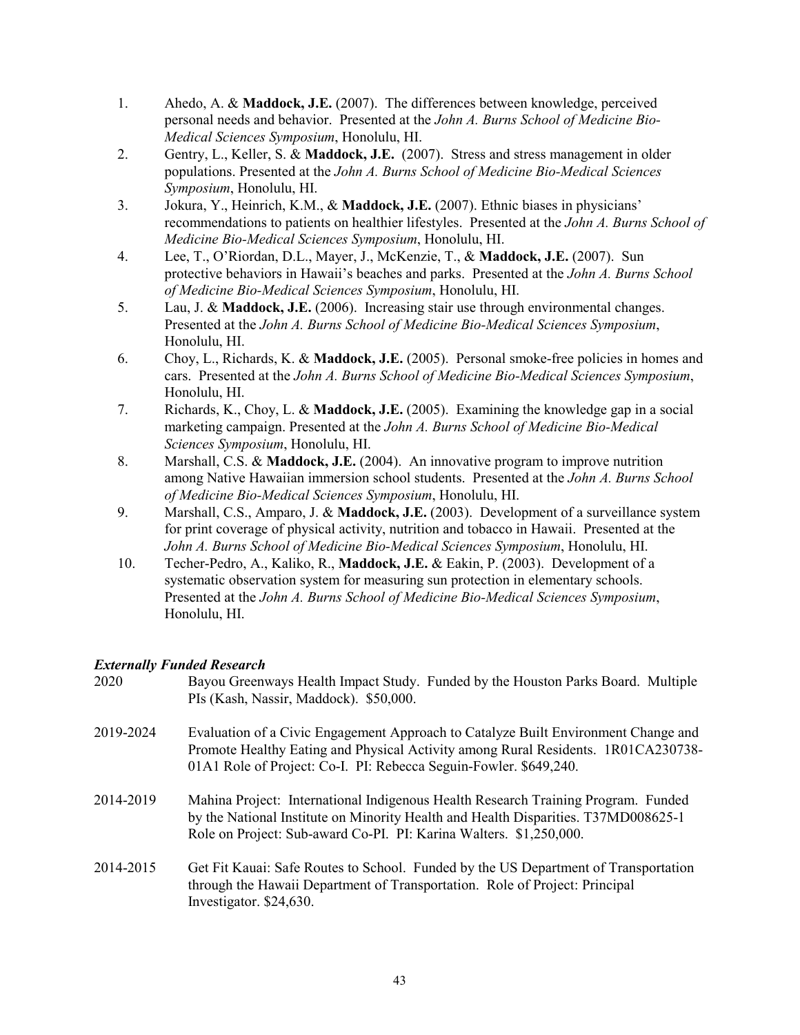- 1. Ahedo, A. & **Maddock, J.E.** (2007). The differences between knowledge, perceived personal needs and behavior. Presented at the *John A. Burns School of Medicine Bio-Medical Sciences Symposium*, Honolulu, HI.
- 2. Gentry, L., Keller, S. & **Maddock, J.E.** (2007). Stress and stress management in older populations. Presented at the *John A. Burns School of Medicine Bio-Medical Sciences Symposium*, Honolulu, HI.
- 3. Jokura, Y., Heinrich, K.M., & **Maddock, J.E.** (2007). Ethnic biases in physicians' recommendations to patients on healthier lifestyles. Presented at the *John A. Burns School of Medicine Bio-Medical Sciences Symposium*, Honolulu, HI.
- 4. Lee, T., O'Riordan, D.L., Mayer, J., McKenzie, T., & **Maddock, J.E.** (2007). Sun protective behaviors in Hawaii's beaches and parks. Presented at the *John A. Burns School of Medicine Bio-Medical Sciences Symposium*, Honolulu, HI.
- 5. Lau, J. & **Maddock, J.E.** (2006). Increasing stair use through environmental changes. Presented at the *John A. Burns School of Medicine Bio-Medical Sciences Symposium*, Honolulu, HI.
- 6. Choy, L., Richards, K. & **Maddock, J.E.** (2005). Personal smoke-free policies in homes and cars. Presented at the *John A. Burns School of Medicine Bio-Medical Sciences Symposium*, Honolulu, HI.
- 7. Richards, K., Choy, L. & **Maddock, J.E.** (2005). Examining the knowledge gap in a social marketing campaign. Presented at the *John A. Burns School of Medicine Bio-Medical Sciences Symposium*, Honolulu, HI.
- 8. Marshall, C.S. & **Maddock, J.E.** (2004). An innovative program to improve nutrition among Native Hawaiian immersion school students. Presented at the *John A. Burns School of Medicine Bio-Medical Sciences Symposium*, Honolulu, HI.
- 9. Marshall, C.S., Amparo, J. & **Maddock, J.E.** (2003). Development of a surveillance system for print coverage of physical activity, nutrition and tobacco in Hawaii. Presented at the *John A. Burns School of Medicine Bio-Medical Sciences Symposium*, Honolulu, HI.
- 10. Techer-Pedro, A., Kaliko, R., **Maddock, J.E.** & Eakin, P. (2003). Development of a systematic observation system for measuring sun protection in elementary schools. Presented at the *John A. Burns School of Medicine Bio-Medical Sciences Symposium*, Honolulu, HI.

# *Externally Funded Research*

| 2020      | Bayou Greenways Health Impact Study. Funded by the Houston Parks Board. Multiple<br>PIs (Kash, Nassir, Maddock). \$50,000.                                                                                                                    |
|-----------|-----------------------------------------------------------------------------------------------------------------------------------------------------------------------------------------------------------------------------------------------|
| 2019-2024 | Evaluation of a Civic Engagement Approach to Catalyze Built Environment Change and<br>Promote Healthy Eating and Physical Activity among Rural Residents. 1R01CA230738-<br>01A1 Role of Project: Co-I. PI: Rebecca Seguin-Fowler. \$649,240.  |
| 2014-2019 | Mahina Project: International Indigenous Health Research Training Program. Funded<br>by the National Institute on Minority Health and Health Disparities. T37MD008625-1<br>Role on Project: Sub-award Co-PI. PI: Karina Walters. \$1,250,000. |
| 2014-2015 | Get Fit Kauai: Safe Routes to School. Funded by the US Department of Transportation<br>through the Hawaii Department of Transportation. Role of Project: Principal<br>Investigator. \$24,630.                                                 |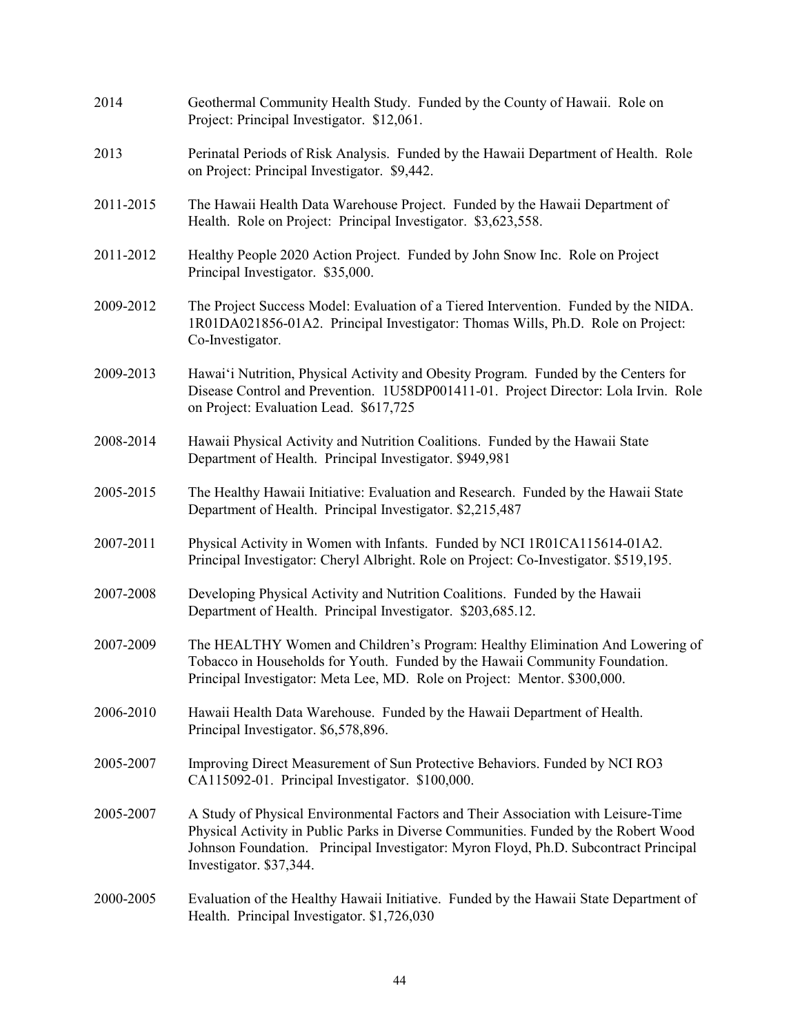| 2014      | Geothermal Community Health Study. Funded by the County of Hawaii. Role on<br>Project: Principal Investigator. \$12,061.                                                                                                                                                                    |
|-----------|---------------------------------------------------------------------------------------------------------------------------------------------------------------------------------------------------------------------------------------------------------------------------------------------|
| 2013      | Perinatal Periods of Risk Analysis. Funded by the Hawaii Department of Health. Role<br>on Project: Principal Investigator. \$9,442.                                                                                                                                                         |
| 2011-2015 | The Hawaii Health Data Warehouse Project. Funded by the Hawaii Department of<br>Health. Role on Project: Principal Investigator. \$3,623,558.                                                                                                                                               |
| 2011-2012 | Healthy People 2020 Action Project. Funded by John Snow Inc. Role on Project<br>Principal Investigator. \$35,000.                                                                                                                                                                           |
| 2009-2012 | The Project Success Model: Evaluation of a Tiered Intervention. Funded by the NIDA.<br>1R01DA021856-01A2. Principal Investigator: Thomas Wills, Ph.D. Role on Project:<br>Co-Investigator.                                                                                                  |
| 2009-2013 | Hawai'i Nutrition, Physical Activity and Obesity Program. Funded by the Centers for<br>Disease Control and Prevention. 1U58DP001411-01. Project Director: Lola Irvin. Role<br>on Project: Evaluation Lead. \$617,725                                                                        |
| 2008-2014 | Hawaii Physical Activity and Nutrition Coalitions. Funded by the Hawaii State<br>Department of Health. Principal Investigator. \$949,981                                                                                                                                                    |
| 2005-2015 | The Healthy Hawaii Initiative: Evaluation and Research. Funded by the Hawaii State<br>Department of Health. Principal Investigator. \$2,215,487                                                                                                                                             |
| 2007-2011 | Physical Activity in Women with Infants. Funded by NCI 1R01CA115614-01A2.<br>Principal Investigator: Cheryl Albright. Role on Project: Co-Investigator. \$519,195.                                                                                                                          |
| 2007-2008 | Developing Physical Activity and Nutrition Coalitions. Funded by the Hawaii<br>Department of Health. Principal Investigator. \$203,685.12.                                                                                                                                                  |
| 2007-2009 | The HEALTHY Women and Children's Program: Healthy Elimination And Lowering of<br>Tobacco in Households for Youth. Funded by the Hawaii Community Foundation.<br>Principal Investigator: Meta Lee, MD. Role on Project: Mentor. \$300,000.                                                   |
| 2006-2010 | Hawaii Health Data Warehouse. Funded by the Hawaii Department of Health.<br>Principal Investigator. \$6,578,896.                                                                                                                                                                            |
| 2005-2007 | Improving Direct Measurement of Sun Protective Behaviors. Funded by NCI RO3<br>CA115092-01. Principal Investigator. \$100,000.                                                                                                                                                              |
| 2005-2007 | A Study of Physical Environmental Factors and Their Association with Leisure-Time<br>Physical Activity in Public Parks in Diverse Communities. Funded by the Robert Wood<br>Johnson Foundation. Principal Investigator: Myron Floyd, Ph.D. Subcontract Principal<br>Investigator. \$37,344. |
| 2000-2005 | Evaluation of the Healthy Hawaii Initiative. Funded by the Hawaii State Department of<br>Health. Principal Investigator. \$1,726,030                                                                                                                                                        |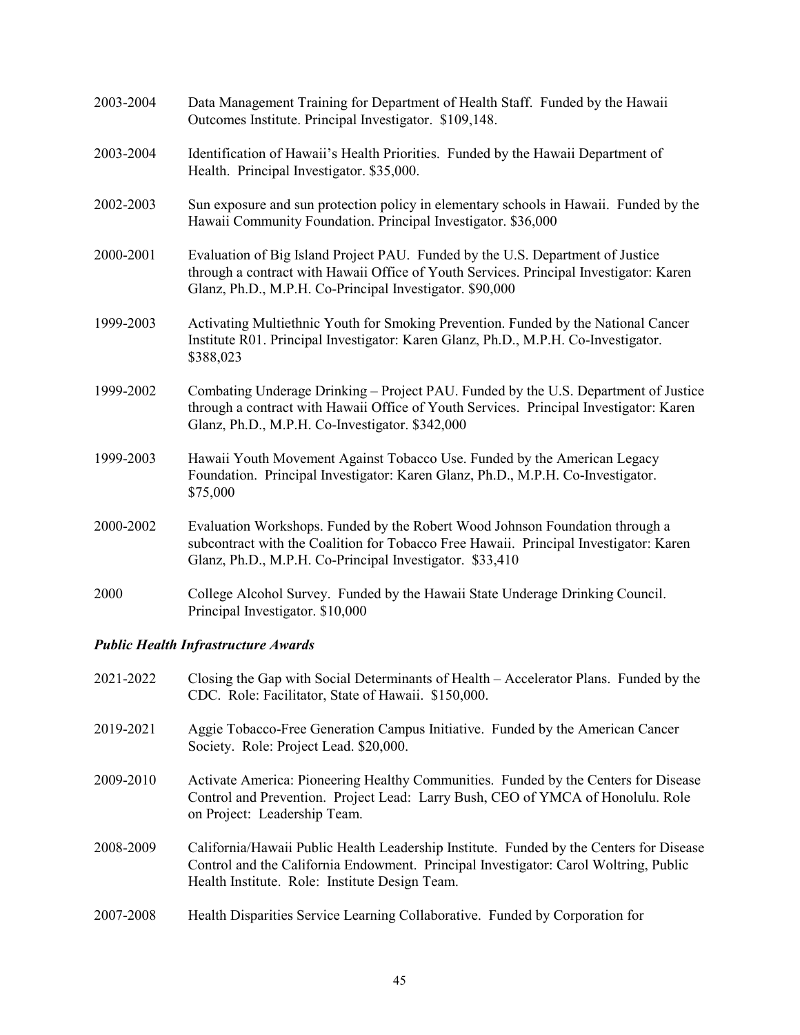| 2003-2004 | Data Management Training for Department of Health Staff. Funded by the Hawaii<br>Outcomes Institute. Principal Investigator. \$109,148.                                                                                              |
|-----------|--------------------------------------------------------------------------------------------------------------------------------------------------------------------------------------------------------------------------------------|
| 2003-2004 | Identification of Hawaii's Health Priorities. Funded by the Hawaii Department of<br>Health. Principal Investigator. \$35,000.                                                                                                        |
| 2002-2003 | Sun exposure and sun protection policy in elementary schools in Hawaii. Funded by the<br>Hawaii Community Foundation. Principal Investigator. \$36,000                                                                               |
| 2000-2001 | Evaluation of Big Island Project PAU. Funded by the U.S. Department of Justice<br>through a contract with Hawaii Office of Youth Services. Principal Investigator: Karen<br>Glanz, Ph.D., M.P.H. Co-Principal Investigator. \$90,000 |
| 1999-2003 | Activating Multiethnic Youth for Smoking Prevention. Funded by the National Cancer<br>Institute R01. Principal Investigator: Karen Glanz, Ph.D., M.P.H. Co-Investigator.<br>\$388,023                                                |
| 1999-2002 | Combating Underage Drinking - Project PAU. Funded by the U.S. Department of Justice<br>through a contract with Hawaii Office of Youth Services. Principal Investigator: Karen<br>Glanz, Ph.D., M.P.H. Co-Investigator. \$342,000     |
| 1999-2003 | Hawaii Youth Movement Against Tobacco Use. Funded by the American Legacy<br>Foundation. Principal Investigator: Karen Glanz, Ph.D., M.P.H. Co-Investigator.<br>\$75,000                                                              |
| 2000-2002 | Evaluation Workshops. Funded by the Robert Wood Johnson Foundation through a<br>subcontract with the Coalition for Tobacco Free Hawaii. Principal Investigator: Karen<br>Glanz, Ph.D., M.P.H. Co-Principal Investigator. \$33,410    |
| 2000      | College Alcohol Survey. Funded by the Hawaii State Underage Drinking Council.<br>Principal Investigator. \$10,000                                                                                                                    |

# *Public Health Infrastructure Awards*

| 2021-2022 | Closing the Gap with Social Determinants of Health – Accelerator Plans. Funded by the<br>CDC. Role: Facilitator, State of Hawaii. \$150,000.                                                                                      |
|-----------|-----------------------------------------------------------------------------------------------------------------------------------------------------------------------------------------------------------------------------------|
| 2019-2021 | Aggie Tobacco-Free Generation Campus Initiative. Funded by the American Cancer<br>Society. Role: Project Lead. \$20,000.                                                                                                          |
| 2009-2010 | Activate America: Pioneering Healthy Communities. Funded by the Centers for Disease<br>Control and Prevention. Project Lead: Larry Bush, CEO of YMCA of Honolulu. Role<br>on Project: Leadership Team.                            |
| 2008-2009 | California/Hawaii Public Health Leadership Institute. Funded by the Centers for Disease<br>Control and the California Endowment. Principal Investigator: Carol Woltring, Public<br>Health Institute. Role: Institute Design Team. |
| 2007-2008 | Health Disparities Service Learning Collaborative. Funded by Corporation for                                                                                                                                                      |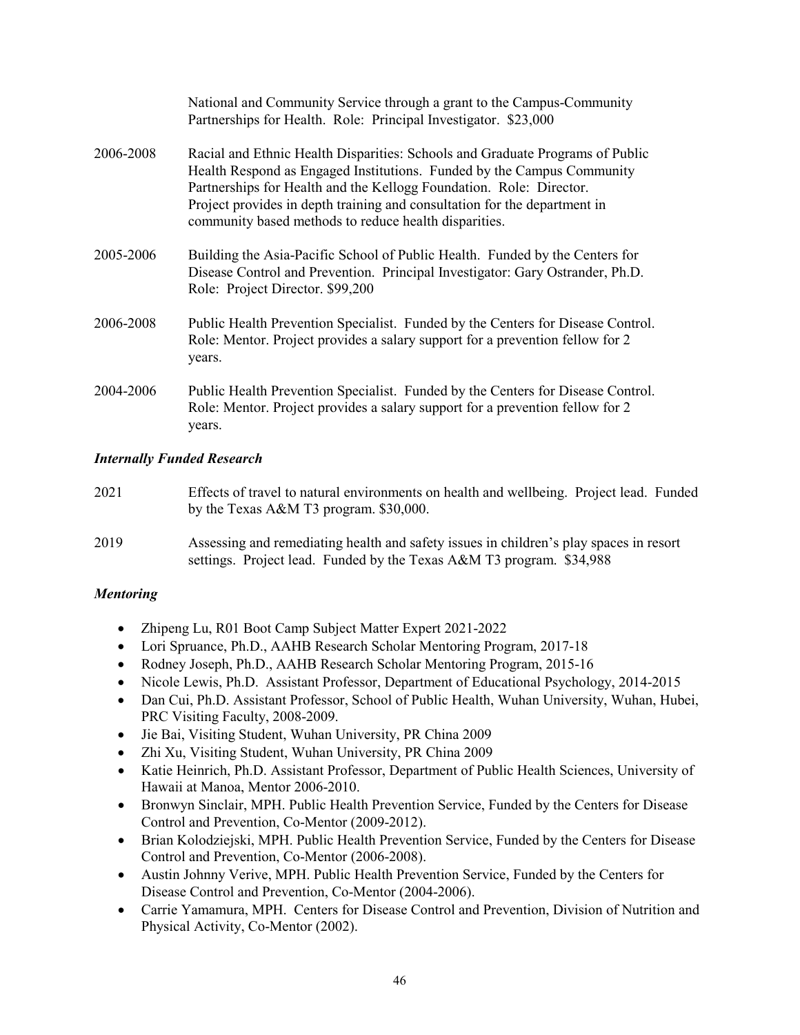|           | National and Community Service through a grant to the Campus-Community<br>Partnerships for Health. Role: Principal Investigator. \$23,000                                                                                                                                                                                                                            |
|-----------|----------------------------------------------------------------------------------------------------------------------------------------------------------------------------------------------------------------------------------------------------------------------------------------------------------------------------------------------------------------------|
| 2006-2008 | Racial and Ethnic Health Disparities: Schools and Graduate Programs of Public<br>Health Respond as Engaged Institutions. Funded by the Campus Community<br>Partnerships for Health and the Kellogg Foundation. Role: Director.<br>Project provides in depth training and consultation for the department in<br>community based methods to reduce health disparities. |
| 2005-2006 | Building the Asia-Pacific School of Public Health. Funded by the Centers for<br>Disease Control and Prevention. Principal Investigator: Gary Ostrander, Ph.D.<br>Role: Project Director. \$99,200                                                                                                                                                                    |
| 2006-2008 | Public Health Prevention Specialist. Funded by the Centers for Disease Control.<br>Role: Mentor. Project provides a salary support for a prevention fellow for 2<br>years.                                                                                                                                                                                           |
| 2004-2006 | Public Health Prevention Specialist. Funded by the Centers for Disease Control.<br>Role: Mentor. Project provides a salary support for a prevention fellow for 2<br>years.                                                                                                                                                                                           |

### *Internally Funded Research*

| 2021 | Effects of travel to natural environments on health and wellbeing. Project lead. Funded |
|------|-----------------------------------------------------------------------------------------|
|      | by the Texas A&M T3 program. $$30,000$ .                                                |
| 2019 | Assessing and remediating health and safety issues in children's play spaces in resort  |

### 2019 Assessing and remediating health and safety issues in children's play spaces in resort settings. Project lead. Funded by the Texas A&M T3 program. \$34,988

### *Mentoring*

- Zhipeng Lu, R01 Boot Camp Subject Matter Expert 2021-2022
- Lori Spruance, Ph.D., AAHB Research Scholar Mentoring Program, 2017-18
- Rodney Joseph, Ph.D., AAHB Research Scholar Mentoring Program, 2015-16
- Nicole Lewis, Ph.D. Assistant Professor, Department of Educational Psychology, 2014-2015
- Dan Cui, Ph.D. Assistant Professor, School of Public Health, Wuhan University, Wuhan, Hubei, PRC Visiting Faculty, 2008-2009.
- Jie Bai, Visiting Student, Wuhan University, PR China 2009
- Zhi Xu, Visiting Student, Wuhan University, PR China 2009
- Katie Heinrich, Ph.D. Assistant Professor, Department of Public Health Sciences, University of Hawaii at Manoa, Mentor 2006-2010.
- Bronwyn Sinclair, MPH. Public Health Prevention Service, Funded by the Centers for Disease Control and Prevention, Co-Mentor (2009-2012).
- Brian Kolodziejski, MPH. Public Health Prevention Service, Funded by the Centers for Disease Control and Prevention, Co-Mentor (2006-2008).
- Austin Johnny Verive, MPH. Public Health Prevention Service, Funded by the Centers for Disease Control and Prevention, Co-Mentor (2004-2006).
- Carrie Yamamura, MPH. Centers for Disease Control and Prevention, Division of Nutrition and Physical Activity, Co-Mentor (2002).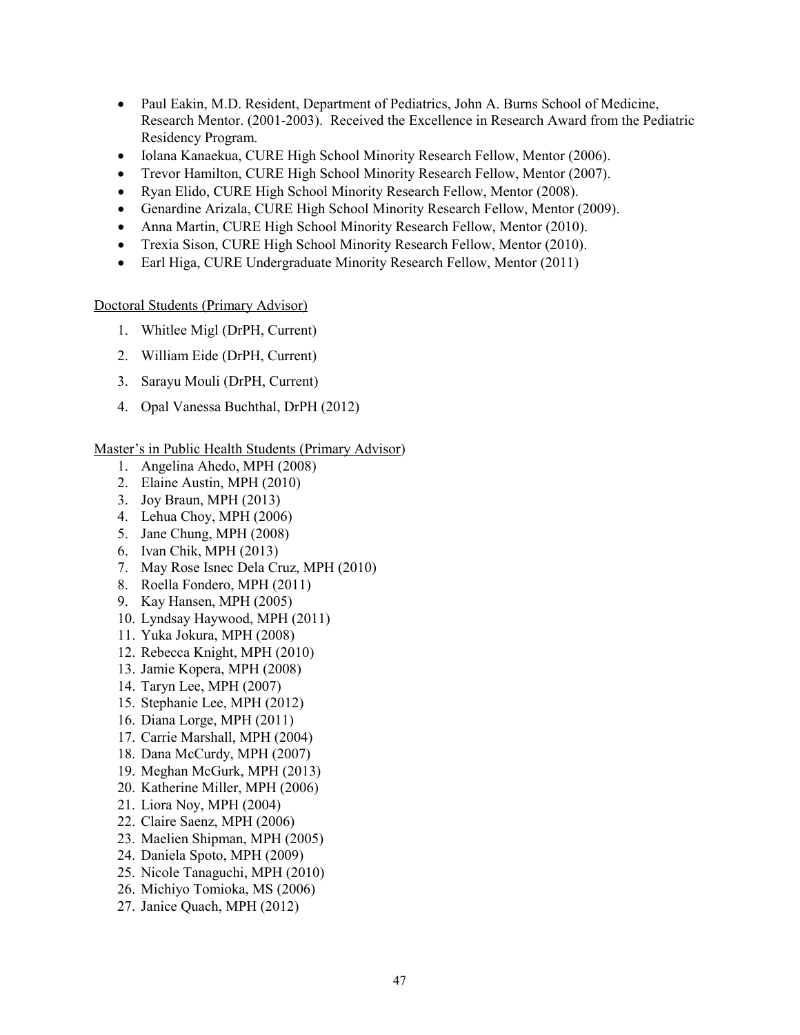- Paul Eakin, M.D. Resident, Department of Pediatrics, John A. Burns School of Medicine, Research Mentor. (2001-2003). Received the Excellence in Research Award from the Pediatric Residency Program.
- Iolana Kanaekua, CURE High School Minority Research Fellow, Mentor (2006).
- Trevor Hamilton, CURE High School Minority Research Fellow, Mentor (2007).
- Ryan Elido, CURE High School Minority Research Fellow, Mentor (2008).
- Genardine Arizala, CURE High School Minority Research Fellow, Mentor (2009).
- Anna Martin, CURE High School Minority Research Fellow, Mentor (2010).
- Trexia Sison, CURE High School Minority Research Fellow, Mentor (2010).
- Earl Higa, CURE Undergraduate Minority Research Fellow, Mentor (2011)

### Doctoral Students (Primary Advisor)

- 1. Whitlee Migl (DrPH, Current)
- 2. William Eide (DrPH, Current)
- 3. Sarayu Mouli (DrPH, Current)
- 4. Opal Vanessa Buchthal, DrPH (2012)

### Master's in Public Health Students (Primary Advisor)

- 1. Angelina Ahedo, MPH (2008)
- 2. Elaine Austin, MPH (2010)
- 3. Joy Braun, MPH (2013)
- 4. Lehua Choy, MPH (2006)
- 5. Jane Chung, MPH (2008)
- 6. Ivan Chik, MPH (2013)
- 7. May Rose Isnec Dela Cruz, MPH (2010)
- 8. Roella Fondero, MPH (2011)
- 9. Kay Hansen, MPH (2005)
- 10. Lyndsay Haywood, MPH (2011)
- 11. Yuka Jokura, MPH (2008)
- 12. Rebecca Knight, MPH (2010)
- 13. Jamie Kopera, MPH (2008)
- 14. Taryn Lee, MPH (2007)
- 15. Stephanie Lee, MPH (2012)
- 16. Diana Lorge, MPH (2011)
- 17. Carrie Marshall, MPH (2004)
- 18. Dana McCurdy, MPH (2007)
- 19. Meghan McGurk, MPH (2013)
- 20. Katherine Miller, MPH (2006)
- 21. Liora Noy, MPH (2004)
- 22. Claire Saenz, MPH (2006)
- 23. Maelien Shipman, MPH (2005)
- 24. Daniela Spoto, MPH (2009)
- 25. Nicole Tanaguchi, MPH (2010)
- 26. Michiyo Tomioka, MS (2006)
- 27. Janice Quach, MPH (2012)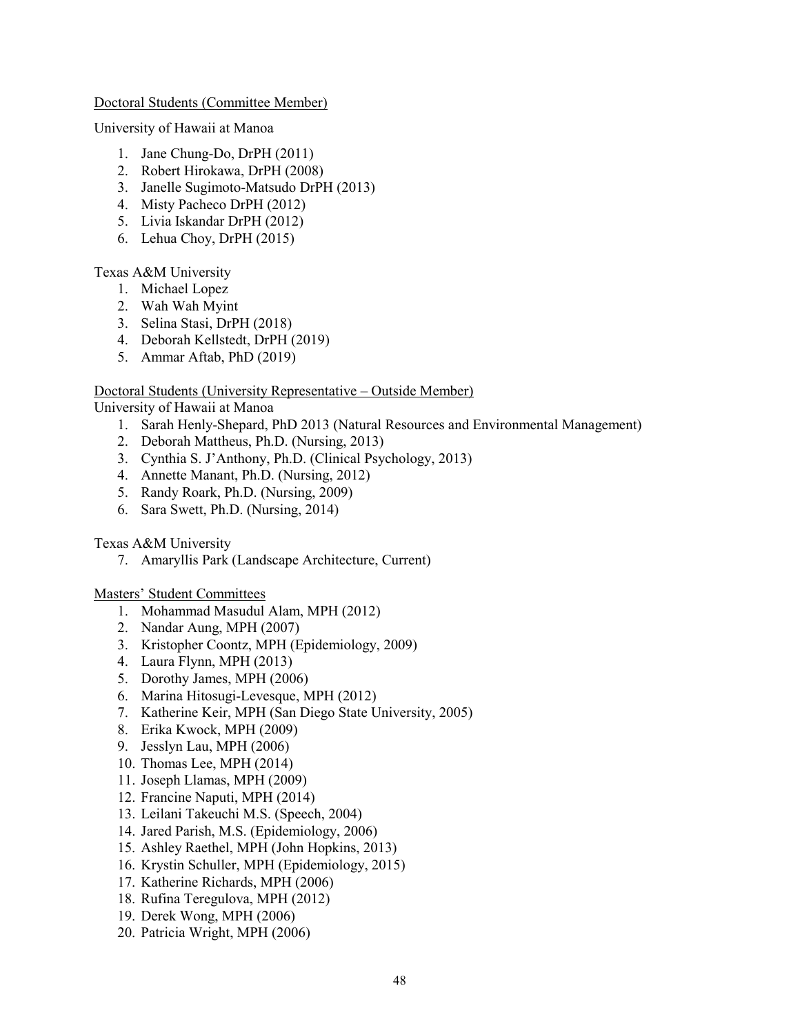### Doctoral Students (Committee Member)

University of Hawaii at Manoa

- 1. Jane Chung-Do, DrPH (2011)
- 2. Robert Hirokawa, DrPH (2008)
- 3. Janelle Sugimoto-Matsudo DrPH (2013)
- 4. Misty Pacheco DrPH (2012)
- 5. Livia Iskandar DrPH (2012)
- 6. Lehua Choy, DrPH (2015)

### Texas A&M University

- 1. Michael Lopez
- 2. Wah Wah Myint
- 3. Selina Stasi, DrPH (2018)
- 4. Deborah Kellstedt, DrPH (2019)
- 5. Ammar Aftab, PhD (2019)

### Doctoral Students (University Representative – Outside Member)

University of Hawaii at Manoa

- 1. Sarah Henly-Shepard, PhD 2013 (Natural Resources and Environmental Management)
- 2. Deborah Mattheus, Ph.D. (Nursing, 2013)
- 3. Cynthia S. J'Anthony, Ph.D. (Clinical Psychology, 2013)
- 4. Annette Manant, Ph.D. (Nursing, 2012)
- 5. Randy Roark, Ph.D. (Nursing, 2009)
- 6. Sara Swett, Ph.D. (Nursing, 2014)

### Texas A&M University

7. Amaryllis Park (Landscape Architecture, Current)

### Masters' Student Committees

- 1. Mohammad Masudul Alam, MPH (2012)
- 2. Nandar Aung, MPH (2007)
- 3. Kristopher Coontz, MPH (Epidemiology, 2009)
- 4. Laura Flynn, MPH (2013)
- 5. Dorothy James, MPH (2006)
- 6. Marina Hitosugi-Levesque, MPH (2012)
- 7. Katherine Keir, MPH (San Diego State University, 2005)
- 8. Erika Kwock, MPH (2009)
- 9. Jesslyn Lau, MPH (2006)
- 10. Thomas Lee, MPH (2014)
- 11. Joseph Llamas, MPH (2009)
- 12. Francine Naputi, MPH (2014)
- 13. Leilani Takeuchi M.S. (Speech, 2004)
- 14. Jared Parish, M.S. (Epidemiology, 2006)
- 15. Ashley Raethel, MPH (John Hopkins, 2013)
- 16. Krystin Schuller, MPH (Epidemiology, 2015)
- 17. Katherine Richards, MPH (2006)
- 18. Rufina Teregulova, MPH (2012)
- 19. Derek Wong, MPH (2006)
- 20. Patricia Wright, MPH (2006)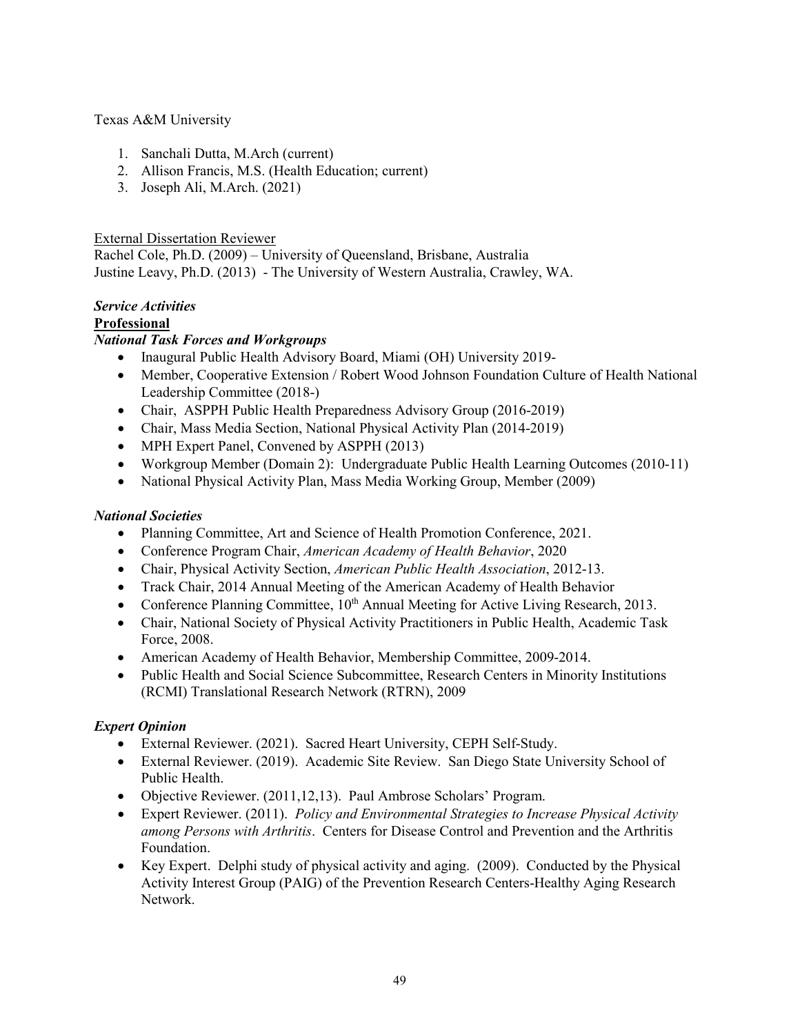Texas A&M University

- 1. Sanchali Dutta, M.Arch (current)
- 2. Allison Francis, M.S. (Health Education; current)
- 3. Joseph Ali, M.Arch. (2021)

### External Dissertation Reviewer

Rachel Cole, Ph.D. (2009) – University of Queensland, Brisbane, Australia Justine Leavy, Ph.D. (2013) - The University of Western Australia, Crawley, WA.

### *Service Activities*

## **Professional**

## *National Task Forces and Workgroups*

- Inaugural Public Health Advisory Board, Miami (OH) University 2019-
- Member, Cooperative Extension / Robert Wood Johnson Foundation Culture of Health National Leadership Committee (2018-)
- Chair, ASPPH Public Health Preparedness Advisory Group (2016-2019)
- Chair, Mass Media Section, National Physical Activity Plan (2014-2019)
- MPH Expert Panel, Convened by ASPPH (2013)
- Workgroup Member (Domain 2): Undergraduate Public Health Learning Outcomes (2010-11)
- National Physical Activity Plan, Mass Media Working Group, Member (2009)

### *National Societies*

- Planning Committee, Art and Science of Health Promotion Conference, 2021.
- Conference Program Chair, *American Academy of Health Behavior*, 2020
- Chair, Physical Activity Section, *American Public Health Association*, 2012-13.
- Track Chair, 2014 Annual Meeting of the American Academy of Health Behavior
- Conference Planning Committee,  $10<sup>th</sup>$  Annual Meeting for Active Living Research, 2013.
- Chair, National Society of Physical Activity Practitioners in Public Health, Academic Task Force, 2008.
- American Academy of Health Behavior, Membership Committee, 2009-2014.
- Public Health and Social Science Subcommittee, Research Centers in Minority Institutions (RCMI) Translational Research Network (RTRN), 2009

## *Expert Opinion*

- External Reviewer. (2021). Sacred Heart University, CEPH Self-Study.
- External Reviewer. (2019). Academic Site Review. San Diego State University School of Public Health.
- Objective Reviewer. (2011,12,13). Paul Ambrose Scholars' Program.
- Expert Reviewer. (2011). *Policy and Environmental Strategies to Increase Physical Activity among Persons with Arthritis*. Centers for Disease Control and Prevention and the Arthritis Foundation.
- Key Expert. Delphi study of physical activity and aging. (2009). Conducted by the Physical Activity Interest Group (PAIG) of the Prevention Research Centers-Healthy Aging Research Network.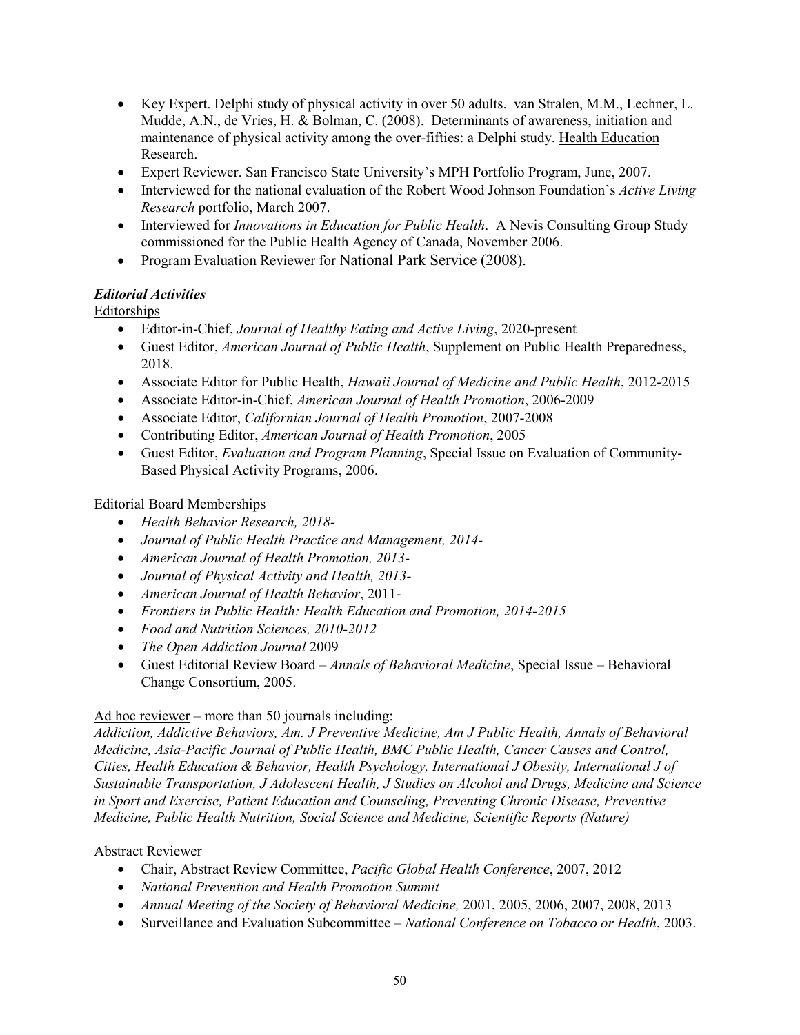- Key Expert. Delphi study of physical activity in over 50 adults. van Stralen, M.M., Lechner, L. Mudde, A.N., de Vries, H. & Bolman, C. (2008). Determinants of awareness, initiation and maintenance of physical activity among the over-fifties: a Delphi study. Health Education Research.
- Expert Reviewer. San Francisco State University's MPH Portfolio Program, June, 2007.
- Interviewed for the national evaluation of the Robert Wood Johnson Foundation's *Active Living Research* portfolio, March 2007.
- Interviewed for *Innovations in Education for Public Health*. A Nevis Consulting Group Study commissioned for the Public Health Agency of Canada, November 2006.
- Program Evaluation Reviewer for National Park Service (2008).

### *Editorial Activities*

Editorships

- Editor-in-Chief, *Journal of Healthy Eating and Active Living*, 2020-present
- Guest Editor, *American Journal of Public Health*, Supplement on Public Health Preparedness, 2018.
- Associate Editor for Public Health, *Hawaii Journal of Medicine and Public Health*, 2012-2015
- Associate Editor-in-Chief, *American Journal of Health Promotion*, 2006-2009
- Associate Editor, *Californian Journal of Health Promotion*, 2007-2008
- Contributing Editor, *American Journal of Health Promotion*, 2005
- Guest Editor, *Evaluation and Program Planning*, Special Issue on Evaluation of Community-Based Physical Activity Programs, 2006.

### Editorial Board Memberships

- *Health Behavior Research, 2018-*
- *Journal of Public Health Practice and Management, 2014-*
- *American Journal of Health Promotion, 2013-*
- *Journal of Physical Activity and Health, 2013-*
- *American Journal of Health Behavior*, 2011-
- *Frontiers in Public Health: Health Education and Promotion, 2014-2015*
- *Food and Nutrition Sciences, 2010-2012*
- *The Open Addiction Journal* 2009
- Guest Editorial Review Board *Annals of Behavioral Medicine*, Special Issue Behavioral Change Consortium, 2005.

### Ad hoc reviewer – more than 50 journals including:

*Addiction, Addictive Behaviors, Am. J Preventive Medicine, Am J Public Health, Annals of Behavioral Medicine, Asia-Pacific Journal of Public Health, BMC Public Health, Cancer Causes and Control, Cities, Health Education & Behavior, Health Psychology, International J Obesity, International J of Sustainable Transportation, J Adolescent Health, J Studies on Alcohol and Drugs, Medicine and Science in Sport and Exercise, Patient Education and Counseling, Preventing Chronic Disease, Preventive Medicine, Public Health Nutrition, Social Science and Medicine, Scientific Reports (Nature)*

### Abstract Reviewer

- Chair, Abstract Review Committee, *Pacific Global Health Conference*, 2007, 2012
- *National Prevention and Health Promotion Summit*
- *Annual Meeting of the Society of Behavioral Medicine,* 2001, 2005, 2006, 2007, 2008, 2013
- Surveillance and Evaluation Subcommittee *National Conference on Tobacco or Health*, 2003.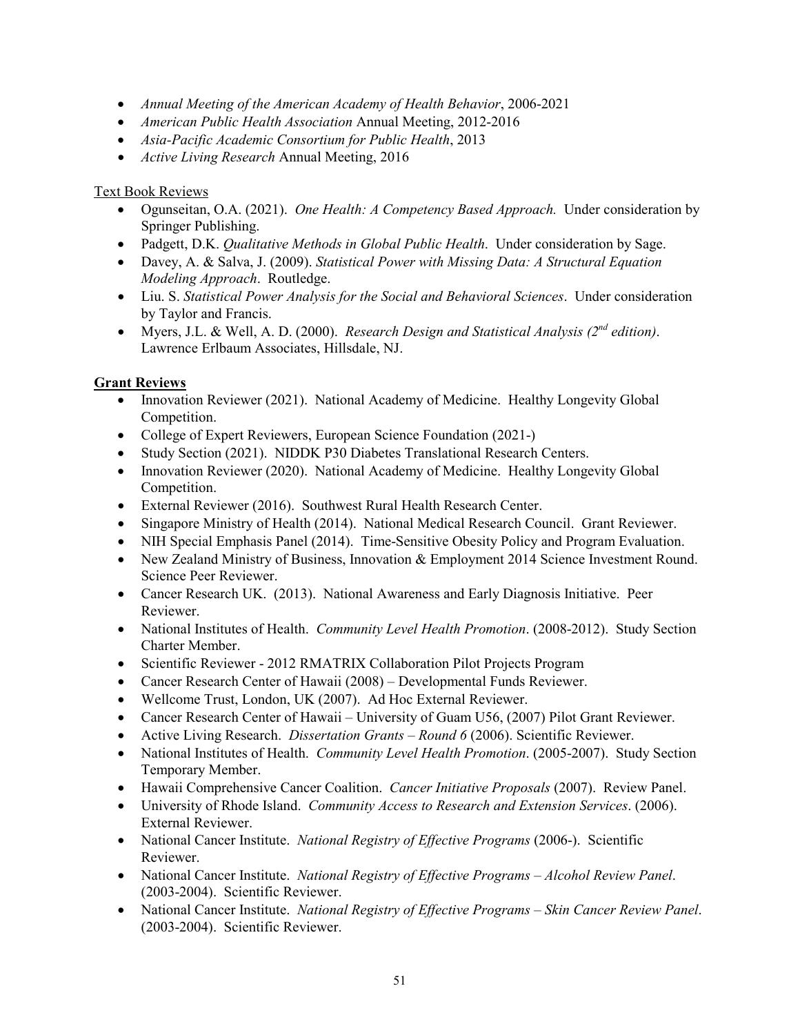- *Annual Meeting of the American Academy of Health Behavior*, 2006-2021
- *American Public Health Association* Annual Meeting, 2012-2016
- *Asia-Pacific Academic Consortium for Public Health*, 2013
- *Active Living Research* Annual Meeting, 2016

## Text Book Reviews

- Ogunseitan, O.A. (2021). *One Health: A Competency Based Approach.* Under consideration by Springer Publishing.
- Padgett, D.K. *Qualitative Methods in Global Public Health*. Under consideration by Sage.
- Davey, A. & Salva, J. (2009). *Statistical Power with Missing Data: A Structural Equation Modeling Approach*. Routledge.
- Liu. S. *Statistical Power Analysis for the Social and Behavioral Sciences*. Under consideration by Taylor and Francis.
- Myers, J.L. & Well, A. D. (2000). *Research Design and Statistical Analysis (2nd edition)*. Lawrence Erlbaum Associates, Hillsdale, NJ.

## **Grant Reviews**

- Innovation Reviewer (2021). National Academy of Medicine. Healthy Longevity Global Competition.
- College of Expert Reviewers, European Science Foundation (2021-)
- Study Section (2021). NIDDK P30 Diabetes Translational Research Centers.
- Innovation Reviewer (2020). National Academy of Medicine. Healthy Longevity Global Competition.
- External Reviewer (2016). Southwest Rural Health Research Center.
- Singapore Ministry of Health (2014). National Medical Research Council. Grant Reviewer.
- NIH Special Emphasis Panel (2014). Time-Sensitive Obesity Policy and Program Evaluation.
- New Zealand Ministry of Business, Innovation & Employment 2014 Science Investment Round. Science Peer Reviewer.
- Cancer Research UK. (2013). National Awareness and Early Diagnosis Initiative. Peer Reviewer.
- National Institutes of Health. *Community Level Health Promotion*. (2008-2012). Study Section Charter Member.
- Scientific Reviewer 2012 RMATRIX Collaboration Pilot Projects Program
- Cancer Research Center of Hawaii (2008) Developmental Funds Reviewer.
- Wellcome Trust, London, UK (2007). Ad Hoc External Reviewer.
- Cancer Research Center of Hawaii University of Guam U56, (2007) Pilot Grant Reviewer.
- Active Living Research. *Dissertation Grants – Round 6* (2006). Scientific Reviewer.
- National Institutes of Health. *Community Level Health Promotion*. (2005-2007). Study Section Temporary Member.
- Hawaii Comprehensive Cancer Coalition. *Cancer Initiative Proposals* (2007). Review Panel.
- University of Rhode Island. *Community Access to Research and Extension Services*. (2006). External Reviewer.
- National Cancer Institute. *National Registry of Effective Programs* (2006-). Scientific Reviewer.
- National Cancer Institute. *National Registry of Effective Programs – Alcohol Review Panel*. (2003-2004). Scientific Reviewer.
- National Cancer Institute. *National Registry of Effective Programs – Skin Cancer Review Panel*. (2003-2004). Scientific Reviewer.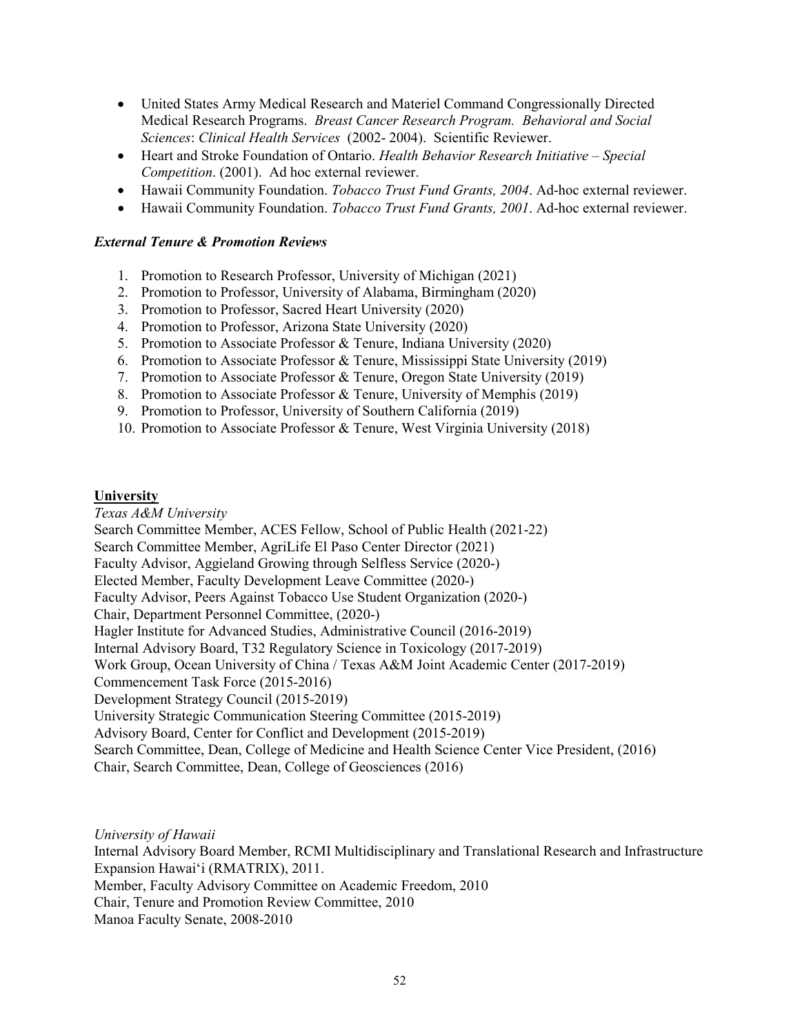- United States Army Medical Research and Materiel Command Congressionally Directed Medical Research Programs. *Breast Cancer Research Program. Behavioral and Social Sciences*: *Clinical Health Services* (2002- 2004). Scientific Reviewer.
- Heart and Stroke Foundation of Ontario. *Health Behavior Research Initiative – Special Competition*. (2001). Ad hoc external reviewer.
- Hawaii Community Foundation. *Tobacco Trust Fund Grants, 2004*. Ad-hoc external reviewer.
- Hawaii Community Foundation. *Tobacco Trust Fund Grants, 2001*. Ad-hoc external reviewer.

#### *External Tenure & Promotion Reviews*

- 1. Promotion to Research Professor, University of Michigan (2021)
- 2. Promotion to Professor, University of Alabama, Birmingham (2020)
- 3. Promotion to Professor, Sacred Heart University (2020)
- 4. Promotion to Professor, Arizona State University (2020)
- 5. Promotion to Associate Professor & Tenure, Indiana University (2020)
- 6. Promotion to Associate Professor & Tenure, Mississippi State University (2019)
- 7. Promotion to Associate Professor & Tenure, Oregon State University (2019)
- 8. Promotion to Associate Professor & Tenure, University of Memphis (2019)
- 9. Promotion to Professor, University of Southern California (2019)
- 10. Promotion to Associate Professor & Tenure, West Virginia University (2018)

#### **University**

*Texas A&M University* Search Committee Member, ACES Fellow, School of Public Health (2021-22) Search Committee Member, AgriLife El Paso Center Director (2021) Faculty Advisor, Aggieland Growing through Selfless Service (2020-) Elected Member, Faculty Development Leave Committee (2020-) Faculty Advisor, Peers Against Tobacco Use Student Organization (2020-) Chair, Department Personnel Committee, (2020-) Hagler Institute for Advanced Studies, Administrative Council (2016-2019) Internal Advisory Board, T32 Regulatory Science in Toxicology (2017-2019) Work Group, Ocean University of China / Texas A&M Joint Academic Center (2017-2019) Commencement Task Force (2015-2016) Development Strategy Council (2015-2019) University Strategic Communication Steering Committee (2015-2019) Advisory Board, Center for Conflict and Development (2015-2019) Search Committee, Dean, College of Medicine and Health Science Center Vice President, (2016) Chair, Search Committee, Dean, College of Geosciences (2016)

*University of Hawaii* Internal Advisory Board Member, RCMI Multidisciplinary and Translational Research and Infrastructure Expansion Hawai'i (RMATRIX), 2011. Member, Faculty Advisory Committee on Academic Freedom, 2010 Chair, Tenure and Promotion Review Committee, 2010 Manoa Faculty Senate, 2008-2010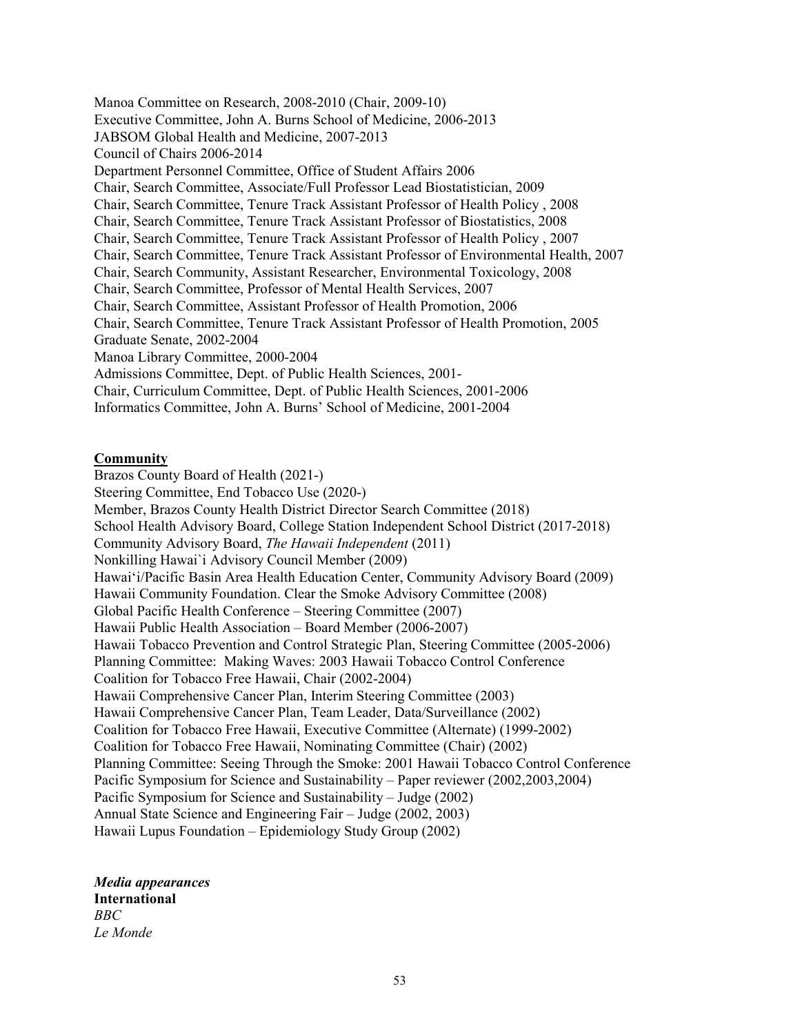Manoa Committee on Research, 2008-2010 (Chair, 2009-10) Executive Committee, John A. Burns School of Medicine, 2006-2013 JABSOM Global Health and Medicine, 2007-2013 Council of Chairs 2006-2014 Department Personnel Committee, Office of Student Affairs 2006 Chair, Search Committee, Associate/Full Professor Lead Biostatistician, 2009 Chair, Search Committee, Tenure Track Assistant Professor of Health Policy , 2008 Chair, Search Committee, Tenure Track Assistant Professor of Biostatistics, 2008 Chair, Search Committee, Tenure Track Assistant Professor of Health Policy , 2007 Chair, Search Committee, Tenure Track Assistant Professor of Environmental Health, 2007 Chair, Search Community, Assistant Researcher, Environmental Toxicology, 2008 Chair, Search Committee, Professor of Mental Health Services, 2007 Chair, Search Committee, Assistant Professor of Health Promotion, 2006 Chair, Search Committee, Tenure Track Assistant Professor of Health Promotion, 2005 Graduate Senate, 2002-2004 Manoa Library Committee, 2000-2004 Admissions Committee, Dept. of Public Health Sciences, 2001- Chair, Curriculum Committee, Dept. of Public Health Sciences, 2001-2006 Informatics Committee, John A. Burns' School of Medicine, 2001-2004

#### **Community**

Brazos County Board of Health (2021-) Steering Committee, End Tobacco Use (2020-) Member, Brazos County Health District Director Search Committee (2018) School Health Advisory Board, College Station Independent School District (2017-2018) Community Advisory Board, *The Hawaii Independent* (2011) Nonkilling Hawai`i Advisory Council Member (2009) Hawai'i/Pacific Basin Area Health Education Center, Community Advisory Board (2009) Hawaii Community Foundation. Clear the Smoke Advisory Committee (2008) Global Pacific Health Conference – Steering Committee (2007) Hawaii Public Health Association – Board Member (2006-2007) Hawaii Tobacco Prevention and Control Strategic Plan, Steering Committee (2005-2006) Planning Committee: Making Waves: 2003 Hawaii Tobacco Control Conference Coalition for Tobacco Free Hawaii, Chair (2002-2004) Hawaii Comprehensive Cancer Plan, Interim Steering Committee (2003) Hawaii Comprehensive Cancer Plan, Team Leader, Data/Surveillance (2002) Coalition for Tobacco Free Hawaii, Executive Committee (Alternate) (1999-2002) Coalition for Tobacco Free Hawaii, Nominating Committee (Chair) (2002) Planning Committee: Seeing Through the Smoke: 2001 Hawaii Tobacco Control Conference Pacific Symposium for Science and Sustainability – Paper reviewer (2002,2003,2004) Pacific Symposium for Science and Sustainability – Judge (2002) Annual State Science and Engineering Fair – Judge (2002, 2003) Hawaii Lupus Foundation – Epidemiology Study Group (2002)

*Media appearances* **International** *BBC Le Monde*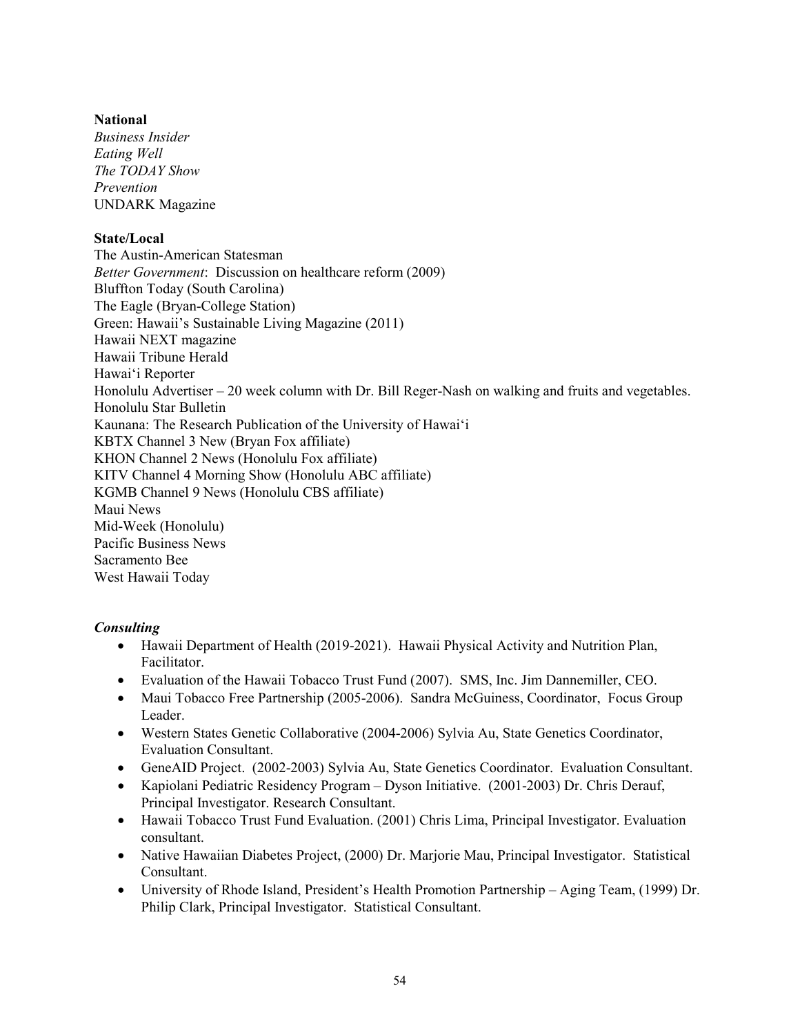## **National**

*Business Insider Eating Well The TODAY Show Prevention*  UNDARK Magazine

## **State/Local**

The Austin-American Statesman *Better Government*: Discussion on healthcare reform (2009) Bluffton Today (South Carolina) The Eagle (Bryan-College Station) Green: Hawaii's Sustainable Living Magazine (2011) Hawaii NEXT magazine Hawaii Tribune Herald Hawai'i Reporter Honolulu Advertiser  $-20$  week column with Dr. Bill Reger-Nash on walking and fruits and vegetables. Honolulu Star Bulletin Kaunana: The Research Publication of the University of Hawai'i KBTX Channel 3 New (Bryan Fox affiliate) KHON Channel 2 News (Honolulu Fox affiliate) KITV Channel 4 Morning Show (Honolulu ABC affiliate) KGMB Channel 9 News (Honolulu CBS affiliate) Maui News Mid-Week (Honolulu) Pacific Business News Sacramento Bee West Hawaii Today

### *Consulting*

- Hawaii Department of Health (2019-2021). Hawaii Physical Activity and Nutrition Plan, Facilitator.
- Evaluation of the Hawaii Tobacco Trust Fund (2007). SMS, Inc. Jim Dannemiller, CEO.
- Maui Tobacco Free Partnership (2005-2006). Sandra McGuiness, Coordinator, Focus Group Leader.
- Western States Genetic Collaborative (2004-2006) Sylvia Au, State Genetics Coordinator, Evaluation Consultant.
- GeneAID Project. (2002-2003) Sylvia Au, State Genetics Coordinator. Evaluation Consultant.
- Kapiolani Pediatric Residency Program Dyson Initiative. (2001-2003) Dr. Chris Derauf, Principal Investigator. Research Consultant.
- Hawaii Tobacco Trust Fund Evaluation. (2001) Chris Lima, Principal Investigator. Evaluation consultant.
- Native Hawaiian Diabetes Project, (2000) Dr. Marjorie Mau, Principal Investigator. Statistical Consultant.
- University of Rhode Island, President's Health Promotion Partnership Aging Team, (1999) Dr. Philip Clark, Principal Investigator. Statistical Consultant.